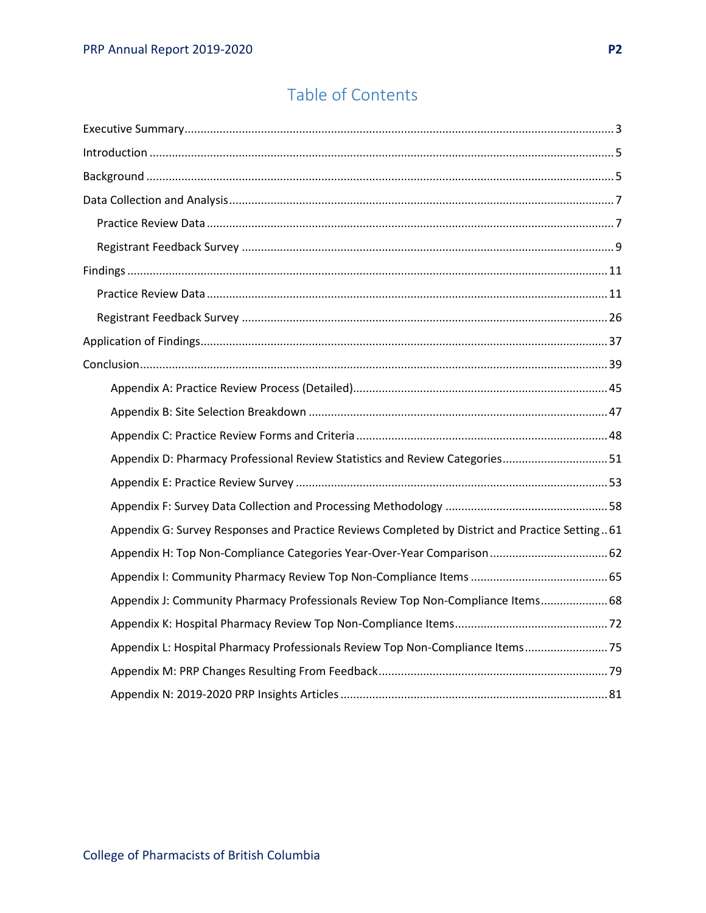# Table of Contents

| Appendix D: Pharmacy Professional Review Statistics and Review Categories51                    |  |
|------------------------------------------------------------------------------------------------|--|
|                                                                                                |  |
|                                                                                                |  |
| Appendix G: Survey Responses and Practice Reviews Completed by District and Practice Setting61 |  |
|                                                                                                |  |
|                                                                                                |  |
| Appendix J: Community Pharmacy Professionals Review Top Non-Compliance Items 68                |  |
|                                                                                                |  |
| Appendix L: Hospital Pharmacy Professionals Review Top Non-Compliance Items 75                 |  |
|                                                                                                |  |
|                                                                                                |  |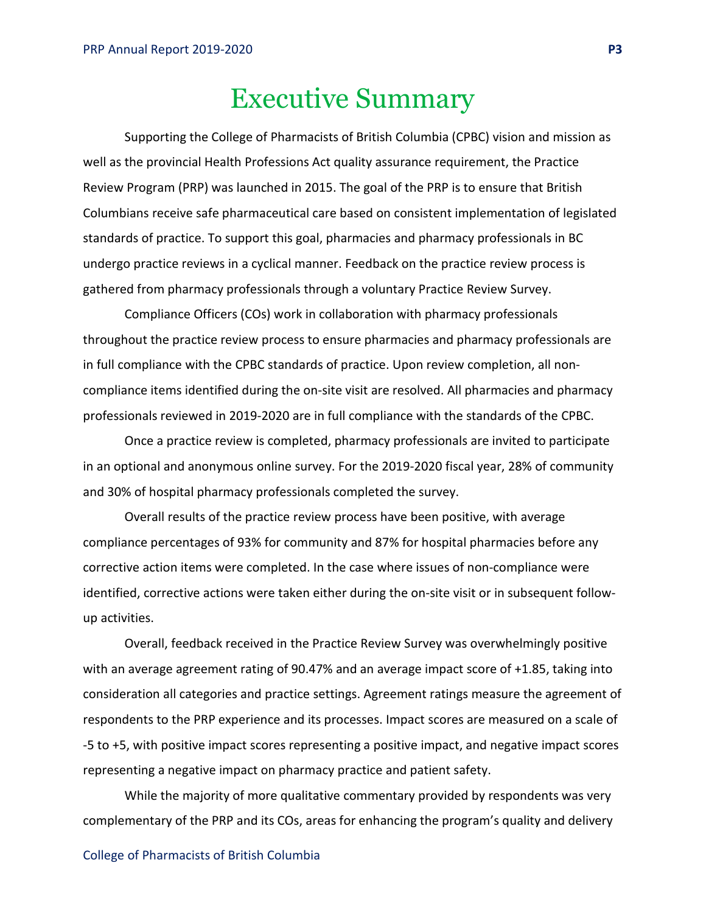# Executive Summary

<span id="page-2-0"></span>Supporting the College of Pharmacists of British Columbia (CPBC) vision and mission as well as the provincial Health Professions Act quality assurance requirement, the Practice Review Program (PRP) was launched in 2015. The goal of the PRP is to ensure that British Columbians receive safe pharmaceutical care based on consistent implementation of legislated standards of practice. To support this goal, pharmacies and pharmacy professionals in BC undergo practice reviews in a cyclical manner. Feedback on the practice review process is gathered from pharmacy professionals through a voluntary Practice Review Survey.

Compliance Officers (COs) work in collaboration with pharmacy professionals throughout the practice review process to ensure pharmacies and pharmacy professionals are in full compliance with the CPBC standards of practice. Upon review completion, all noncompliance items identified during the on-site visit are resolved. All pharmacies and pharmacy professionals reviewed in 2019-2020 are in full compliance with the standards of the CPBC.

Once a practice review is completed, pharmacy professionals are invited to participate in an optional and anonymous online survey. For the 2019-2020 fiscal year, 28% of community and 30% of hospital pharmacy professionals completed the survey.

Overall results of the practice review process have been positive, with average compliance percentages of 93% for community and 87% for hospital pharmacies before any corrective action items were completed. In the case where issues of non-compliance were identified, corrective actions were taken either during the on-site visit or in subsequent followup activities.

Overall, feedback received in the Practice Review Survey was overwhelmingly positive with an average agreement rating of 90.47% and an average impact score of +1.85, taking into consideration all categories and practice settings. Agreement ratings measure the agreement of respondents to the PRP experience and its processes. Impact scores are measured on a scale of -5 to +5, with positive impact scores representing a positive impact, and negative impact scores representing a negative impact on pharmacy practice and patient safety.

While the majority of more qualitative commentary provided by respondents was very complementary of the PRP and its COs, areas for enhancing the program's quality and delivery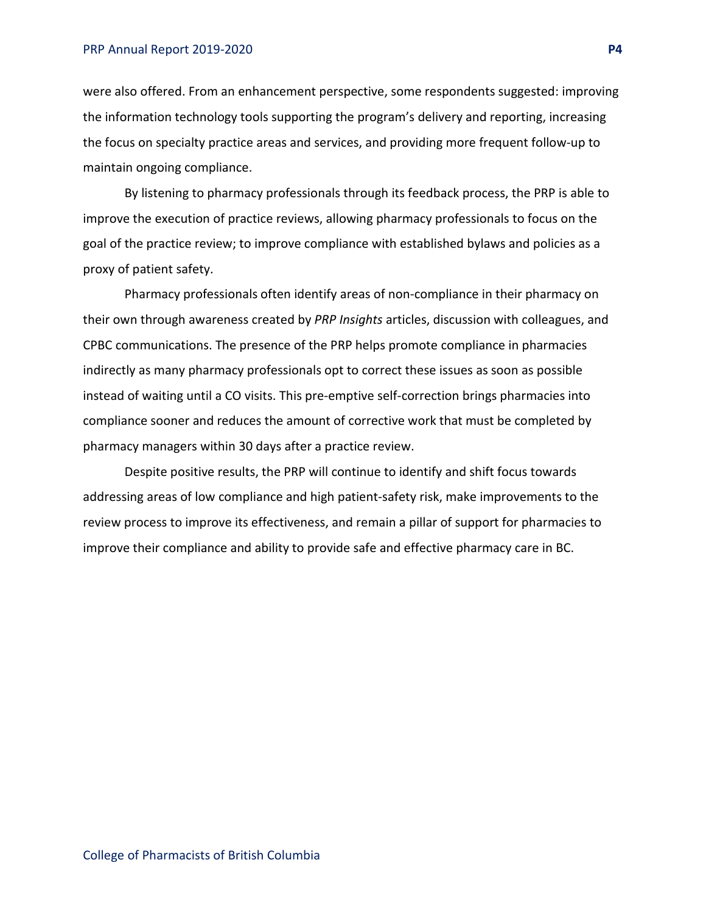#### PRP Annual Report 2019-2020 **P4**

were also offered. From an enhancement perspective, some respondents suggested: improving the information technology tools supporting the program's delivery and reporting, increasing the focus on specialty practice areas and services, and providing more frequent follow-up to maintain ongoing compliance.

By listening to pharmacy professionals through its feedback process, the PRP is able to improve the execution of practice reviews, allowing pharmacy professionals to focus on the goal of the practice review; to improve compliance with established bylaws and policies as a proxy of patient safety.

Pharmacy professionals often identify areas of non-compliance in their pharmacy on their own through awareness created by *PRP Insights* articles, discussion with colleagues, and CPBC communications. The presence of the PRP helps promote compliance in pharmacies indirectly as many pharmacy professionals opt to correct these issues as soon as possible instead of waiting until a CO visits. This pre-emptive self-correction brings pharmacies into compliance sooner and reduces the amount of corrective work that must be completed by pharmacy managers within 30 days after a practice review.

Despite positive results, the PRP will continue to identify and shift focus towards addressing areas of low compliance and high patient-safety risk, make improvements to the review process to improve its effectiveness, and remain a pillar of support for pharmacies to improve their compliance and ability to provide safe and effective pharmacy care in BC.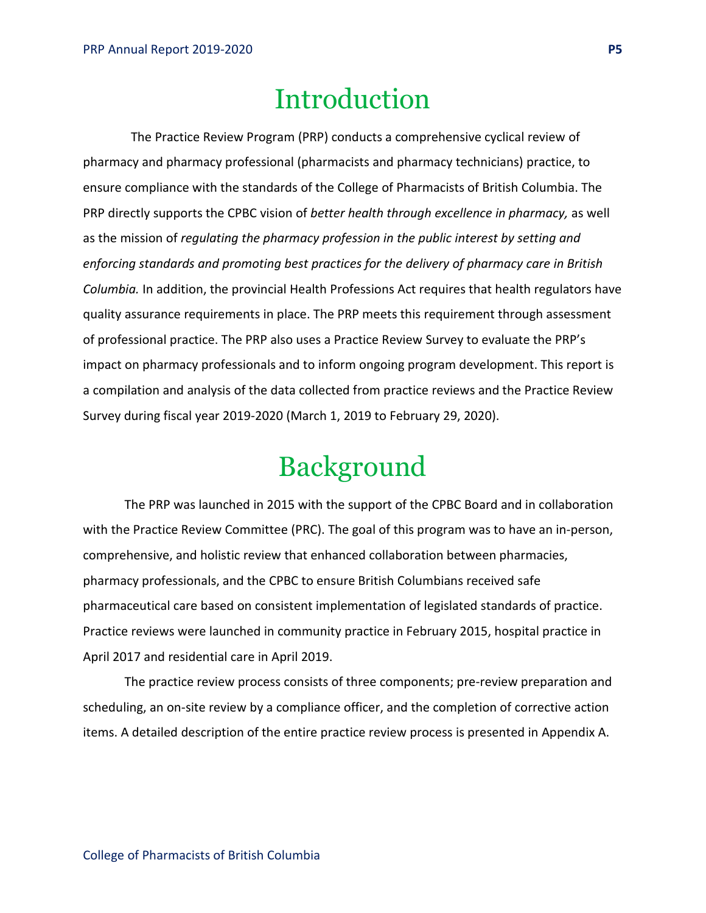# Introduction

<span id="page-4-0"></span>The Practice Review Program (PRP) conducts a comprehensive cyclical review of pharmacy and pharmacy professional (pharmacists and pharmacy technicians) practice, to ensure compliance with the standards of the College of Pharmacists of British Columbia. The PRP directly supports the CPBC vision of *better health through excellence in pharmacy,* as well as the mission of *regulating the pharmacy profession in the public interest by setting and enforcing standards and promoting best practices for the delivery of pharmacy care in British Columbia.* In addition, the provincial Health Professions Act requires that health regulators have quality assurance requirements in place. The PRP meets this requirement through assessment of professional practice. The PRP also uses a Practice Review Survey to evaluate the PRP's impact on pharmacy professionals and to inform ongoing program development. This report is a compilation and analysis of the data collected from practice reviews and the Practice Review Survey during fiscal year 2019-2020 (March 1, 2019 to February 29, 2020).

# Background

<span id="page-4-1"></span>The PRP was launched in 2015 with the support of the CPBC Board and in collaboration with the Practice Review Committee (PRC). The goal of this program was to have an in-person, comprehensive, and holistic review that enhanced collaboration between pharmacies, pharmacy professionals, and the CPBC to ensure British Columbians received safe pharmaceutical care based on consistent implementation of legislated standards of practice. Practice reviews were launched in community practice in February 2015, hospital practice in April 2017 and residential care in April 2019.

The practice review process consists of three components; pre-review preparation and scheduling, an on-site review by a compliance officer, and the completion of corrective action items. A detailed description of the entire practice review process is presented in Appendix A.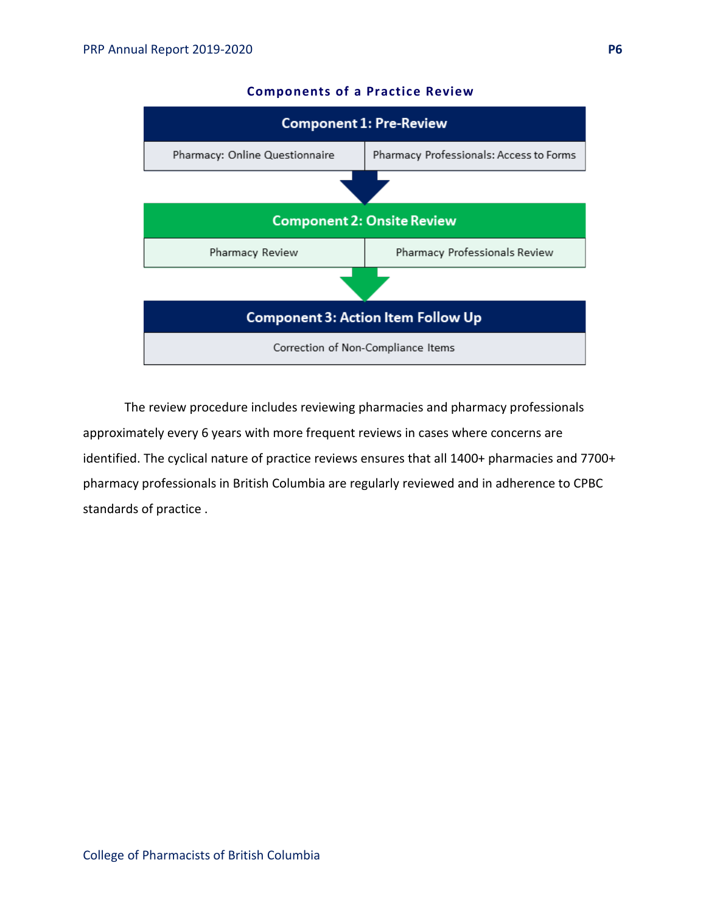

#### **Components of a Practice Review**

The review procedure includes reviewing pharmacies and pharmacy professionals approximately every 6 years with more frequent reviews in cases where concerns are identified. The cyclical nature of practice reviews ensures that all 1400+ pharmacies and 7700+ pharmacy professionals in British Columbia are regularly reviewed and in adherence to CPBC standards of practice .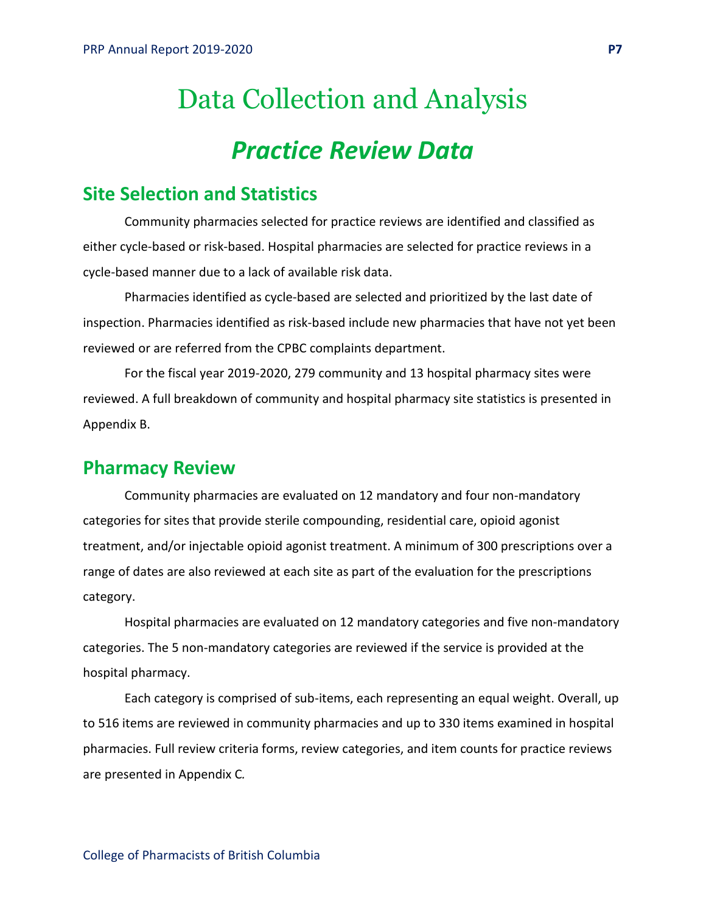# <span id="page-6-0"></span>Data Collection and Analysis *Practice Review Data*

### <span id="page-6-1"></span>**Site Selection and Statistics**

Community pharmacies selected for practice reviews are identified and classified as either cycle-based or risk-based. Hospital pharmacies are selected for practice reviews in a cycle-based manner due to a lack of available risk data.

Pharmacies identified as cycle-based are selected and prioritized by the last date of inspection. Pharmacies identified as risk-based include new pharmacies that have not yet been reviewed or are referred from the CPBC complaints department.

For the fiscal year 2019-2020, 279 community and 13 hospital pharmacy sites were reviewed. A full breakdown of community and hospital pharmacy site statistics is presented in Appendix B.

### **Pharmacy Review**

Community pharmacies are evaluated on 12 mandatory and four non-mandatory categories for sites that provide sterile compounding, residential care, opioid agonist treatment, and/or injectable opioid agonist treatment. A minimum of 300 prescriptions over a range of dates are also reviewed at each site as part of the evaluation for the prescriptions category.

Hospital pharmacies are evaluated on 12 mandatory categories and five non-mandatory categories. The 5 non-mandatory categories are reviewed if the service is provided at the hospital pharmacy.

Each category is comprised of sub-items, each representing an equal weight. Overall, up to 516 items are reviewed in community pharmacies and up to 330 items examined in hospital pharmacies. Full review criteria forms, review categories, and item counts for practice reviews are presented in Appendix C*.*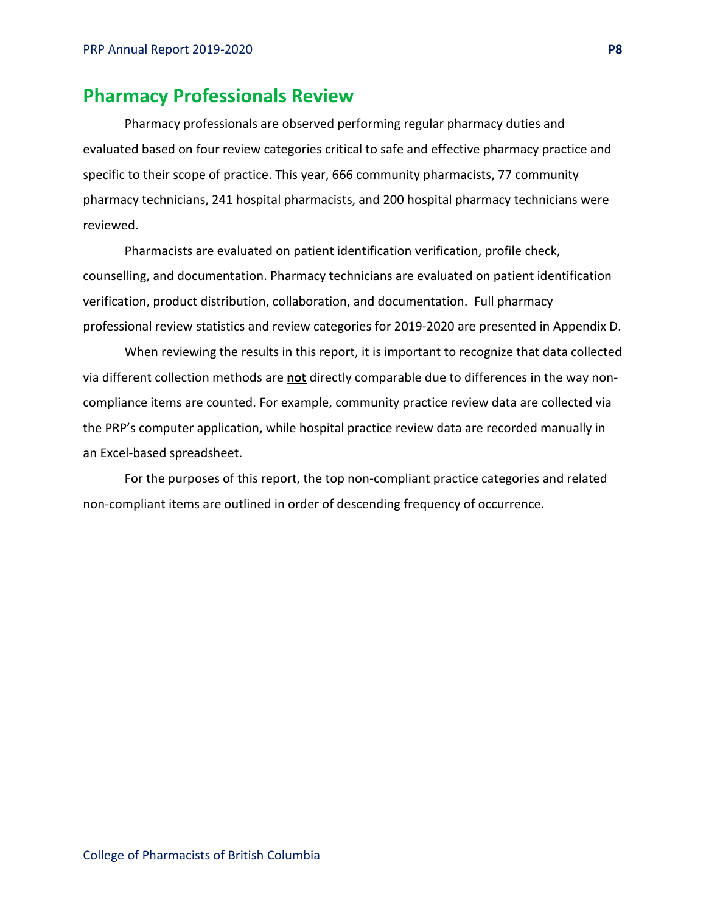### **Pharmacy Professionals Review**

Pharmacy professionals are observed performing regular pharmacy duties and evaluated based on four review categories critical to safe and effective pharmacy practice and specific to their scope of practice. This year, 666 community pharmacists, 77 community pharmacy technicians, 241 hospital pharmacists, and 200 hospital pharmacy technicians were reviewed.

Pharmacists are evaluated on patient identification verification, profile check, counselling, and documentation. Pharmacy technicians are evaluated on patient identification verification, product distribution, collaboration, and documentation. Full pharmacy professional review statistics and review categories for 2019-2020 are presented in Appendix D.

When reviewing the results in this report, it is important to recognize that data collected via different collection methods are **not** directly comparable due to differences in the way noncompliance items are counted. For example, community practice review data are collected via the PRP's computer application, while hospital practice review data are recorded manually in an Excel-based spreadsheet.

For the purposes of this report, the top non-compliant practice categories and related non-compliant items are outlined in order of descending frequency of occurrence.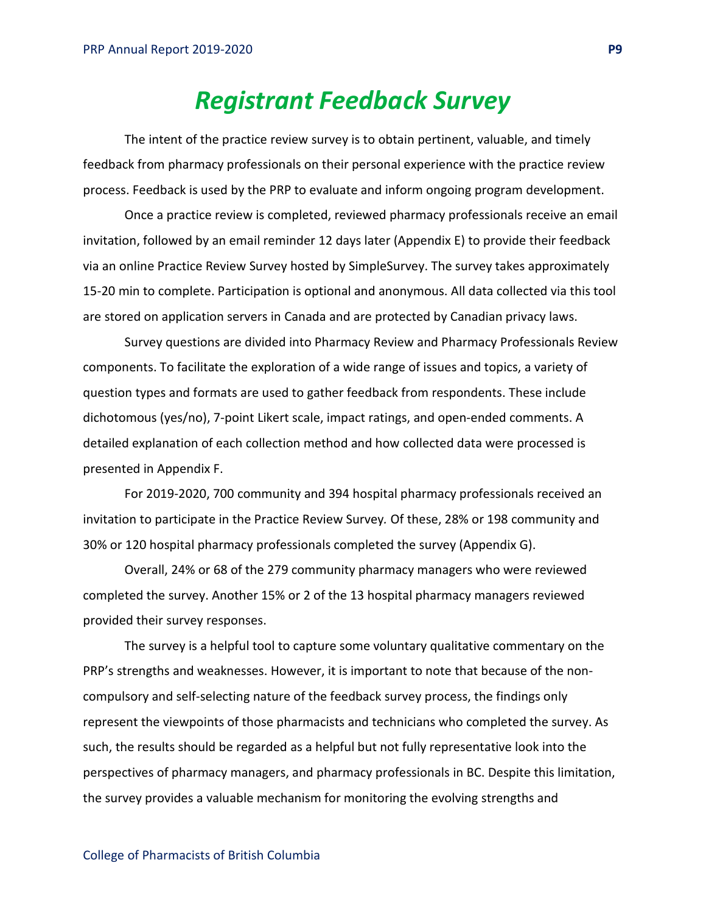# *Registrant Feedback Survey*

<span id="page-8-0"></span>The intent of the practice review survey is to obtain pertinent, valuable, and timely feedback from pharmacy professionals on their personal experience with the practice review process. Feedback is used by the PRP to evaluate and inform ongoing program development.

Once a practice review is completed, reviewed pharmacy professionals receive an email invitation, followed by an email reminder 12 days later (Appendix E) to provide their feedback via an online Practice Review Survey hosted by SimpleSurvey. The survey takes approximately 15-20 min to complete. Participation is optional and anonymous. All data collected via this tool are stored on application servers in Canada and are protected by Canadian privacy laws.

Survey questions are divided into Pharmacy Review and Pharmacy Professionals Review components. To facilitate the exploration of a wide range of issues and topics, a variety of question types and formats are used to gather feedback from respondents. These include dichotomous (yes/no), 7-point Likert scale, impact ratings, and open-ended comments. A detailed explanation of each collection method and how collected data were processed is presented in Appendix F.

For 2019-2020, 700 community and 394 hospital pharmacy professionals received an invitation to participate in the Practice Review Survey*.* Of these, 28% or 198 community and 30% or 120 hospital pharmacy professionals completed the survey (Appendix G).

Overall, 24% or 68 of the 279 community pharmacy managers who were reviewed completed the survey. Another 15% or 2 of the 13 hospital pharmacy managers reviewed provided their survey responses.

The survey is a helpful tool to capture some voluntary qualitative commentary on the PRP's strengths and weaknesses. However, it is important to note that because of the noncompulsory and self-selecting nature of the feedback survey process, the findings only represent the viewpoints of those pharmacists and technicians who completed the survey. As such, the results should be regarded as a helpful but not fully representative look into the perspectives of pharmacy managers, and pharmacy professionals in BC. Despite this limitation, the survey provides a valuable mechanism for monitoring the evolving strengths and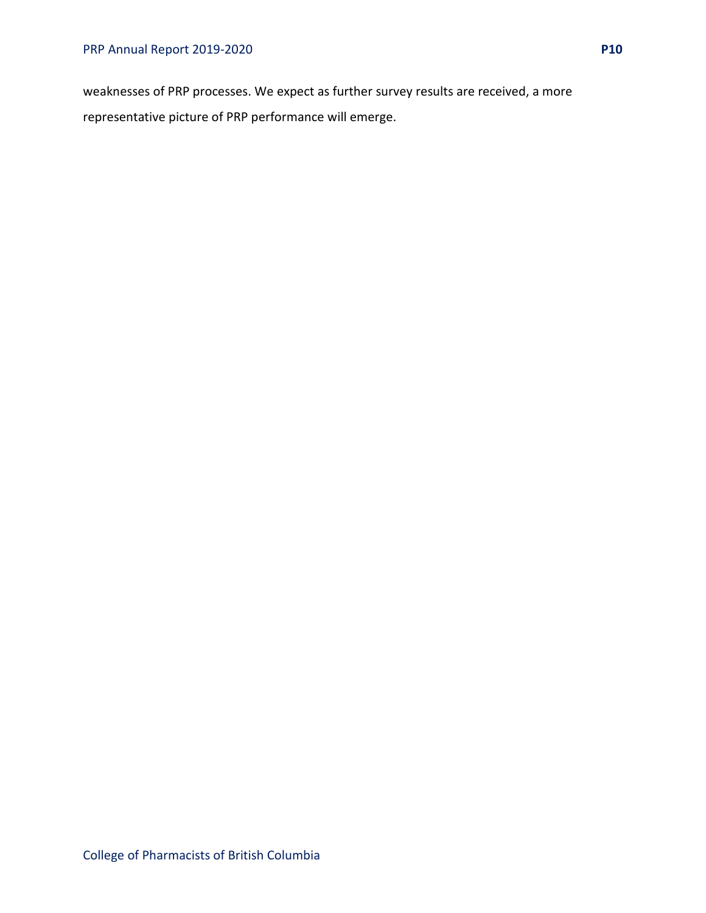weaknesses of PRP processes. We expect as further survey results are received, a more representative picture of PRP performance will emerge.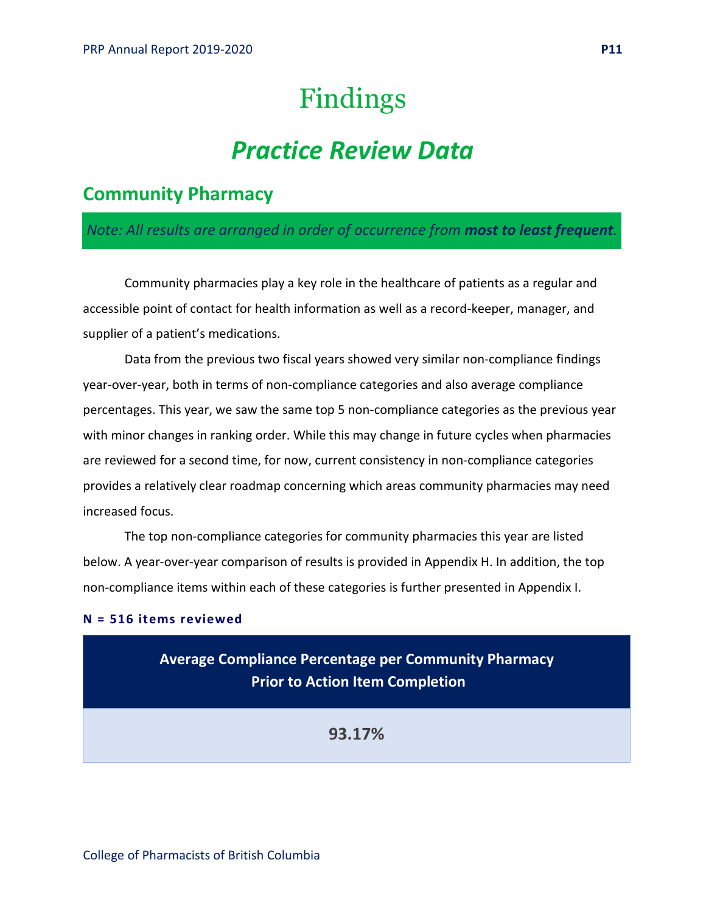# Findings

# *Practice Review Data*

# <span id="page-10-1"></span><span id="page-10-0"></span>**Community Pharmacy**

### *Note: All results are arranged in order of occurrence from most to least frequent.*

Community pharmacies play a key role in the healthcare of patients as a regular and accessible point of contact for health information as well as a record-keeper, manager, and supplier of a patient's medications.

Data from the previous two fiscal years showed very similar non-compliance findings year-over-year, both in terms of non-compliance categories and also average compliance percentages. This year, we saw the same top 5 non-compliance categories as the previous year with minor changes in ranking order. While this may change in future cycles when pharmacies are reviewed for a second time, for now, current consistency in non-compliance categories provides a relatively clear roadmap concerning which areas community pharmacies may need increased focus.

The top non-compliance categories for community pharmacies this year are listed below. A year-over-year comparison of results is provided in Appendix H. In addition, the top non-compliance items within each of these categories is further presented in Appendix I.

#### **N = 516 items reviewed**

**Average Compliance Percentage per Community Pharmacy Prior to Action Item Completion**

**93.17%**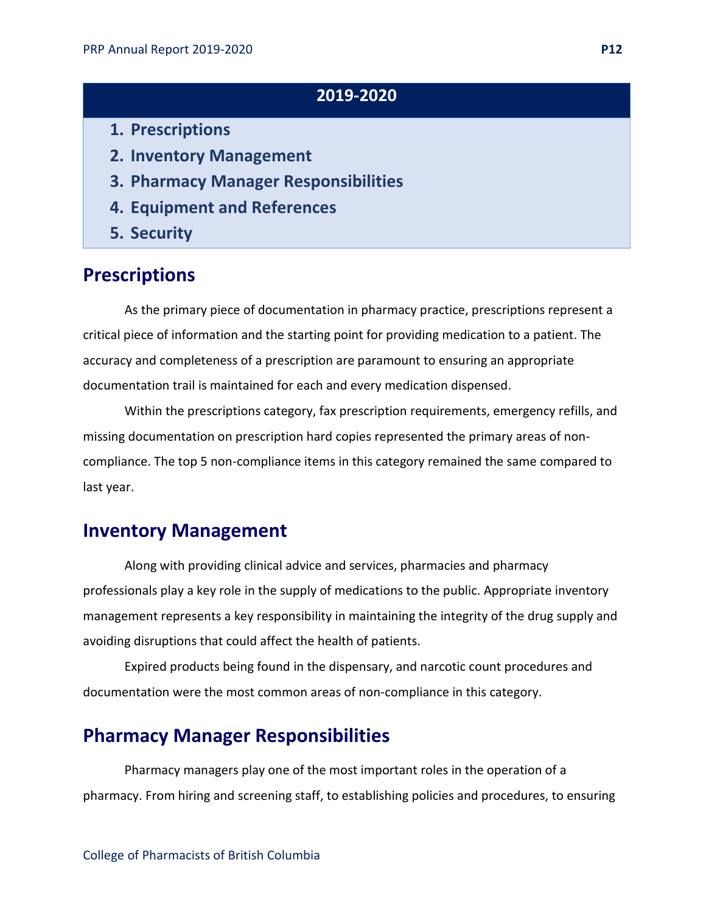## **2019-2020**

- **1. Prescriptions**
- **2. Inventory Management**
- **3. Pharmacy Manager Responsibilities**
- **4. Equipment and References**
- **5. Security**

# **Prescriptions**

As the primary piece of documentation in pharmacy practice, prescriptions represent a critical piece of information and the starting point for providing medication to a patient. The accuracy and completeness of a prescription are paramount to ensuring an appropriate documentation trail is maintained for each and every medication dispensed.

Within the prescriptions category, fax prescription requirements, emergency refills, and missing documentation on prescription hard copies represented the primary areas of noncompliance. The top 5 non-compliance items in this category remained the same compared to last year.

# **Inventory Management**

Along with providing clinical advice and services, pharmacies and pharmacy professionals play a key role in the supply of medications to the public. Appropriate inventory management represents a key responsibility in maintaining the integrity of the drug supply and avoiding disruptions that could affect the health of patients.

Expired products being found in the dispensary, and narcotic count procedures and documentation were the most common areas of non-compliance in this category.

### **Pharmacy Manager Responsibilities**

Pharmacy managers play one of the most important roles in the operation of a pharmacy. From hiring and screening staff, to establishing policies and procedures, to ensuring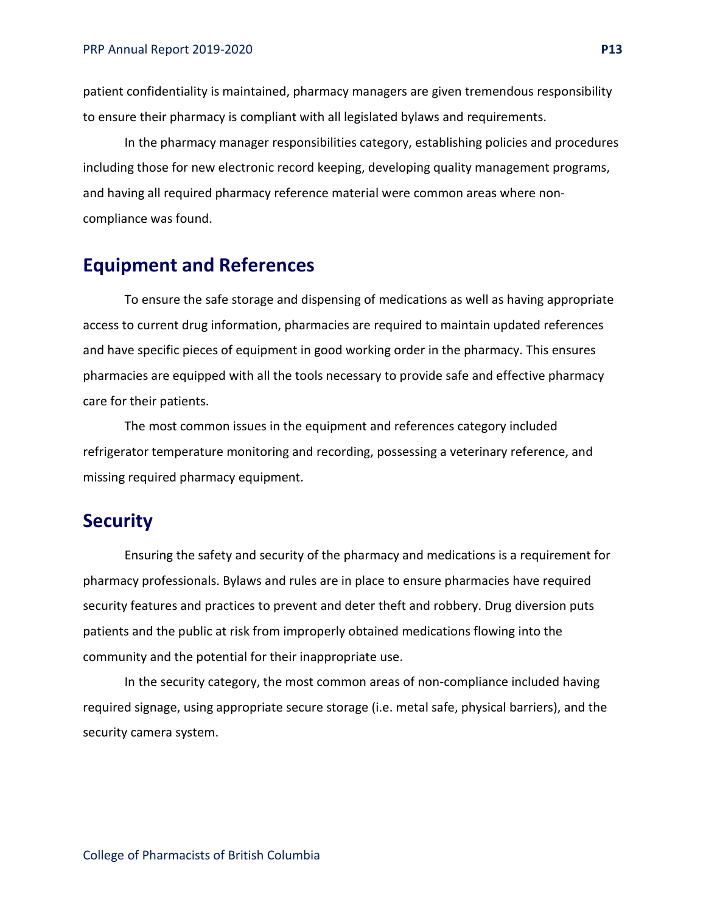patient confidentiality is maintained, pharmacy managers are given tremendous responsibility to ensure their pharmacy is compliant with all legislated bylaws and requirements.

In the pharmacy manager responsibilities category, establishing policies and procedures including those for new electronic record keeping, developing quality management programs, and having all required pharmacy reference material were common areas where noncompliance was found.

## **Equipment and References**

To ensure the safe storage and dispensing of medications as well as having appropriate access to current drug information, pharmacies are required to maintain updated references and have specific pieces of equipment in good working order in the pharmacy. This ensures pharmacies are equipped with all the tools necessary to provide safe and effective pharmacy care for their patients.

The most common issues in the equipment and references category included refrigerator temperature monitoring and recording, possessing a veterinary reference, and missing required pharmacy equipment.

### **Security**

Ensuring the safety and security of the pharmacy and medications is a requirement for pharmacy professionals. Bylaws and rules are in place to ensure pharmacies have required security features and practices to prevent and deter theft and robbery. Drug diversion puts patients and the public at risk from improperly obtained medications flowing into the community and the potential for their inappropriate use.

In the security category, the most common areas of non-compliance included having required signage, using appropriate secure storage (i.e. metal safe, physical barriers), and the security camera system.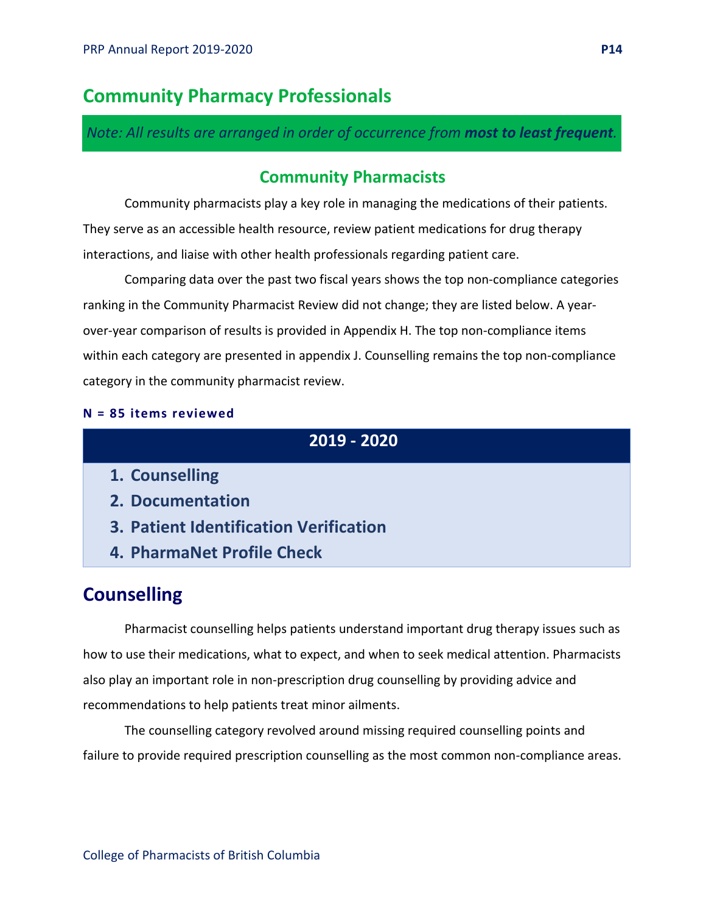# **Community Pharmacy Professionals**

*Note: All results are arranged in order of occurrence from most to least frequent.*

### **Community Pharmacists**

Community pharmacists play a key role in managing the medications of their patients. They serve as an accessible health resource, review patient medications for drug therapy interactions, and liaise with other health professionals regarding patient care.

Comparing data over the past two fiscal years shows the top non-compliance categories ranking in the Community Pharmacist Review did not change; they are listed below. A yearover-year comparison of results is provided in Appendix H. The top non-compliance items within each category are presented in appendix J. Counselling remains the top non-compliance category in the community pharmacist review.

#### **N = 85 items reviewed**

# **2019 - 2020**

- **1. Counselling**
- **2. Documentation**
- **3. Patient Identification Verification**
- **4. PharmaNet Profile Check**

# **Counselling**

Pharmacist counselling helps patients understand important drug therapy issues such as how to use their medications, what to expect, and when to seek medical attention. Pharmacists also play an important role in non-prescription drug counselling by providing advice and recommendations to help patients treat minor ailments.

The counselling category revolved around missing required counselling points and failure to provide required prescription counselling as the most common non-compliance areas.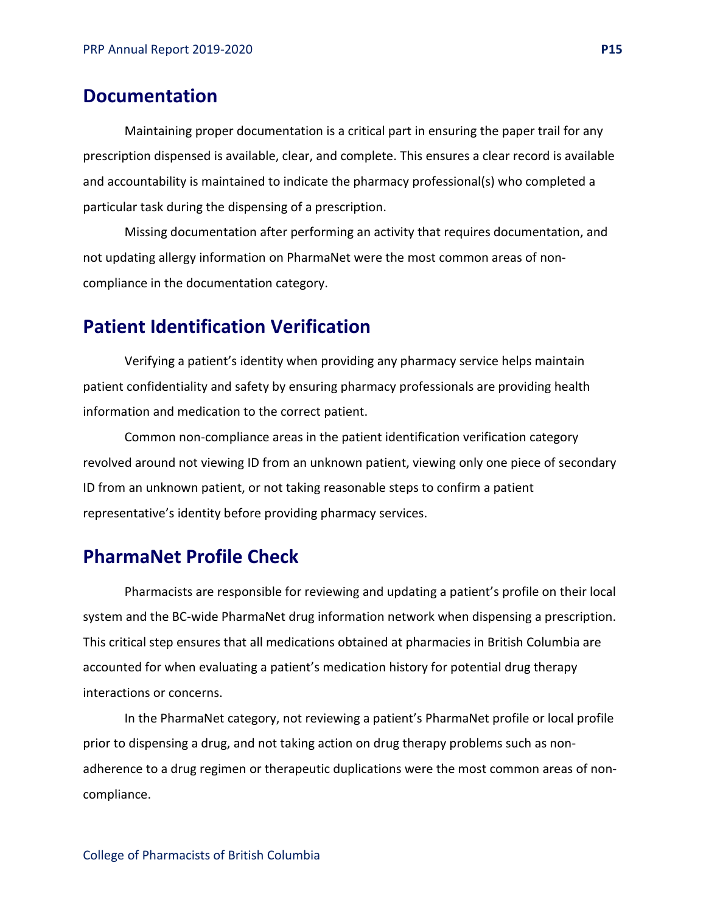### **Documentation**

Maintaining proper documentation is a critical part in ensuring the paper trail for any prescription dispensed is available, clear, and complete. This ensures a clear record is available and accountability is maintained to indicate the pharmacy professional(s) who completed a particular task during the dispensing of a prescription.

Missing documentation after performing an activity that requires documentation, and not updating allergy information on PharmaNet were the most common areas of noncompliance in the documentation category.

# **Patient Identification Verification**

Verifying a patient's identity when providing any pharmacy service helps maintain patient confidentiality and safety by ensuring pharmacy professionals are providing health information and medication to the correct patient.

Common non-compliance areas in the patient identification verification category revolved around not viewing ID from an unknown patient, viewing only one piece of secondary ID from an unknown patient, or not taking reasonable steps to confirm a patient representative's identity before providing pharmacy services.

### **PharmaNet Profile Check**

Pharmacists are responsible for reviewing and updating a patient's profile on their local system and the BC-wide PharmaNet drug information network when dispensing a prescription. This critical step ensures that all medications obtained at pharmacies in British Columbia are accounted for when evaluating a patient's medication history for potential drug therapy interactions or concerns.

In the PharmaNet category, not reviewing a patient's PharmaNet profile or local profile prior to dispensing a drug, and not taking action on drug therapy problems such as nonadherence to a drug regimen or therapeutic duplications were the most common areas of noncompliance.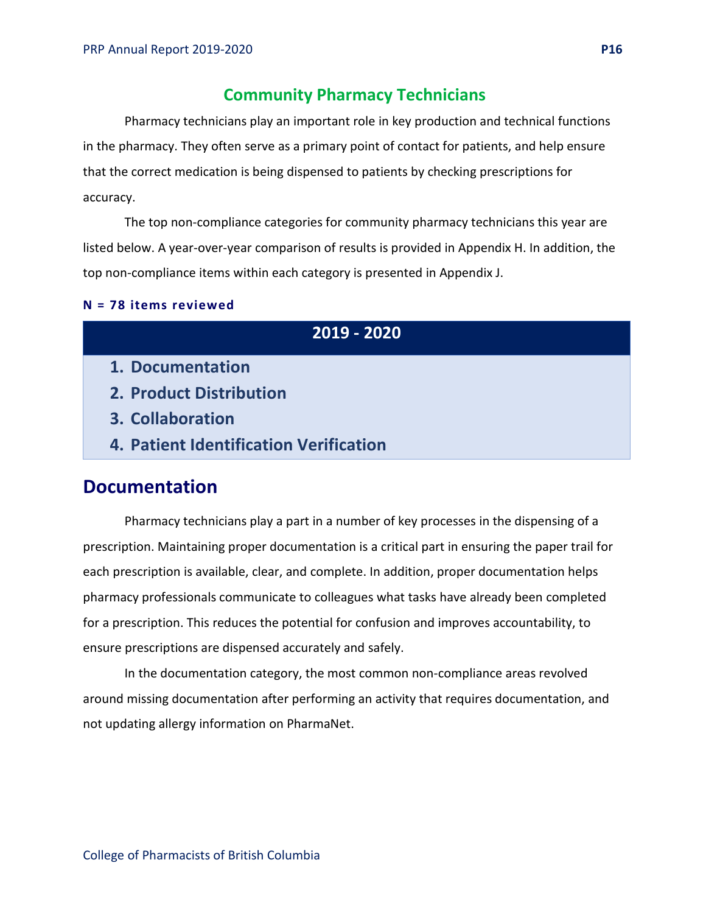### **Community Pharmacy Technicians**

Pharmacy technicians play an important role in key production and technical functions in the pharmacy. They often serve as a primary point of contact for patients, and help ensure that the correct medication is being dispensed to patients by checking prescriptions for accuracy.

The top non-compliance categories for community pharmacy technicians this year are listed below. A year-over-year comparison of results is provided in Appendix H. In addition, the top non-compliance items within each category is presented in Appendix J.

#### **N = 78 items reviewed**

| 2019 - 2020                            |
|----------------------------------------|
| 1. Documentation                       |
| 2. Product Distribution                |
| 3. Collaboration                       |
| 4. Patient Identification Verification |

### **Documentation**

Pharmacy technicians play a part in a number of key processes in the dispensing of a prescription. Maintaining proper documentation is a critical part in ensuring the paper trail for each prescription is available, clear, and complete. In addition, proper documentation helps pharmacy professionals communicate to colleagues what tasks have already been completed for a prescription. This reduces the potential for confusion and improves accountability, to ensure prescriptions are dispensed accurately and safely.

In the documentation category, the most common non-compliance areas revolved around missing documentation after performing an activity that requires documentation, and not updating allergy information on PharmaNet.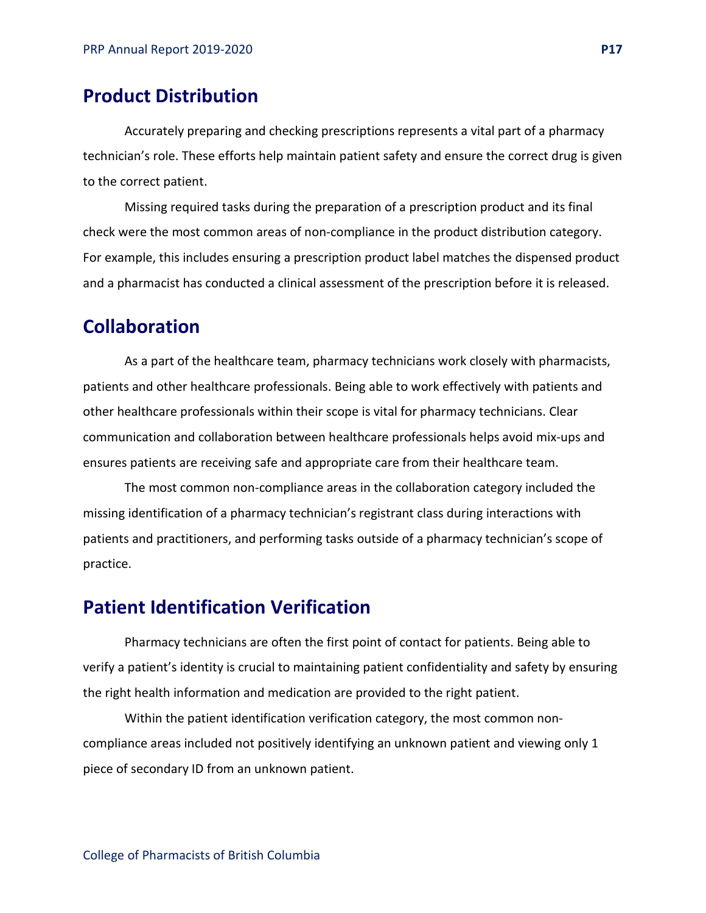## **Product Distribution**

Accurately preparing and checking prescriptions represents a vital part of a pharmacy technician's role. These efforts help maintain patient safety and ensure the correct drug is given to the correct patient.

Missing required tasks during the preparation of a prescription product and its final check were the most common areas of non-compliance in the product distribution category. For example, this includes ensuring a prescription product label matches the dispensed product and a pharmacist has conducted a clinical assessment of the prescription before it is released.

# **Collaboration**

As a part of the healthcare team, pharmacy technicians work closely with pharmacists, patients and other healthcare professionals. Being able to work effectively with patients and other healthcare professionals within their scope is vital for pharmacy technicians. Clear communication and collaboration between healthcare professionals helps avoid mix-ups and ensures patients are receiving safe and appropriate care from their healthcare team.

The most common non-compliance areas in the collaboration category included the missing identification of a pharmacy technician's registrant class during interactions with patients and practitioners, and performing tasks outside of a pharmacy technician's scope of practice.

### **Patient Identification Verification**

Pharmacy technicians are often the first point of contact for patients. Being able to verify a patient's identity is crucial to maintaining patient confidentiality and safety by ensuring the right health information and medication are provided to the right patient.

Within the patient identification verification category, the most common noncompliance areas included not positively identifying an unknown patient and viewing only 1 piece of secondary ID from an unknown patient.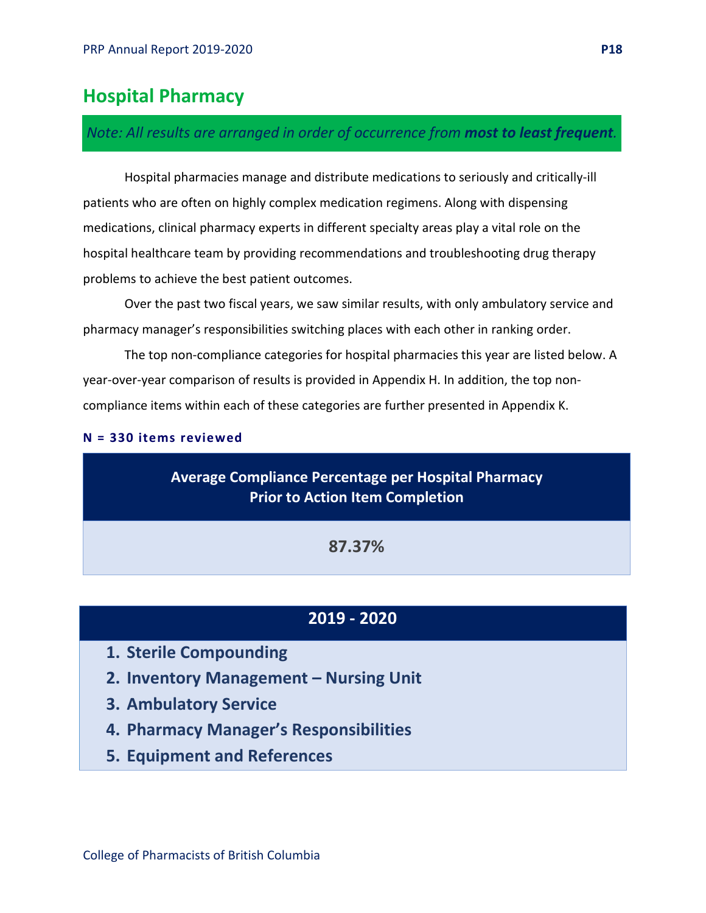# **Hospital Pharmacy**

### *Note: All results are arranged in order of occurrence from most to least frequent.*

Hospital pharmacies manage and distribute medications to seriously and critically-ill patients who are often on highly complex medication regimens. Along with dispensing medications, clinical pharmacy experts in different specialty areas play a vital role on the hospital healthcare team by providing recommendations and troubleshooting drug therapy problems to achieve the best patient outcomes.

Over the past two fiscal years, we saw similar results, with only ambulatory service and pharmacy manager's responsibilities switching places with each other in ranking order.

The top non-compliance categories for hospital pharmacies this year are listed below. A year-over-year comparison of results is provided in Appendix H. In addition, the top noncompliance items within each of these categories are further presented in Appendix K.

#### **N = 330 items reviewed**

### **Average Compliance Percentage per Hospital Pharmacy Prior to Action Item Completion**

**87.37%**

### **2019 - 2020**

- **1. Sterile Compounding**
- **2. Inventory Management – Nursing Unit**
- **3. Ambulatory Service**
- **4. Pharmacy Manager's Responsibilities**
- **5. Equipment and References**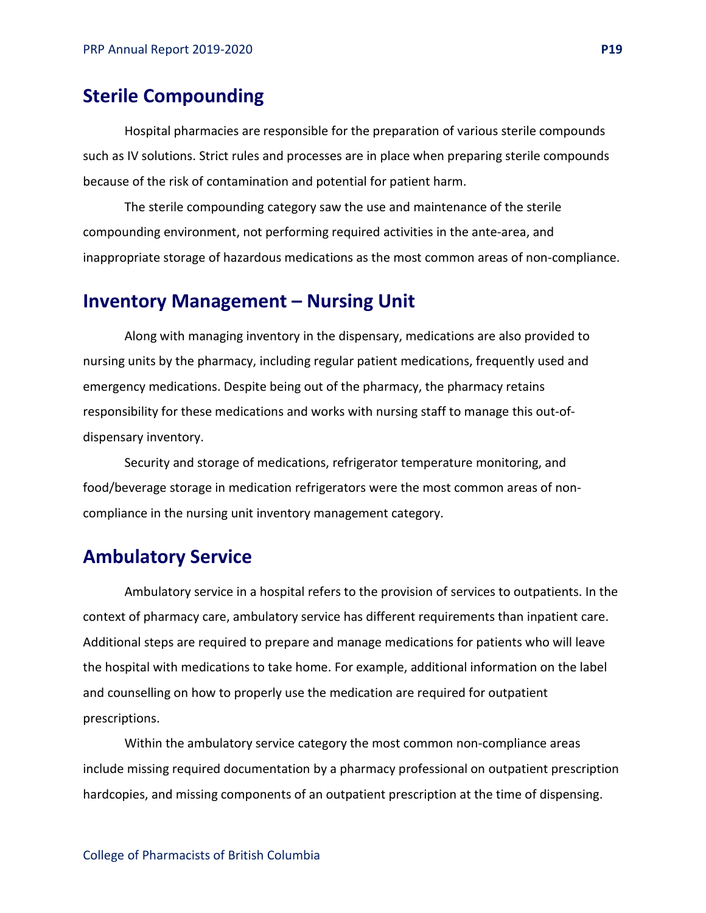# **Sterile Compounding**

Hospital pharmacies are responsible for the preparation of various sterile compounds such as IV solutions. Strict rules and processes are in place when preparing sterile compounds because of the risk of contamination and potential for patient harm.

The sterile compounding category saw the use and maintenance of the sterile compounding environment, not performing required activities in the ante-area, and inappropriate storage of hazardous medications as the most common areas of non-compliance.

### **Inventory Management – Nursing Unit**

Along with managing inventory in the dispensary, medications are also provided to nursing units by the pharmacy, including regular patient medications, frequently used and emergency medications. Despite being out of the pharmacy, the pharmacy retains responsibility for these medications and works with nursing staff to manage this out-ofdispensary inventory.

Security and storage of medications, refrigerator temperature monitoring, and food/beverage storage in medication refrigerators were the most common areas of noncompliance in the nursing unit inventory management category.

### **Ambulatory Service**

Ambulatory service in a hospital refers to the provision of services to outpatients. In the context of pharmacy care, ambulatory service has different requirements than inpatient care. Additional steps are required to prepare and manage medications for patients who will leave the hospital with medications to take home. For example, additional information on the label and counselling on how to properly use the medication are required for outpatient prescriptions.

Within the ambulatory service category the most common non-compliance areas include missing required documentation by a pharmacy professional on outpatient prescription hardcopies, and missing components of an outpatient prescription at the time of dispensing.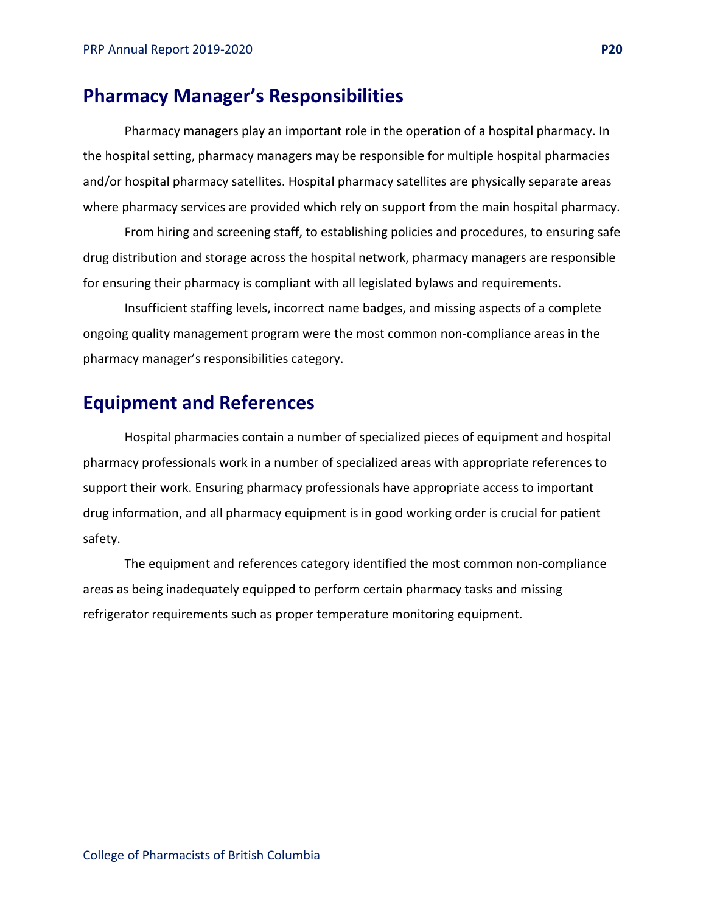### **Pharmacy Manager's Responsibilities**

Pharmacy managers play an important role in the operation of a hospital pharmacy. In the hospital setting, pharmacy managers may be responsible for multiple hospital pharmacies and/or hospital pharmacy satellites. Hospital pharmacy satellites are physically separate areas where pharmacy services are provided which rely on support from the main hospital pharmacy.

From hiring and screening staff, to establishing policies and procedures, to ensuring safe drug distribution and storage across the hospital network, pharmacy managers are responsible for ensuring their pharmacy is compliant with all legislated bylaws and requirements.

Insufficient staffing levels, incorrect name badges, and missing aspects of a complete ongoing quality management program were the most common non-compliance areas in the pharmacy manager's responsibilities category.

## **Equipment and References**

Hospital pharmacies contain a number of specialized pieces of equipment and hospital pharmacy professionals work in a number of specialized areas with appropriate references to support their work. Ensuring pharmacy professionals have appropriate access to important drug information, and all pharmacy equipment is in good working order is crucial for patient safety.

The equipment and references category identified the most common non-compliance areas as being inadequately equipped to perform certain pharmacy tasks and missing refrigerator requirements such as proper temperature monitoring equipment.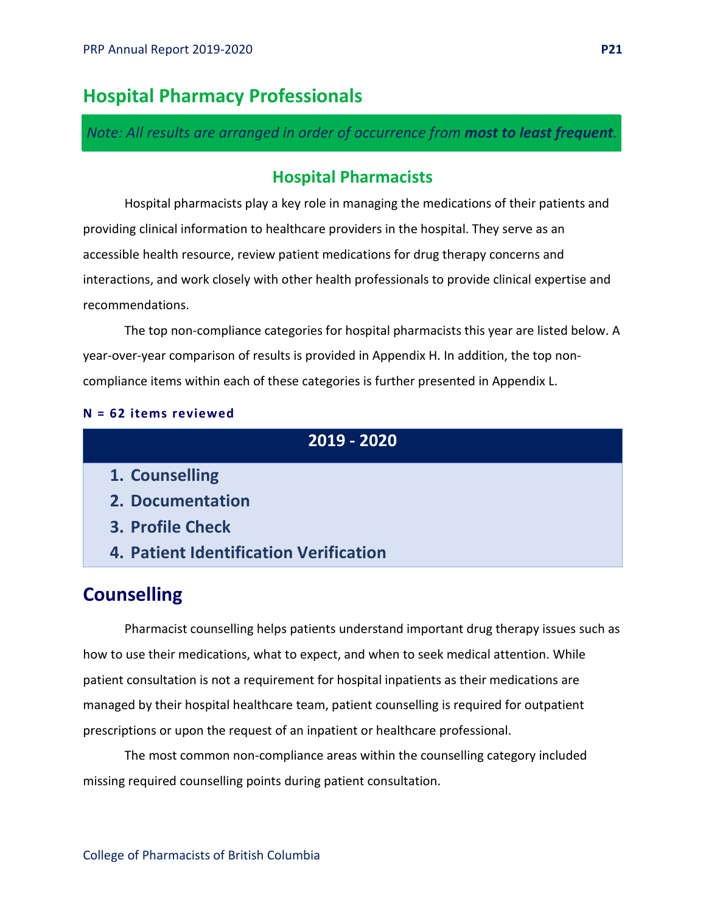# **Hospital Pharmacy Professionals**

*Note: All results are arranged in order of occurrence from most to least frequent.*

### **Hospital Pharmacists**

Hospital pharmacists play a key role in managing the medications of their patients and providing clinical information to healthcare providers in the hospital. They serve as an accessible health resource, review patient medications for drug therapy concerns and interactions, and work closely with other health professionals to provide clinical expertise and recommendations.

The top non-compliance categories for hospital pharmacists this year are listed below. A year-over-year comparison of results is provided in Appendix H. In addition, the top noncompliance items within each of these categories is further presented in Appendix L.

#### **N = 62 items reviewed**

### **2019 - 2020**

- **1. Counselling**
- **2. Documentation**
- **3. Profile Check**
- **4. Patient Identification Verification**

# **Counselling**

Pharmacist counselling helps patients understand important drug therapy issues such as how to use their medications, what to expect, and when to seek medical attention. While patient consultation is not a requirement for hospital inpatients as their medications are managed by their hospital healthcare team, patient counselling is required for outpatient prescriptions or upon the request of an inpatient or healthcare professional.

The most common non-compliance areas within the counselling category included missing required counselling points during patient consultation.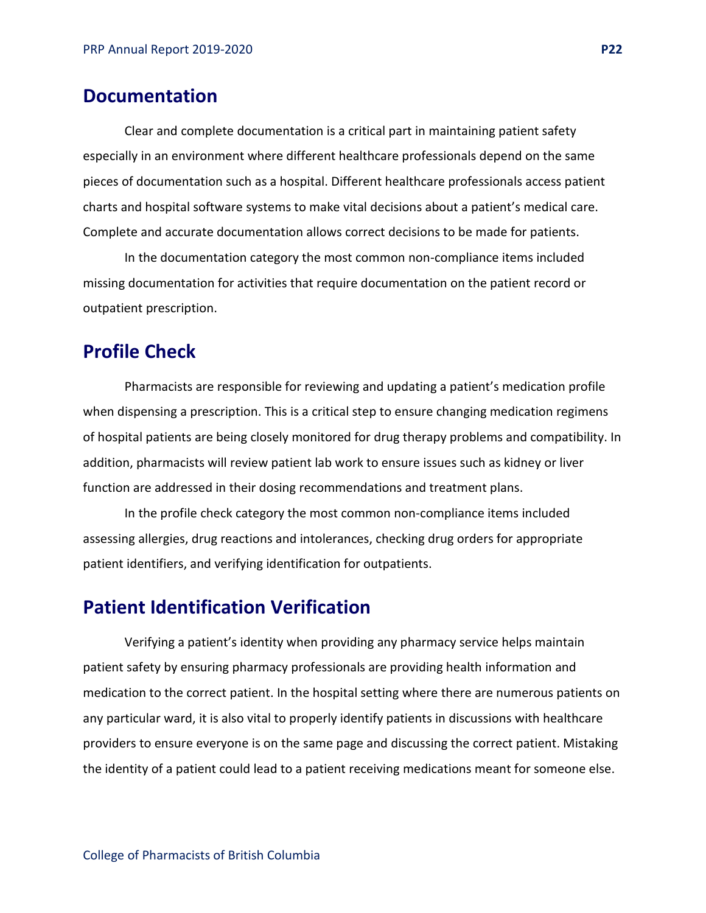## **Documentation**

Clear and complete documentation is a critical part in maintaining patient safety especially in an environment where different healthcare professionals depend on the same pieces of documentation such as a hospital. Different healthcare professionals access patient charts and hospital software systems to make vital decisions about a patient's medical care. Complete and accurate documentation allows correct decisions to be made for patients.

In the documentation category the most common non-compliance items included missing documentation for activities that require documentation on the patient record or outpatient prescription.

# **Profile Check**

Pharmacists are responsible for reviewing and updating a patient's medication profile when dispensing a prescription. This is a critical step to ensure changing medication regimens of hospital patients are being closely monitored for drug therapy problems and compatibility. In addition, pharmacists will review patient lab work to ensure issues such as kidney or liver function are addressed in their dosing recommendations and treatment plans.

In the profile check category the most common non-compliance items included assessing allergies, drug reactions and intolerances, checking drug orders for appropriate patient identifiers, and verifying identification for outpatients.

### **Patient Identification Verification**

Verifying a patient's identity when providing any pharmacy service helps maintain patient safety by ensuring pharmacy professionals are providing health information and medication to the correct patient. In the hospital setting where there are numerous patients on any particular ward, it is also vital to properly identify patients in discussions with healthcare providers to ensure everyone is on the same page and discussing the correct patient. Mistaking the identity of a patient could lead to a patient receiving medications meant for someone else.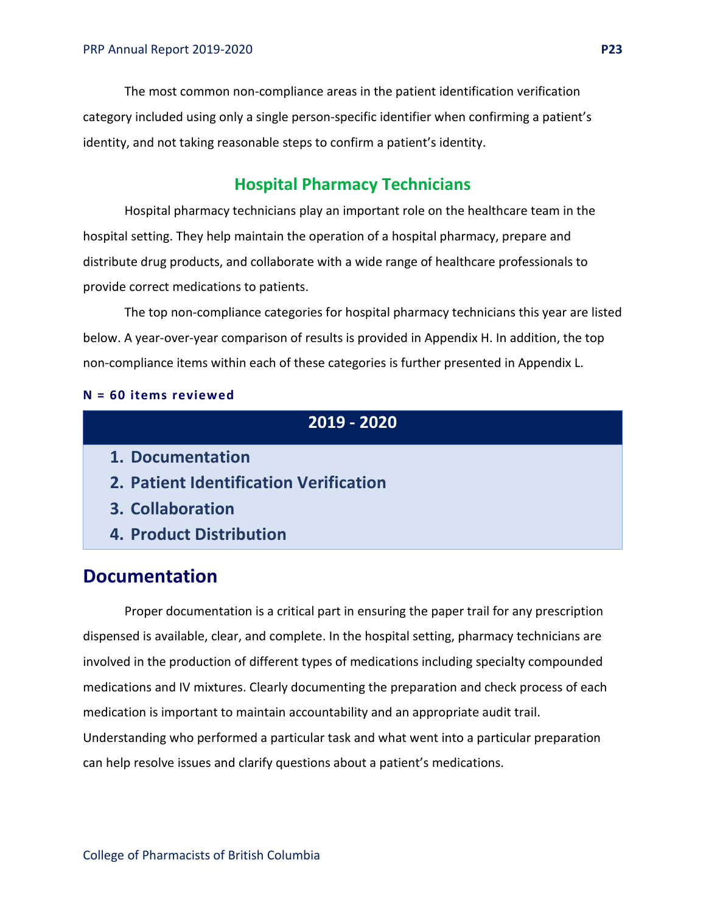The most common non-compliance areas in the patient identification verification category included using only a single person-specific identifier when confirming a patient's identity, and not taking reasonable steps to confirm a patient's identity.

### **Hospital Pharmacy Technicians**

Hospital pharmacy technicians play an important role on the healthcare team in the hospital setting. They help maintain the operation of a hospital pharmacy, prepare and distribute drug products, and collaborate with a wide range of healthcare professionals to provide correct medications to patients.

The top non-compliance categories for hospital pharmacy technicians this year are listed below. A year-over-year comparison of results is provided in Appendix H. In addition, the top non-compliance items within each of these categories is further presented in Appendix L.

#### **N = 60 items reviewed**

### **2019 - 2020**

- **1. Documentation**
- **2. Patient Identification Verification**
- **3. Collaboration**
- **4. Product Distribution**

### **Documentation**

Proper documentation is a critical part in ensuring the paper trail for any prescription dispensed is available, clear, and complete. In the hospital setting, pharmacy technicians are involved in the production of different types of medications including specialty compounded medications and IV mixtures. Clearly documenting the preparation and check process of each medication is important to maintain accountability and an appropriate audit trail. Understanding who performed a particular task and what went into a particular preparation can help resolve issues and clarify questions about a patient's medications.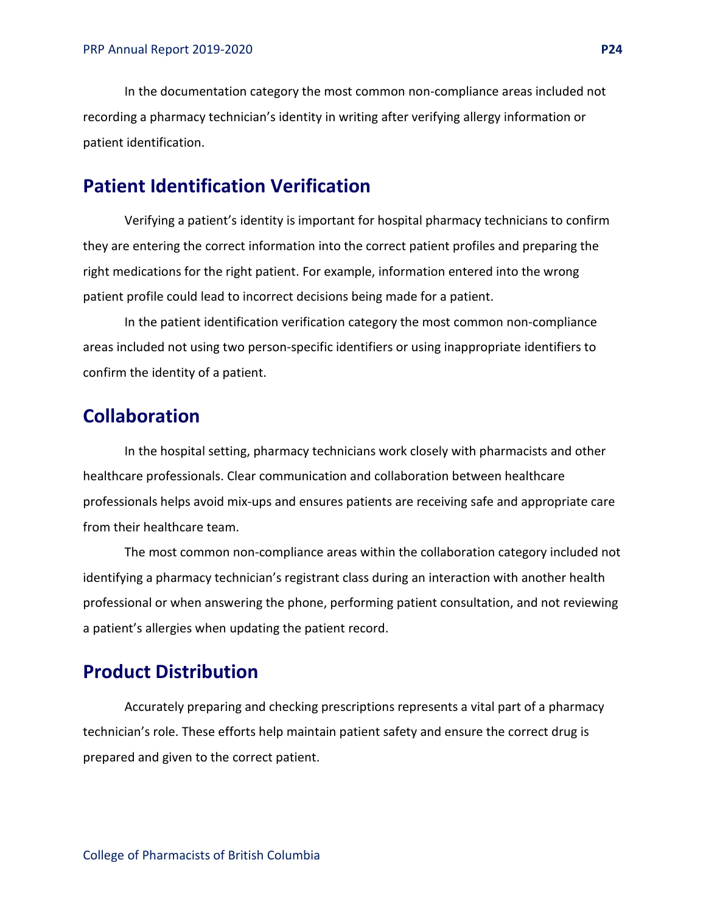In the documentation category the most common non-compliance areas included not recording a pharmacy technician's identity in writing after verifying allergy information or patient identification.

# **Patient Identification Verification**

Verifying a patient's identity is important for hospital pharmacy technicians to confirm they are entering the correct information into the correct patient profiles and preparing the right medications for the right patient. For example, information entered into the wrong patient profile could lead to incorrect decisions being made for a patient.

In the patient identification verification category the most common non-compliance areas included not using two person-specific identifiers or using inappropriate identifiers to confirm the identity of a patient.

### **Collaboration**

In the hospital setting, pharmacy technicians work closely with pharmacists and other healthcare professionals. Clear communication and collaboration between healthcare professionals helps avoid mix-ups and ensures patients are receiving safe and appropriate care from their healthcare team.

The most common non-compliance areas within the collaboration category included not identifying a pharmacy technician's registrant class during an interaction with another health professional or when answering the phone, performing patient consultation, and not reviewing a patient's allergies when updating the patient record.

### **Product Distribution**

Accurately preparing and checking prescriptions represents a vital part of a pharmacy technician's role. These efforts help maintain patient safety and ensure the correct drug is prepared and given to the correct patient.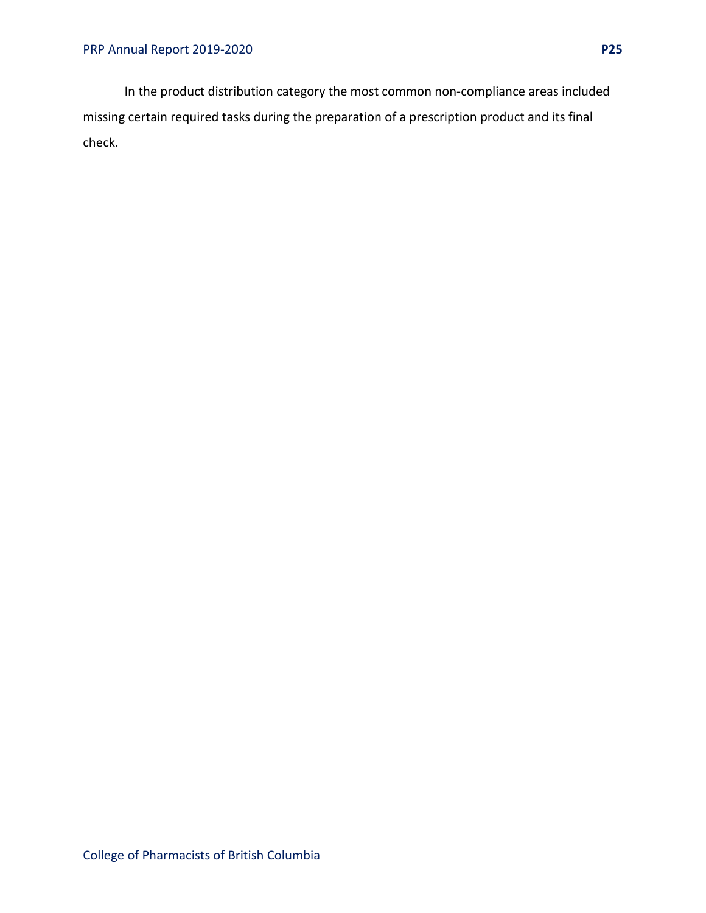In the product distribution category the most common non-compliance areas included missing certain required tasks during the preparation of a prescription product and its final check.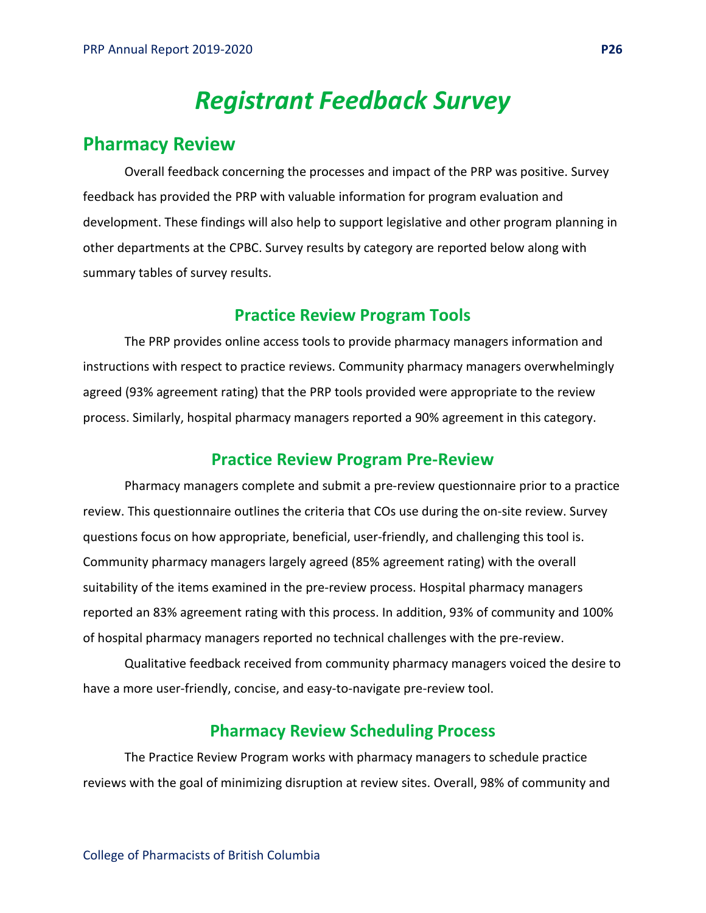# *Registrant Feedback Survey*

## <span id="page-25-0"></span>**Pharmacy Review**

Overall feedback concerning the processes and impact of the PRP was positive. Survey feedback has provided the PRP with valuable information for program evaluation and development. These findings will also help to support legislative and other program planning in other departments at the CPBC. Survey results by category are reported below along with summary tables of survey results.

### **Practice Review Program Tools**

The PRP provides online access tools to provide pharmacy managers information and instructions with respect to practice reviews. Community pharmacy managers overwhelmingly agreed (93% agreement rating) that the PRP tools provided were appropriate to the review process. Similarly, hospital pharmacy managers reported a 90% agreement in this category.

### **Practice Review Program Pre-Review**

Pharmacy managers complete and submit a pre-review questionnaire prior to a practice review. This questionnaire outlines the criteria that COs use during the on-site review. Survey questions focus on how appropriate, beneficial, user-friendly, and challenging this tool is. Community pharmacy managers largely agreed (85% agreement rating) with the overall suitability of the items examined in the pre-review process. Hospital pharmacy managers reported an 83% agreement rating with this process. In addition, 93% of community and 100% of hospital pharmacy managers reported no technical challenges with the pre-review.

Qualitative feedback received from community pharmacy managers voiced the desire to have a more user-friendly, concise, and easy-to-navigate pre-review tool.

### **Pharmacy Review Scheduling Process**

The Practice Review Program works with pharmacy managers to schedule practice reviews with the goal of minimizing disruption at review sites. Overall, 98% of community and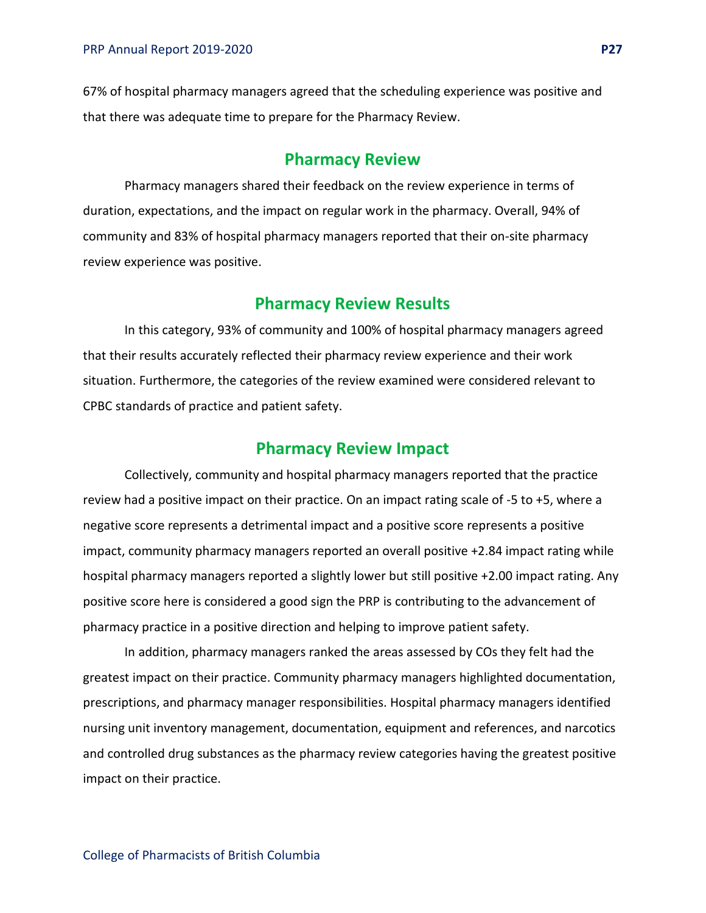67% of hospital pharmacy managers agreed that the scheduling experience was positive and that there was adequate time to prepare for the Pharmacy Review.

### **Pharmacy Review**

Pharmacy managers shared their feedback on the review experience in terms of duration, expectations, and the impact on regular work in the pharmacy. Overall, 94% of community and 83% of hospital pharmacy managers reported that their on-site pharmacy review experience was positive.

### **Pharmacy Review Results**

In this category, 93% of community and 100% of hospital pharmacy managers agreed that their results accurately reflected their pharmacy review experience and their work situation. Furthermore, the categories of the review examined were considered relevant to CPBC standards of practice and patient safety.

### **Pharmacy Review Impact**

Collectively, community and hospital pharmacy managers reported that the practice review had a positive impact on their practice. On an impact rating scale of -5 to +5, where a negative score represents a detrimental impact and a positive score represents a positive impact, community pharmacy managers reported an overall positive +2.84 impact rating while hospital pharmacy managers reported a slightly lower but still positive +2.00 impact rating. Any positive score here is considered a good sign the PRP is contributing to the advancement of pharmacy practice in a positive direction and helping to improve patient safety.

In addition, pharmacy managers ranked the areas assessed by COs they felt had the greatest impact on their practice. Community pharmacy managers highlighted documentation, prescriptions, and pharmacy manager responsibilities. Hospital pharmacy managers identified nursing unit inventory management, documentation, equipment and references, and narcotics and controlled drug substances as the pharmacy review categories having the greatest positive impact on their practice.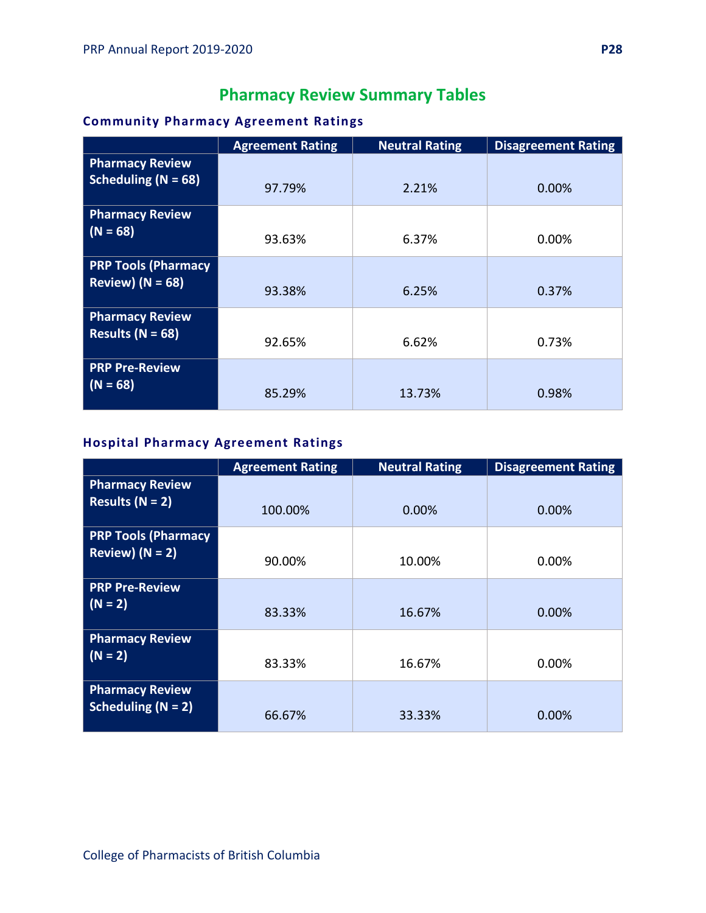# **Pharmacy Review Summary Tables**

### **Community Pharmacy Agreement Ratings**

|                                                    | <b>Agreement Rating</b> | <b>Neutral Rating</b> | <b>Disagreement Rating</b> |
|----------------------------------------------------|-------------------------|-----------------------|----------------------------|
| <b>Pharmacy Review</b><br>Scheduling ( $N = 68$ )  | 97.79%                  | 2.21%                 | 0.00%                      |
| <b>Pharmacy Review</b><br>$(N = 68)$               | 93.63%                  | 6.37%                 | $0.00\%$                   |
| <b>PRP Tools (Pharmacy</b><br>Review) ( $N = 68$ ) | 93.38%                  | 6.25%                 | 0.37%                      |
| <b>Pharmacy Review</b><br>Results ( $N = 68$ )     | 92.65%                  | 6.62%                 | 0.73%                      |
| <b>PRP Pre-Review</b><br>$(N = 68)$                | 85.29%                  | 13.73%                | 0.98%                      |

### **Hospital Pharmacy Agreement Ratings**

|                                                 | <b>Agreement Rating</b> | <b>Neutral Rating</b> | <b>Disagreement Rating</b> |
|-------------------------------------------------|-------------------------|-----------------------|----------------------------|
| <b>Pharmacy Review</b><br>Results $(N = 2)$     | 100.00%                 | 0.00%                 | 0.00%                      |
| <b>PRP Tools (Pharmacy</b><br>Review) $(N = 2)$ | 90.00%                  | 10.00%                | 0.00%                      |
| <b>PRP Pre-Review</b><br>$(N = 2)$              | 83.33%                  | 16.67%                | 0.00%                      |
| <b>Pharmacy Review</b><br>$(N = 2)$             | 83.33%                  | 16.67%                | 0.00%                      |
| <b>Pharmacy Review</b><br>Scheduling $(N = 2)$  | 66.67%                  | 33.33%                | 0.00%                      |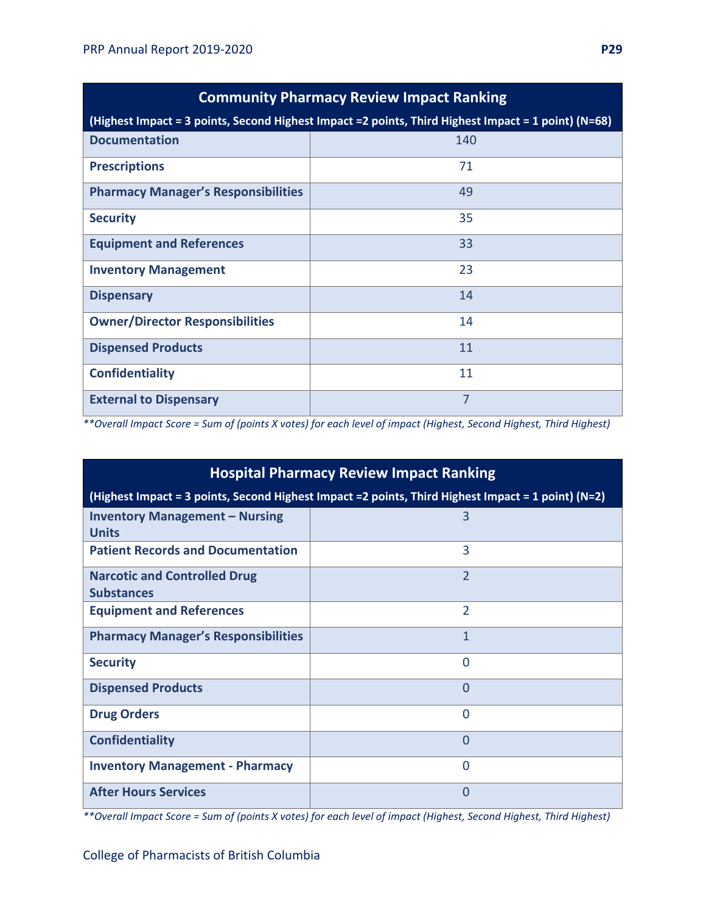| <b>Community Pharmacy Review Impact Ranking</b>                                                      |                |  |
|------------------------------------------------------------------------------------------------------|----------------|--|
| (Highest Impact = 3 points, Second Highest Impact = 2 points, Third Highest Impact = 1 point) (N=68) |                |  |
| <b>Documentation</b>                                                                                 | 140            |  |
| <b>Prescriptions</b>                                                                                 | 71             |  |
| <b>Pharmacy Manager's Responsibilities</b>                                                           | 49             |  |
| <b>Security</b>                                                                                      | 35             |  |
| <b>Equipment and References</b>                                                                      | 33             |  |
| <b>Inventory Management</b>                                                                          | 23             |  |
| <b>Dispensary</b>                                                                                    | 14             |  |
| <b>Owner/Director Responsibilities</b>                                                               | 14             |  |
| <b>Dispensed Products</b>                                                                            | 11             |  |
| <b>Confidentiality</b>                                                                               | 11             |  |
| <b>External to Dispensary</b>                                                                        | $\overline{7}$ |  |

*\*\*Overall Impact Score = Sum of (points X votes) for each level of impact (Highest, Second Highest, Third Highest)*

| <b>Hospital Pharmacy Review Impact Ranking</b>                                                      |                |  |
|-----------------------------------------------------------------------------------------------------|----------------|--|
| (Highest Impact = 3 points, Second Highest Impact = 2 points, Third Highest Impact = 1 point) (N=2) |                |  |
| <b>Inventory Management - Nursing</b><br><b>Units</b>                                               | 3              |  |
| <b>Patient Records and Documentation</b>                                                            | $\overline{3}$ |  |
| <b>Narcotic and Controlled Drug</b><br><b>Substances</b>                                            | $\overline{2}$ |  |
| <b>Equipment and References</b>                                                                     | $\overline{2}$ |  |
| <b>Pharmacy Manager's Responsibilities</b>                                                          | $\mathbf{1}$   |  |
| <b>Security</b>                                                                                     | $\Omega$       |  |
| <b>Dispensed Products</b>                                                                           | $\Omega$       |  |
| <b>Drug Orders</b>                                                                                  | $\Omega$       |  |
| <b>Confidentiality</b>                                                                              | $\Omega$       |  |
| <b>Inventory Management - Pharmacy</b>                                                              | $\Omega$       |  |
| <b>After Hours Services</b>                                                                         | 0              |  |

*\*\*Overall Impact Score = Sum of (points X votes) for each level of impact (Highest, Second Highest, Third Highest)*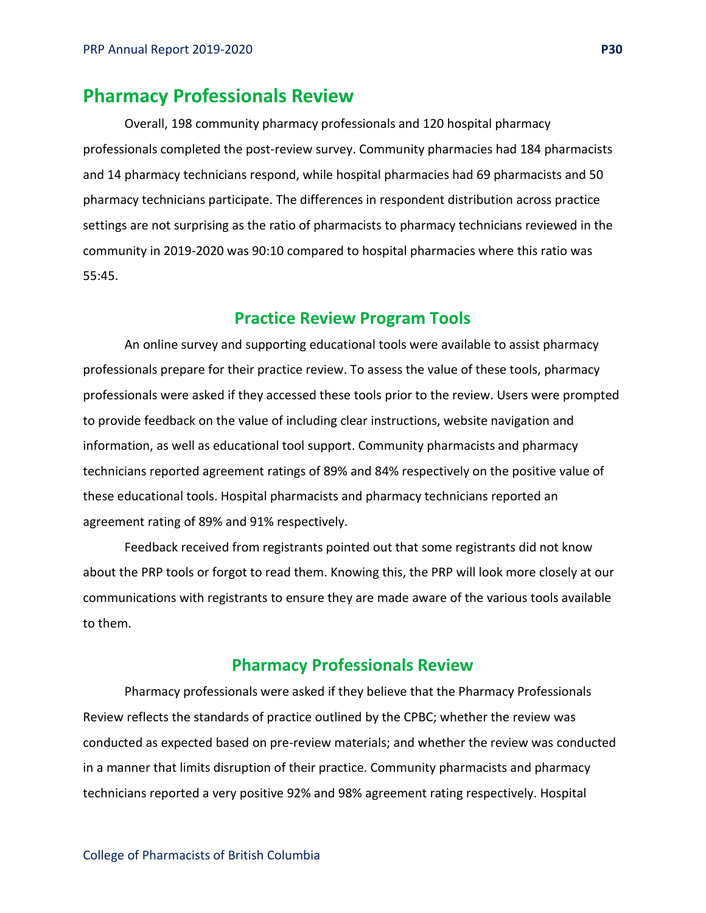### **Pharmacy Professionals Review**

Overall, 198 community pharmacy professionals and 120 hospital pharmacy professionals completed the post-review survey. Community pharmacies had 184 pharmacists and 14 pharmacy technicians respond, while hospital pharmacies had 69 pharmacists and 50 pharmacy technicians participate. The differences in respondent distribution across practice settings are not surprising as the ratio of pharmacists to pharmacy technicians reviewed in the community in 2019-2020 was 90:10 compared to hospital pharmacies where this ratio was 55:45.

### **Practice Review Program Tools**

An online survey and supporting educational tools were available to assist pharmacy professionals prepare for their practice review. To assess the value of these tools, pharmacy professionals were asked if they accessed these tools prior to the review. Users were prompted to provide feedback on the value of including clear instructions, website navigation and information, as well as educational tool support. Community pharmacists and pharmacy technicians reported agreement ratings of 89% and 84% respectively on the positive value of these educational tools. Hospital pharmacists and pharmacy technicians reported an agreement rating of 89% and 91% respectively.

Feedback received from registrants pointed out that some registrants did not know about the PRP tools or forgot to read them. Knowing this, the PRP will look more closely at our communications with registrants to ensure they are made aware of the various tools available to them.

### **Pharmacy Professionals Review**

Pharmacy professionals were asked if they believe that the Pharmacy Professionals Review reflects the standards of practice outlined by the CPBC; whether the review was conducted as expected based on pre-review materials; and whether the review was conducted in a manner that limits disruption of their practice. Community pharmacists and pharmacy technicians reported a very positive 92% and 98% agreement rating respectively. Hospital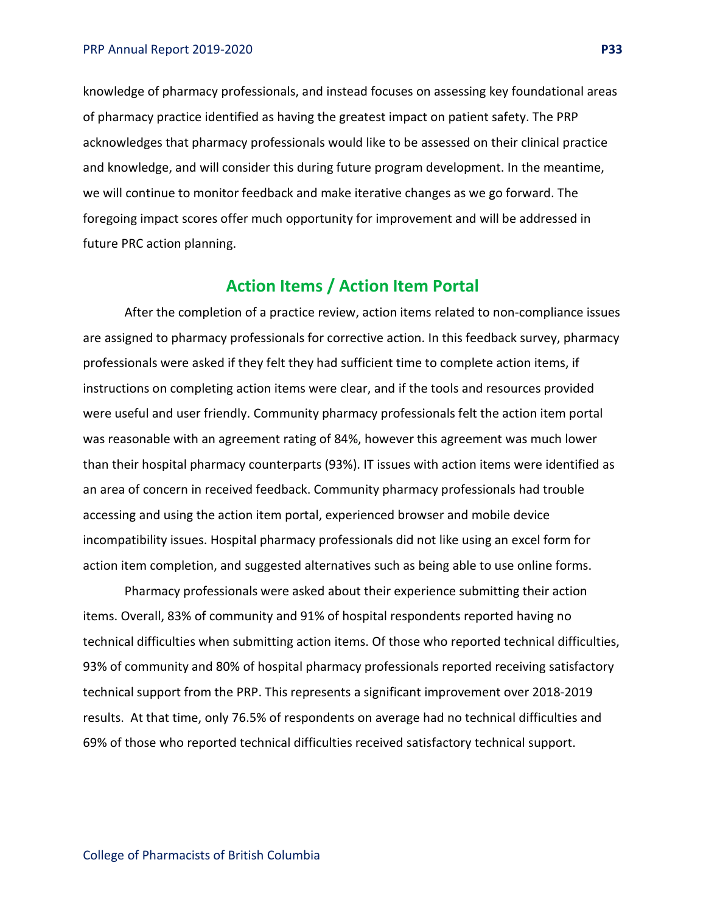knowledge of pharmacy professionals, and instead focuses on assessing key foundational areas of pharmacy practice identified as having the greatest impact on patient safety. The PRP acknowledges that pharmacy professionals would like to be assessed on their clinical practice and knowledge, and will consider this during future program development. In the meantime, we will continue to monitor feedback and make iterative changes as we go forward. The foregoing impact scores offer much opportunity for improvement and will be addressed in future PRC action planning.

### **Action Items / Action Item Portal**

After the completion of a practice review, action items related to non-compliance issues are assigned to pharmacy professionals for corrective action. In this feedback survey, pharmacy professionals were asked if they felt they had sufficient time to complete action items, if instructions on completing action items were clear, and if the tools and resources provided were useful and user friendly. Community pharmacy professionals felt the action item portal was reasonable with an agreement rating of 84%, however this agreement was much lower than their hospital pharmacy counterparts (93%). IT issues with action items were identified as an area of concern in received feedback. Community pharmacy professionals had trouble accessing and using the action item portal, experienced browser and mobile device incompatibility issues. Hospital pharmacy professionals did not like using an excel form for action item completion, and suggested alternatives such as being able to use online forms.

Pharmacy professionals were asked about their experience submitting their action items. Overall, 83% of community and 91% of hospital respondents reported having no technical difficulties when submitting action items. Of those who reported technical difficulties, 93% of community and 80% of hospital pharmacy professionals reported receiving satisfactory technical support from the PRP. This represents a significant improvement over 2018-2019 results. At that time, only 76.5% of respondents on average had no technical difficulties and 69% of those who reported technical difficulties received satisfactory technical support.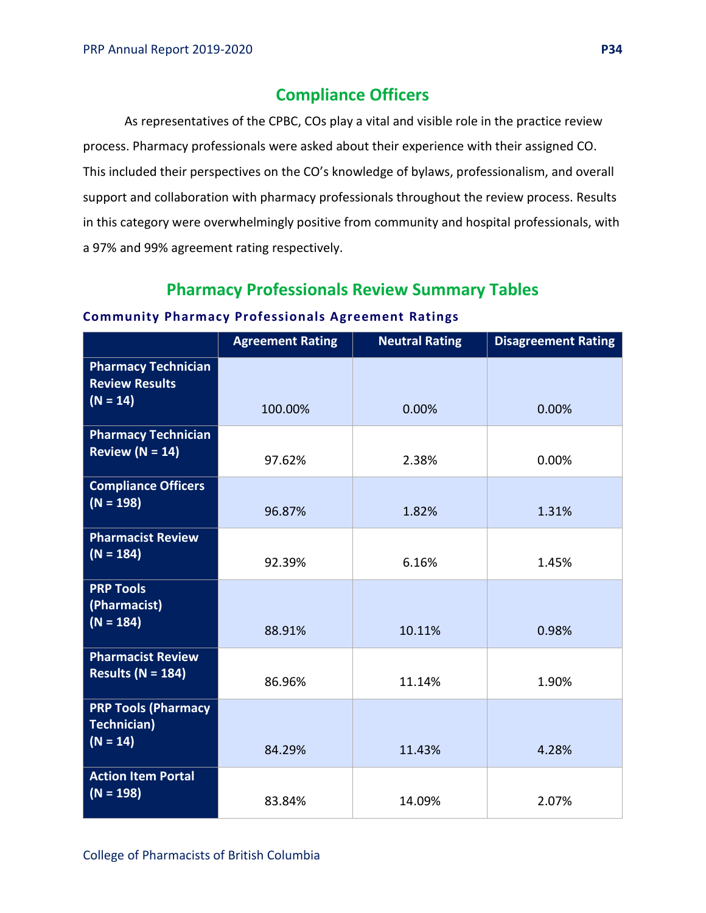### **Compliance Officers**

As representatives of the CPBC, COs play a vital and visible role in the practice review process. Pharmacy professionals were asked about their experience with their assigned CO. This included their perspectives on the CO's knowledge of bylaws, professionalism, and overall support and collaboration with pharmacy professionals throughout the review process. Results in this category were overwhelmingly positive from community and hospital professionals, with a 97% and 99% agreement rating respectively.

### **Pharmacy Professionals Review Summary Tables**

#### **Community Pharmacy Professionals Agreement Ratings**

|                                                                   | <b>Agreement Rating</b> | <b>Neutral Rating</b> | <b>Disagreement Rating</b> |
|-------------------------------------------------------------------|-------------------------|-----------------------|----------------------------|
| <b>Pharmacy Technician</b><br><b>Review Results</b><br>$(N = 14)$ |                         |                       |                            |
|                                                                   | 100.00%                 | 0.00%                 | 0.00%                      |
| <b>Pharmacy Technician</b><br><b>Review</b> $(N = 14)$            | 97.62%                  | 2.38%                 | 0.00%                      |
| <b>Compliance Officers</b><br>$(N = 198)$                         | 96.87%                  | 1.82%                 | 1.31%                      |
| <b>Pharmacist Review</b><br>$(N = 184)$                           | 92.39%                  | 6.16%                 | 1.45%                      |
| <b>PRP Tools</b><br>(Pharmacist)<br>$(N = 184)$                   | 88.91%                  | 10.11%                | 0.98%                      |
| <b>Pharmacist Review</b><br>Results ( $N = 184$ )                 | 86.96%                  | 11.14%                | 1.90%                      |
| <b>PRP Tools (Pharmacy</b><br><b>Technician)</b><br>$(N = 14)$    | 84.29%                  | 11.43%                | 4.28%                      |
| <b>Action Item Portal</b><br>$(N = 198)$                          | 83.84%                  | 14.09%                | 2.07%                      |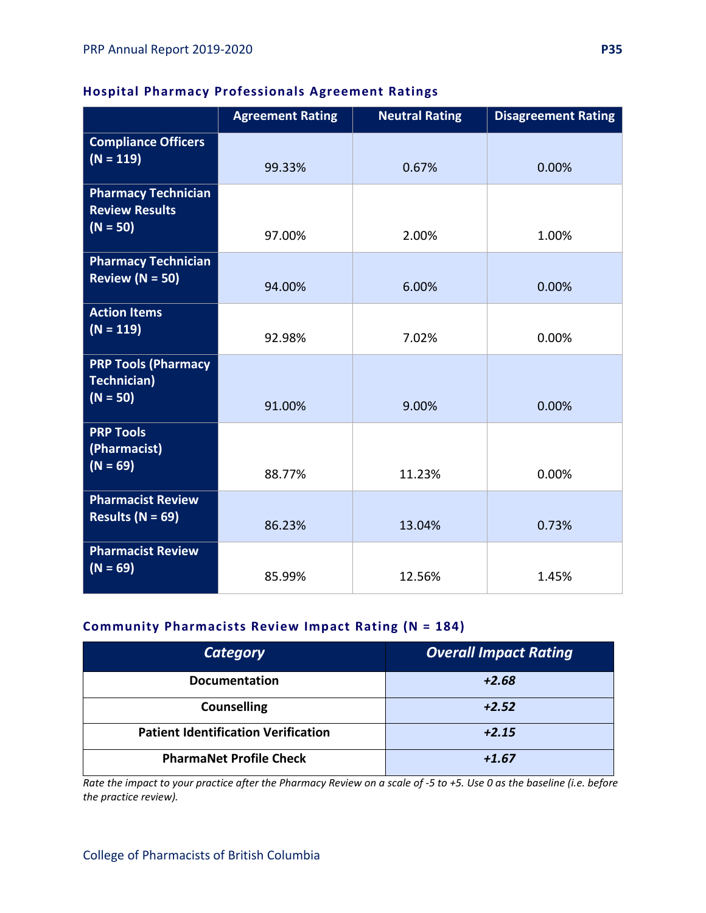### **Hospital Pharmacy Professionals Agreement Ratings**

|                                                                   | <b>Agreement Rating</b> | <b>Neutral Rating</b> | <b>Disagreement Rating</b> |
|-------------------------------------------------------------------|-------------------------|-----------------------|----------------------------|
| <b>Compliance Officers</b><br>$(N = 119)$                         | 99.33%                  | 0.67%                 | 0.00%                      |
| <b>Pharmacy Technician</b><br><b>Review Results</b><br>$(N = 50)$ | 97.00%                  | 2.00%                 | 1.00%                      |
| <b>Pharmacy Technician</b><br>Review ( $N = 50$ )                 | 94.00%                  | 6.00%                 | 0.00%                      |
| <b>Action Items</b><br>$(N = 119)$                                | 92.98%                  | 7.02%                 | 0.00%                      |
| <b>PRP Tools (Pharmacy</b><br>Technician)<br>$(N = 50)$           | 91.00%                  | 9.00%                 | 0.00%                      |
| <b>PRP Tools</b><br>(Pharmacist)<br>$(N = 69)$                    | 88.77%                  | 11.23%                | 0.00%                      |
| <b>Pharmacist Review</b><br>Results ( $N = 69$ )                  | 86.23%                  | 13.04%                | 0.73%                      |
| <b>Pharmacist Review</b><br>$(N = 69)$                            | 85.99%                  | 12.56%                | 1.45%                      |

### **Community Pharmacists Review Impact Rating (N = 184)**

| <b>Category</b>                            | <b>Overall Impact Rating</b> |
|--------------------------------------------|------------------------------|
| <b>Documentation</b>                       | $+2.68$                      |
| <b>Counselling</b>                         | $+2.52$                      |
| <b>Patient Identification Verification</b> | $+2.15$                      |
| <b>PharmaNet Profile Check</b>             | $+1.67$                      |

*Rate the impact to your practice after the Pharmacy Review on a scale of -5 to +5. Use 0 as the baseline (i.e. before the practice review).*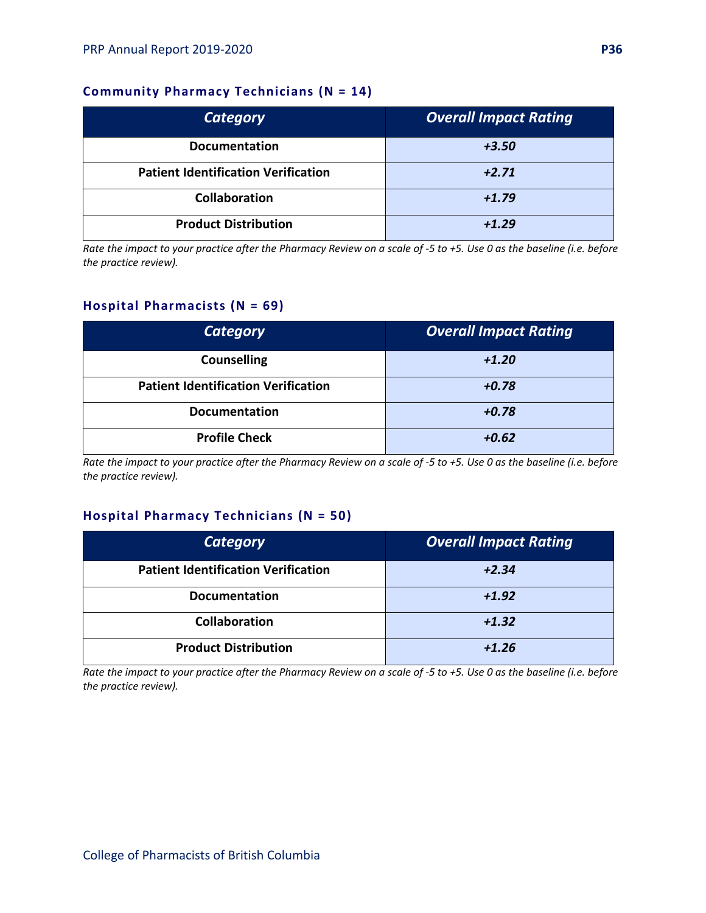### **Community Pharmacy Technicians (N = 14)**

| <b>Category</b>                            | <b>Overall Impact Rating</b> |
|--------------------------------------------|------------------------------|
| <b>Documentation</b>                       | $+3.50$                      |
| <b>Patient Identification Verification</b> | $+2.71$                      |
| <b>Collaboration</b>                       | $+1.79$                      |
| <b>Product Distribution</b>                | $+1.29$                      |

*Rate the impact to your practice after the Pharmacy Review on a scale of -5 to +5. Use 0 as the baseline (i.e. before the practice review).*

#### **Hospital Pharmacists (N = 69)**

| <b>Category</b>                            | <b>Overall Impact Rating</b> |
|--------------------------------------------|------------------------------|
| <b>Counselling</b>                         | $+1.20$                      |
| <b>Patient Identification Verification</b> | $+0.78$                      |
| <b>Documentation</b>                       | $+0.78$                      |
| <b>Profile Check</b>                       | $+0.62$                      |

*Rate the impact to your practice after the Pharmacy Review on a scale of -5 to +5. Use 0 as the baseline (i.e. before the practice review).*

#### **Hospital Pharmacy Technicians (N = 50)**

| <b>Category</b>                            | <b>Overall Impact Rating</b> |
|--------------------------------------------|------------------------------|
| <b>Patient Identification Verification</b> | $+2.34$                      |
| <b>Documentation</b>                       | $+1.92$                      |
| <b>Collaboration</b>                       | $+1.32$                      |
| <b>Product Distribution</b>                | $+1.26$                      |

*Rate the impact to your practice after the Pharmacy Review on a scale of -5 to +5. Use 0 as the baseline (i.e. before the practice review).*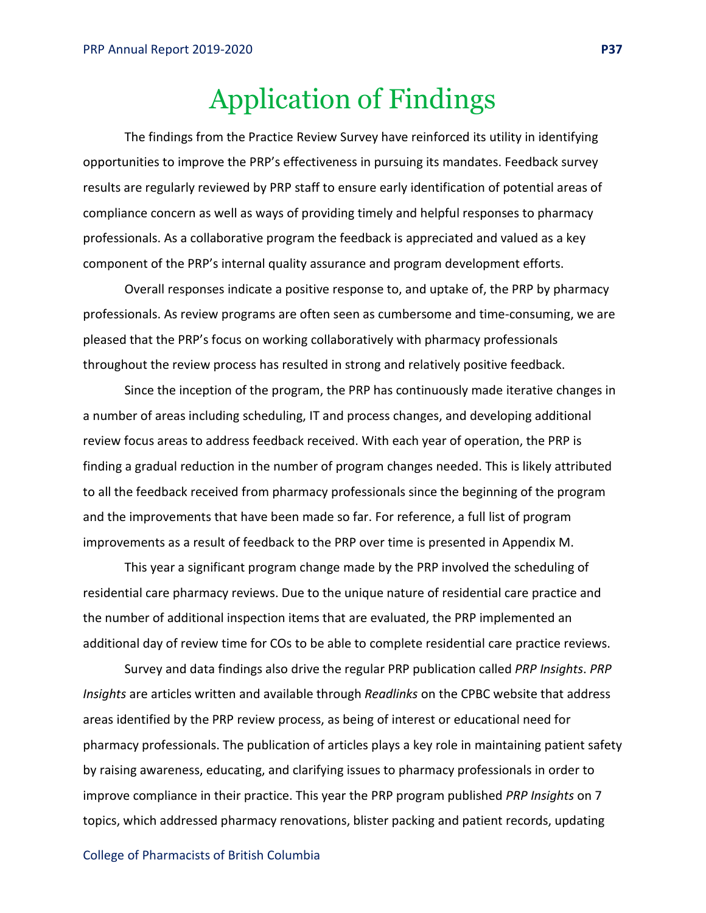## Application of Findings

The findings from the Practice Review Survey have reinforced its utility in identifying opportunities to improve the PRP's effectiveness in pursuing its mandates. Feedback survey results are regularly reviewed by PRP staff to ensure early identification of potential areas of compliance concern as well as ways of providing timely and helpful responses to pharmacy professionals. As a collaborative program the feedback is appreciated and valued as a key component of the PRP's internal quality assurance and program development efforts.

Overall responses indicate a positive response to, and uptake of, the PRP by pharmacy professionals. As review programs are often seen as cumbersome and time-consuming, we are pleased that the PRP's focus on working collaboratively with pharmacy professionals throughout the review process has resulted in strong and relatively positive feedback.

Since the inception of the program, the PRP has continuously made iterative changes in a number of areas including scheduling, IT and process changes, and developing additional review focus areas to address feedback received. With each year of operation, the PRP is finding a gradual reduction in the number of program changes needed. This is likely attributed to all the feedback received from pharmacy professionals since the beginning of the program and the improvements that have been made so far. For reference, a full list of program improvements as a result of feedback to the PRP over time is presented in Appendix M.

This year a significant program change made by the PRP involved the scheduling of residential care pharmacy reviews. Due to the unique nature of residential care practice and the number of additional inspection items that are evaluated, the PRP implemented an additional day of review time for COs to be able to complete residential care practice reviews.

Survey and data findings also drive the regular PRP publication called *PRP Insights*. *PRP Insights* are articles written and available through *Readlinks* on the CPBC website that address areas identified by the PRP review process, as being of interest or educational need for pharmacy professionals. The publication of articles plays a key role in maintaining patient safety by raising awareness, educating, and clarifying issues to pharmacy professionals in order to improve compliance in their practice. This year the PRP program published *PRP Insights* on 7 topics, which addressed pharmacy renovations, blister packing and patient records, updating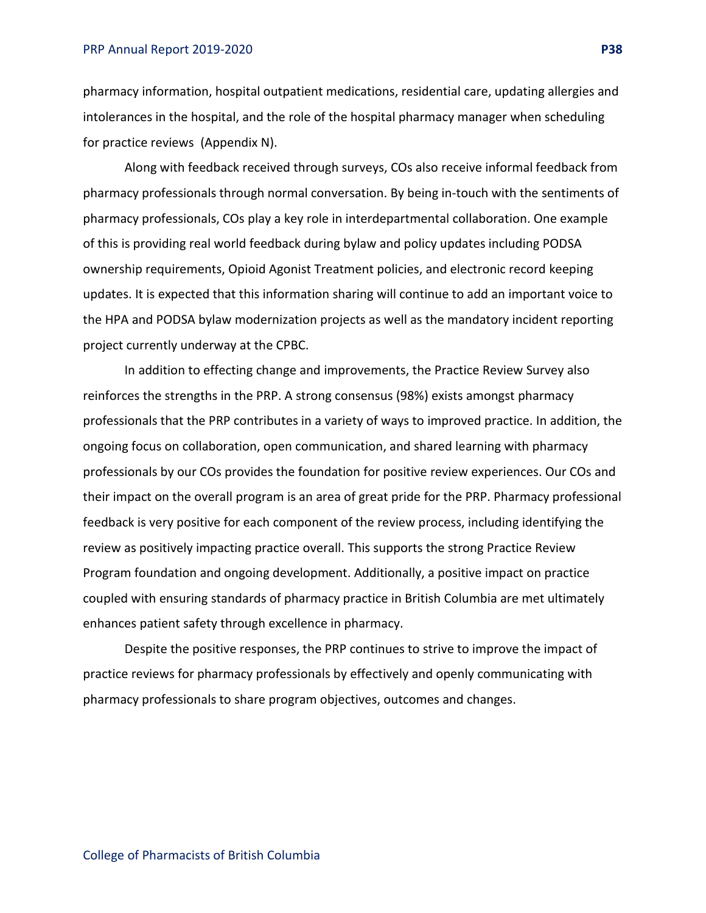pharmacy information, hospital outpatient medications, residential care, updating allergies and intolerances in the hospital, and the role of the hospital pharmacy manager when scheduling for practice reviews (Appendix N).

Along with feedback received through surveys, COs also receive informal feedback from pharmacy professionals through normal conversation. By being in-touch with the sentiments of pharmacy professionals, COs play a key role in interdepartmental collaboration. One example of this is providing real world feedback during bylaw and policy updates including PODSA ownership requirements, Opioid Agonist Treatment policies, and electronic record keeping updates. It is expected that this information sharing will continue to add an important voice to the HPA and PODSA bylaw modernization projects as well as the mandatory incident reporting project currently underway at the CPBC.

In addition to effecting change and improvements, the Practice Review Survey also reinforces the strengths in the PRP. A strong consensus (98%) exists amongst pharmacy professionals that the PRP contributes in a variety of ways to improved practice. In addition, the ongoing focus on collaboration, open communication, and shared learning with pharmacy professionals by our COs provides the foundation for positive review experiences. Our COs and their impact on the overall program is an area of great pride for the PRP. Pharmacy professional feedback is very positive for each component of the review process, including identifying the review as positively impacting practice overall. This supports the strong Practice Review Program foundation and ongoing development. Additionally, a positive impact on practice coupled with ensuring standards of pharmacy practice in British Columbia are met ultimately enhances patient safety through excellence in pharmacy.

Despite the positive responses, the PRP continues to strive to improve the impact of practice reviews for pharmacy professionals by effectively and openly communicating with pharmacy professionals to share program objectives, outcomes and changes.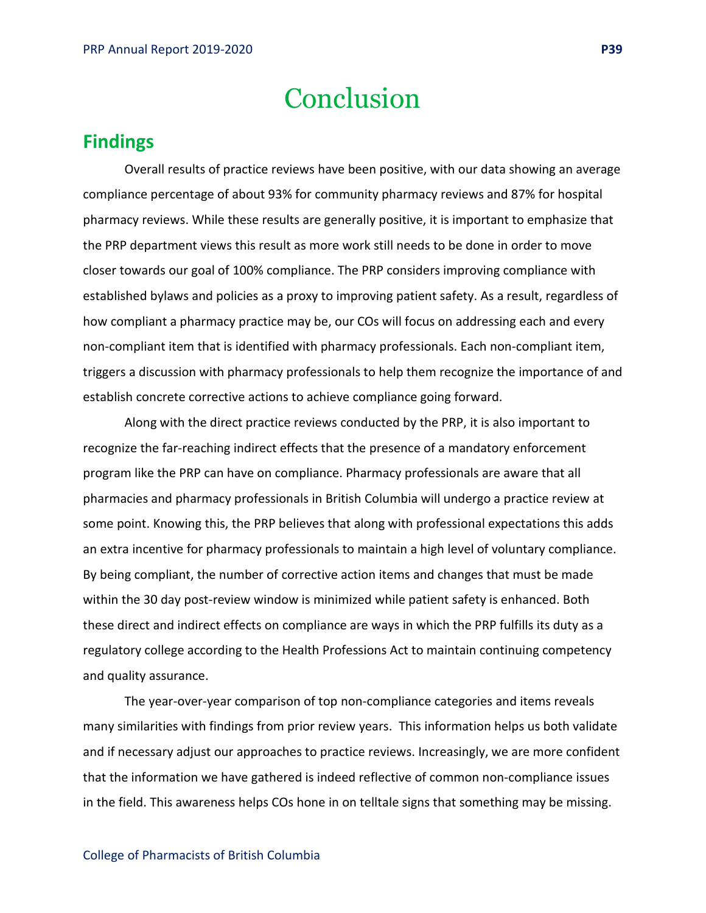## Conclusion

## **Findings**

Overall results of practice reviews have been positive, with our data showing an average compliance percentage of about 93% for community pharmacy reviews and 87% for hospital pharmacy reviews. While these results are generally positive, it is important to emphasize that the PRP department views this result as more work still needs to be done in order to move closer towards our goal of 100% compliance. The PRP considers improving compliance with established bylaws and policies as a proxy to improving patient safety. As a result, regardless of how compliant a pharmacy practice may be, our COs will focus on addressing each and every non-compliant item that is identified with pharmacy professionals. Each non-compliant item, triggers a discussion with pharmacy professionals to help them recognize the importance of and establish concrete corrective actions to achieve compliance going forward.

Along with the direct practice reviews conducted by the PRP, it is also important to recognize the far-reaching indirect effects that the presence of a mandatory enforcement program like the PRP can have on compliance. Pharmacy professionals are aware that all pharmacies and pharmacy professionals in British Columbia will undergo a practice review at some point. Knowing this, the PRP believes that along with professional expectations this adds an extra incentive for pharmacy professionals to maintain a high level of voluntary compliance. By being compliant, the number of corrective action items and changes that must be made within the 30 day post-review window is minimized while patient safety is enhanced. Both these direct and indirect effects on compliance are ways in which the PRP fulfills its duty as a regulatory college according to the Health Professions Act to maintain continuing competency and quality assurance.

The year-over-year comparison of top non-compliance categories and items reveals many similarities with findings from prior review years. This information helps us both validate and if necessary adjust our approaches to practice reviews. Increasingly, we are more confident that the information we have gathered is indeed reflective of common non-compliance issues in the field. This awareness helps COs hone in on telltale signs that something may be missing.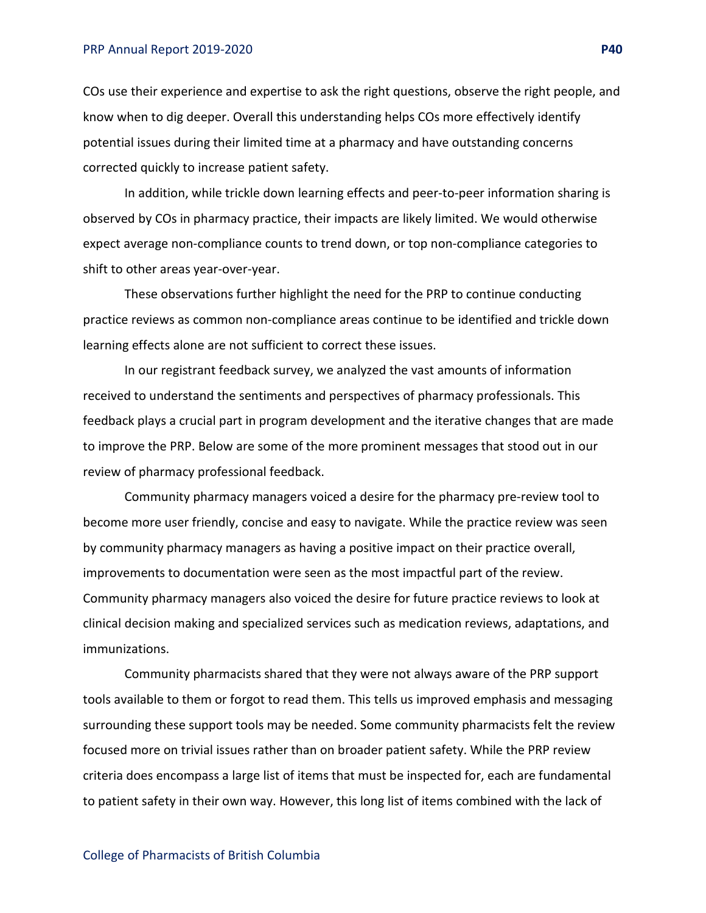#### PRP Annual Report 2019-2020 **P40**

COs use their experience and expertise to ask the right questions, observe the right people, and know when to dig deeper. Overall this understanding helps COs more effectively identify potential issues during their limited time at a pharmacy and have outstanding concerns corrected quickly to increase patient safety.

In addition, while trickle down learning effects and peer-to-peer information sharing is observed by COs in pharmacy practice, their impacts are likely limited. We would otherwise expect average non-compliance counts to trend down, or top non-compliance categories to shift to other areas year-over-year.

These observations further highlight the need for the PRP to continue conducting practice reviews as common non-compliance areas continue to be identified and trickle down learning effects alone are not sufficient to correct these issues.

In our registrant feedback survey, we analyzed the vast amounts of information received to understand the sentiments and perspectives of pharmacy professionals. This feedback plays a crucial part in program development and the iterative changes that are made to improve the PRP. Below are some of the more prominent messages that stood out in our review of pharmacy professional feedback.

Community pharmacy managers voiced a desire for the pharmacy pre-review tool to become more user friendly, concise and easy to navigate. While the practice review was seen by community pharmacy managers as having a positive impact on their practice overall, improvements to documentation were seen as the most impactful part of the review. Community pharmacy managers also voiced the desire for future practice reviews to look at clinical decision making and specialized services such as medication reviews, adaptations, and immunizations.

Community pharmacists shared that they were not always aware of the PRP support tools available to them or forgot to read them. This tells us improved emphasis and messaging surrounding these support tools may be needed. Some community pharmacists felt the review focused more on trivial issues rather than on broader patient safety. While the PRP review criteria does encompass a large list of items that must be inspected for, each are fundamental to patient safety in their own way. However, this long list of items combined with the lack of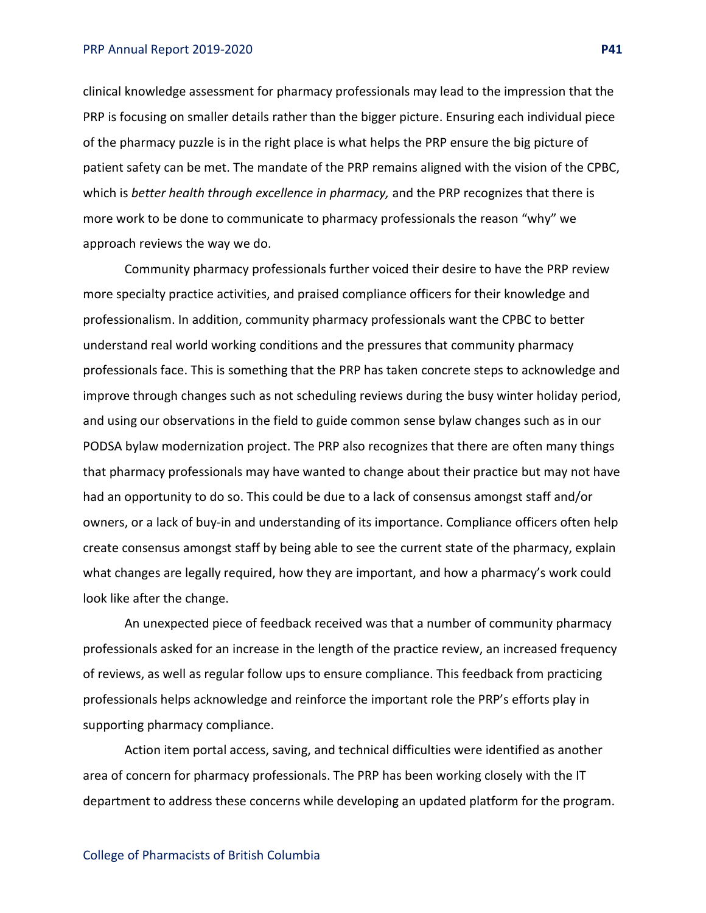#### PRP Annual Report 2019-2020 **P41**

clinical knowledge assessment for pharmacy professionals may lead to the impression that the PRP is focusing on smaller details rather than the bigger picture. Ensuring each individual piece of the pharmacy puzzle is in the right place is what helps the PRP ensure the big picture of patient safety can be met. The mandate of the PRP remains aligned with the vision of the CPBC, which is *better health through excellence in pharmacy,* and the PRP recognizes that there is more work to be done to communicate to pharmacy professionals the reason "why" we approach reviews the way we do.

Community pharmacy professionals further voiced their desire to have the PRP review more specialty practice activities, and praised compliance officers for their knowledge and professionalism. In addition, community pharmacy professionals want the CPBC to better understand real world working conditions and the pressures that community pharmacy professionals face. This is something that the PRP has taken concrete steps to acknowledge and improve through changes such as not scheduling reviews during the busy winter holiday period, and using our observations in the field to guide common sense bylaw changes such as in our PODSA bylaw modernization project. The PRP also recognizes that there are often many things that pharmacy professionals may have wanted to change about their practice but may not have had an opportunity to do so. This could be due to a lack of consensus amongst staff and/or owners, or a lack of buy-in and understanding of its importance. Compliance officers often help create consensus amongst staff by being able to see the current state of the pharmacy, explain what changes are legally required, how they are important, and how a pharmacy's work could look like after the change.

An unexpected piece of feedback received was that a number of community pharmacy professionals asked for an increase in the length of the practice review, an increased frequency of reviews, as well as regular follow ups to ensure compliance. This feedback from practicing professionals helps acknowledge and reinforce the important role the PRP's efforts play in supporting pharmacy compliance.

Action item portal access, saving, and technical difficulties were identified as another area of concern for pharmacy professionals. The PRP has been working closely with the IT department to address these concerns while developing an updated platform for the program.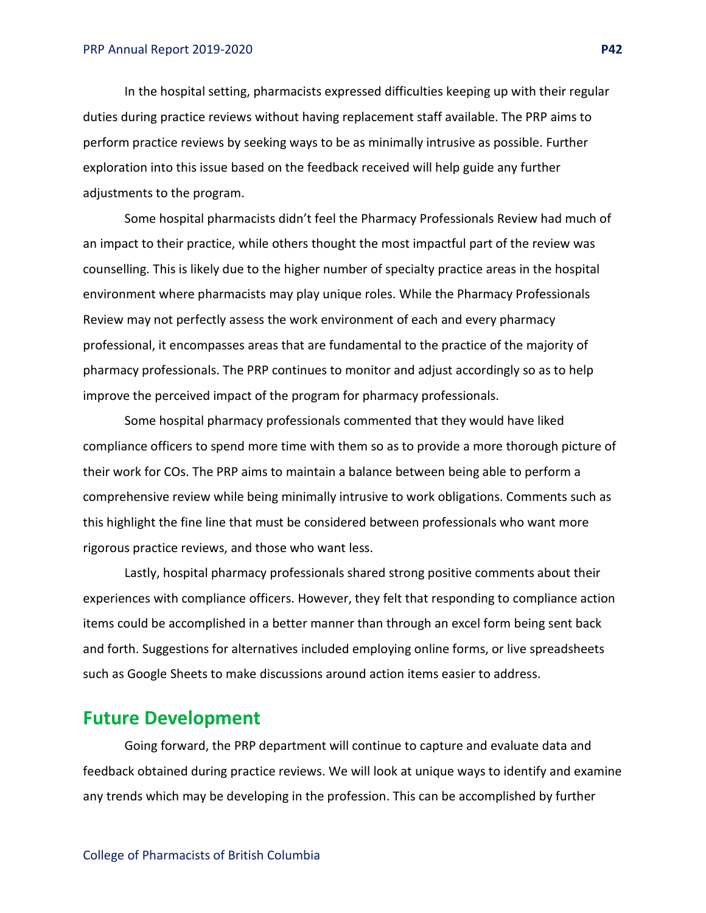In the hospital setting, pharmacists expressed difficulties keeping up with their regular duties during practice reviews without having replacement staff available. The PRP aims to perform practice reviews by seeking ways to be as minimally intrusive as possible. Further exploration into this issue based on the feedback received will help guide any further adjustments to the program.

Some hospital pharmacists didn't feel the Pharmacy Professionals Review had much of an impact to their practice, while others thought the most impactful part of the review was counselling. This is likely due to the higher number of specialty practice areas in the hospital environment where pharmacists may play unique roles. While the Pharmacy Professionals Review may not perfectly assess the work environment of each and every pharmacy professional, it encompasses areas that are fundamental to the practice of the majority of pharmacy professionals. The PRP continues to monitor and adjust accordingly so as to help improve the perceived impact of the program for pharmacy professionals.

Some hospital pharmacy professionals commented that they would have liked compliance officers to spend more time with them so as to provide a more thorough picture of their work for COs. The PRP aims to maintain a balance between being able to perform a comprehensive review while being minimally intrusive to work obligations. Comments such as this highlight the fine line that must be considered between professionals who want more rigorous practice reviews, and those who want less.

Lastly, hospital pharmacy professionals shared strong positive comments about their experiences with compliance officers. However, they felt that responding to compliance action items could be accomplished in a better manner than through an excel form being sent back and forth. Suggestions for alternatives included employing online forms, or live spreadsheets such as Google Sheets to make discussions around action items easier to address.

## **Future Development**

Going forward, the PRP department will continue to capture and evaluate data and feedback obtained during practice reviews. We will look at unique ways to identify and examine any trends which may be developing in the profession. This can be accomplished by further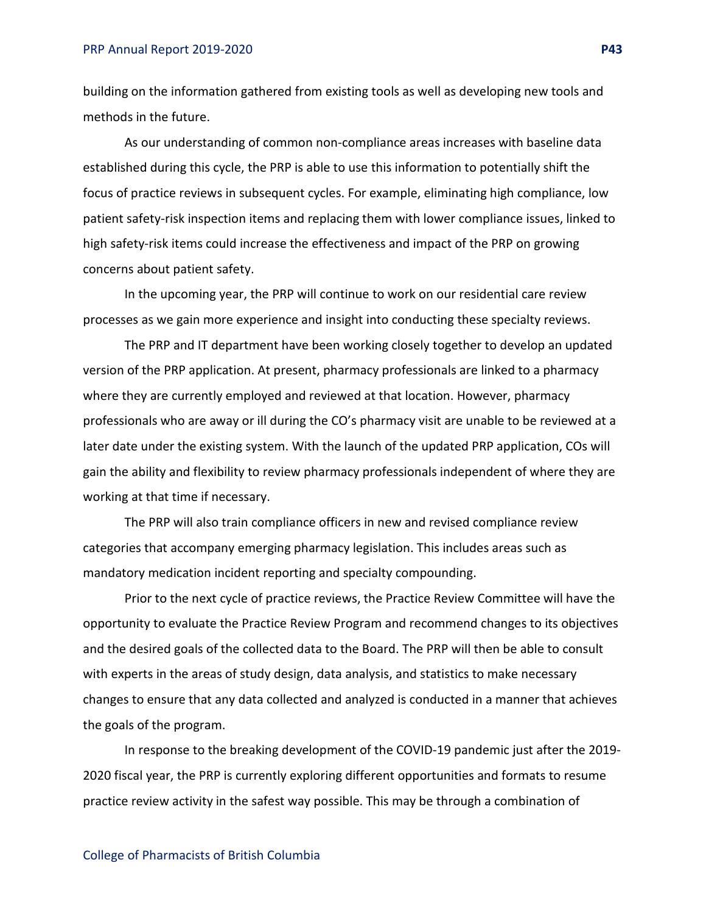building on the information gathered from existing tools as well as developing new tools and methods in the future.

As our understanding of common non-compliance areas increases with baseline data established during this cycle, the PRP is able to use this information to potentially shift the focus of practice reviews in subsequent cycles. For example, eliminating high compliance, low patient safety-risk inspection items and replacing them with lower compliance issues, linked to high safety-risk items could increase the effectiveness and impact of the PRP on growing concerns about patient safety.

In the upcoming year, the PRP will continue to work on our residential care review processes as we gain more experience and insight into conducting these specialty reviews.

The PRP and IT department have been working closely together to develop an updated version of the PRP application. At present, pharmacy professionals are linked to a pharmacy where they are currently employed and reviewed at that location. However, pharmacy professionals who are away or ill during the CO's pharmacy visit are unable to be reviewed at a later date under the existing system. With the launch of the updated PRP application, COs will gain the ability and flexibility to review pharmacy professionals independent of where they are working at that time if necessary.

The PRP will also train compliance officers in new and revised compliance review categories that accompany emerging pharmacy legislation. This includes areas such as mandatory medication incident reporting and specialty compounding.

Prior to the next cycle of practice reviews, the Practice Review Committee will have the opportunity to evaluate the Practice Review Program and recommend changes to its objectives and the desired goals of the collected data to the Board. The PRP will then be able to consult with experts in the areas of study design, data analysis, and statistics to make necessary changes to ensure that any data collected and analyzed is conducted in a manner that achieves the goals of the program.

In response to the breaking development of the COVID-19 pandemic just after the 2019- 2020 fiscal year, the PRP is currently exploring different opportunities and formats to resume practice review activity in the safest way possible. This may be through a combination of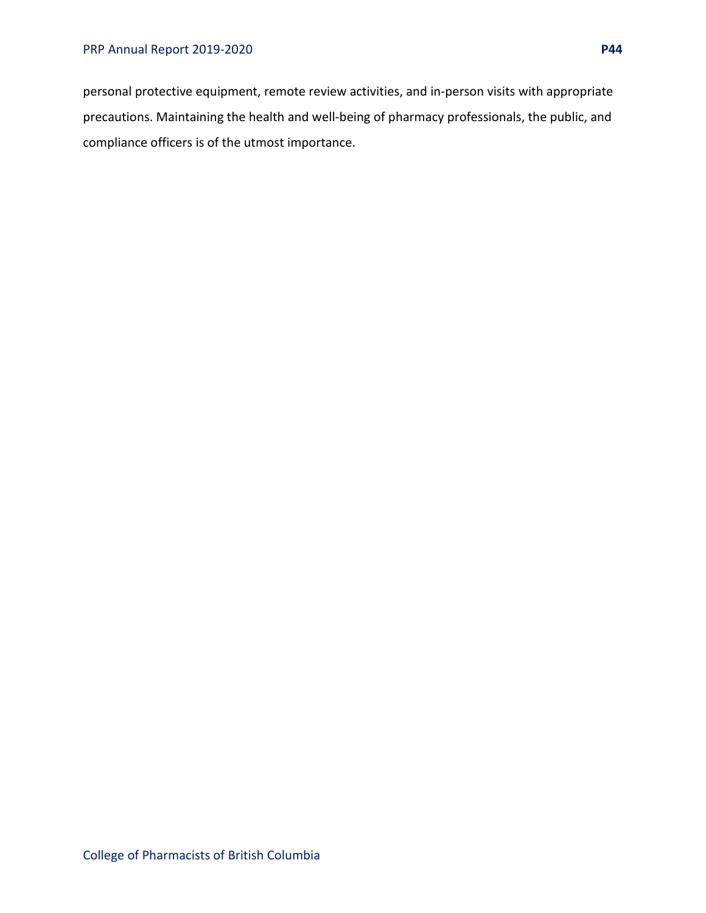personal protective equipment, remote review activities, and in-person visits with appropriate precautions. Maintaining the health and well-being of pharmacy professionals, the public, and compliance officers is of the utmost importance.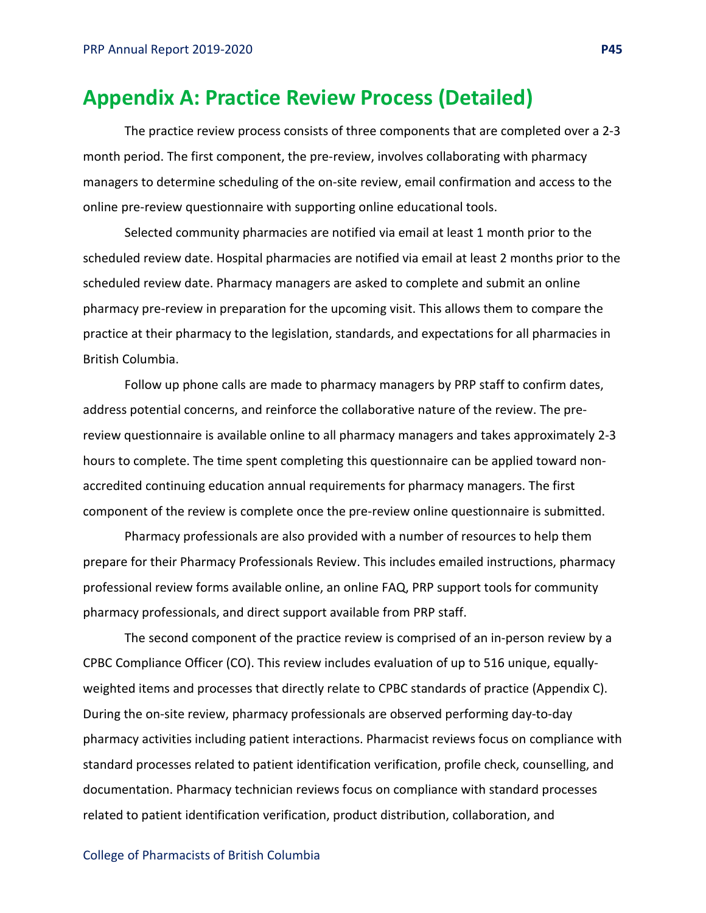## **Appendix A: Practice Review Process (Detailed)**

The practice review process consists of three components that are completed over a 2-3 month period. The first component, the pre-review, involves collaborating with pharmacy managers to determine scheduling of the on-site review, email confirmation and access to the online pre-review questionnaire with supporting online educational tools.

Selected community pharmacies are notified via email at least 1 month prior to the scheduled review date. Hospital pharmacies are notified via email at least 2 months prior to the scheduled review date. Pharmacy managers are asked to complete and submit an online pharmacy pre-review in preparation for the upcoming visit. This allows them to compare the practice at their pharmacy to the legislation, standards, and expectations for all pharmacies in British Columbia.

Follow up phone calls are made to pharmacy managers by PRP staff to confirm dates, address potential concerns, and reinforce the collaborative nature of the review. The prereview questionnaire is available online to all pharmacy managers and takes approximately 2-3 hours to complete. The time spent completing this questionnaire can be applied toward nonaccredited continuing education annual requirements for pharmacy managers. The first component of the review is complete once the pre-review online questionnaire is submitted.

Pharmacy professionals are also provided with a number of resources to help them prepare for their Pharmacy Professionals Review. This includes emailed instructions, pharmacy professional review forms available online, an online FAQ, PRP support tools for community pharmacy professionals, and direct support available from PRP staff.

The second component of the practice review is comprised of an in-person review by a CPBC Compliance Officer (CO). This review includes evaluation of up to 516 unique, equallyweighted items and processes that directly relate to CPBC standards of practice (Appendix C). During the on-site review, pharmacy professionals are observed performing day-to-day pharmacy activities including patient interactions. Pharmacist reviews focus on compliance with standard processes related to patient identification verification, profile check, counselling, and documentation. Pharmacy technician reviews focus on compliance with standard processes related to patient identification verification, product distribution, collaboration, and

#### College of Pharmacists of British Columbia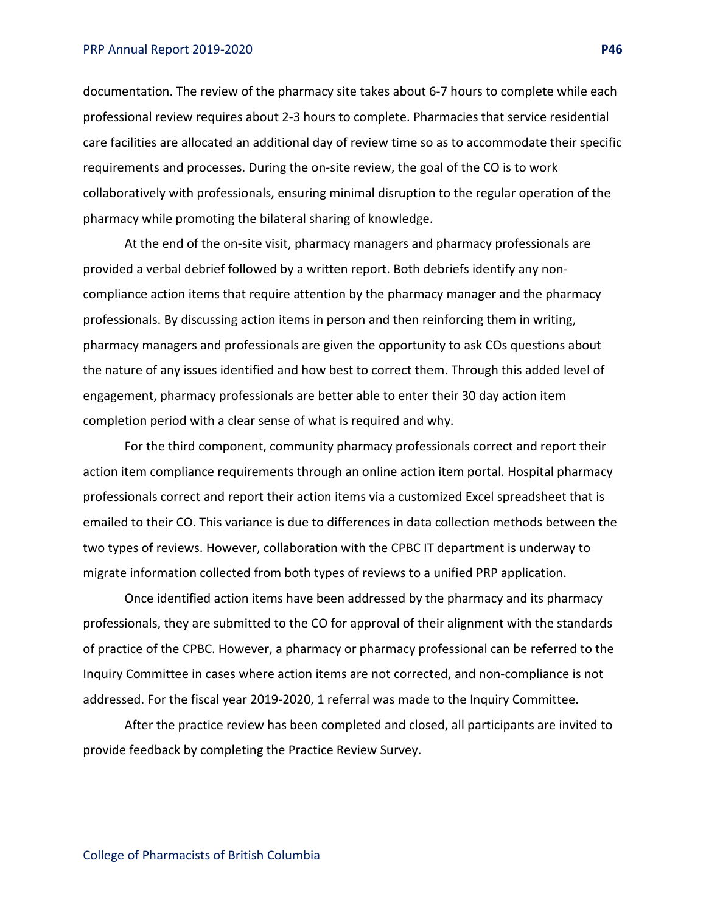#### PRP Annual Report 2019-2020 **P46**

documentation. The review of the pharmacy site takes about 6-7 hours to complete while each professional review requires about 2-3 hours to complete. Pharmacies that service residential care facilities are allocated an additional day of review time so as to accommodate their specific requirements and processes. During the on-site review, the goal of the CO is to work collaboratively with professionals, ensuring minimal disruption to the regular operation of the pharmacy while promoting the bilateral sharing of knowledge.

At the end of the on-site visit, pharmacy managers and pharmacy professionals are provided a verbal debrief followed by a written report. Both debriefs identify any noncompliance action items that require attention by the pharmacy manager and the pharmacy professionals. By discussing action items in person and then reinforcing them in writing, pharmacy managers and professionals are given the opportunity to ask COs questions about the nature of any issues identified and how best to correct them. Through this added level of engagement, pharmacy professionals are better able to enter their 30 day action item completion period with a clear sense of what is required and why.

For the third component, community pharmacy professionals correct and report their action item compliance requirements through an online action item portal. Hospital pharmacy professionals correct and report their action items via a customized Excel spreadsheet that is emailed to their CO. This variance is due to differences in data collection methods between the two types of reviews. However, collaboration with the CPBC IT department is underway to migrate information collected from both types of reviews to a unified PRP application.

Once identified action items have been addressed by the pharmacy and its pharmacy professionals, they are submitted to the CO for approval of their alignment with the standards of practice of the CPBC. However, a pharmacy or pharmacy professional can be referred to the Inquiry Committee in cases where action items are not corrected, and non-compliance is not addressed. For the fiscal year 2019-2020, 1 referral was made to the Inquiry Committee.

After the practice review has been completed and closed, all participants are invited to provide feedback by completing the Practice Review Survey.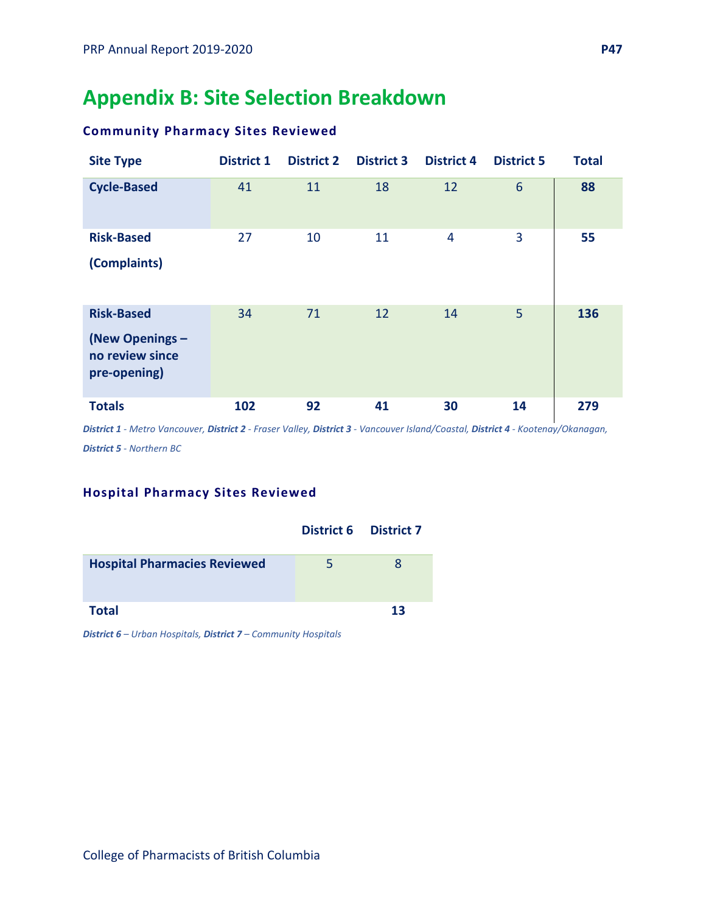## **Appendix B: Site Selection Breakdown**

## **Community Pharmacy Sites Reviewed**

| <b>Site Type</b>                                                        | <b>District 1</b> | <b>District 2</b> | <b>District 3</b> | <b>District 4</b> | <b>District 5</b> | <b>Total</b> |
|-------------------------------------------------------------------------|-------------------|-------------------|-------------------|-------------------|-------------------|--------------|
| <b>Cycle-Based</b>                                                      | 41                | 11                | 18                | 12                | $6\phantom{1}6$   | 88           |
| <b>Risk-Based</b>                                                       | 27                | 10                | 11                | 4                 | 3                 | 55           |
| (Complaints)                                                            |                   |                   |                   |                   |                   |              |
| <b>Risk-Based</b><br>(New Openings -<br>no review since<br>pre-opening) | 34                | 71                | 12                | 14                | 5                 | 136          |
| <b>Totals</b>                                                           | 102               | 92                | 41                | 30                | 14                | 279          |

*District 1 - Metro Vancouver, District 2 - Fraser Valley, District 3 - Vancouver Island/Coastal, District 4 - Kootenay/Okanagan, District 5 - Northern BC*

## **Hospital Pharmacy Sites Reviewed**

|                                     | <b>District 6 District 7</b> |          |
|-------------------------------------|------------------------------|----------|
| <b>Hospital Pharmacies Reviewed</b> | 5                            | <b>R</b> |
| <b>Total</b>                        |                              | 13       |

*District 6 – Urban Hospitals, District 7 – Community Hospitals*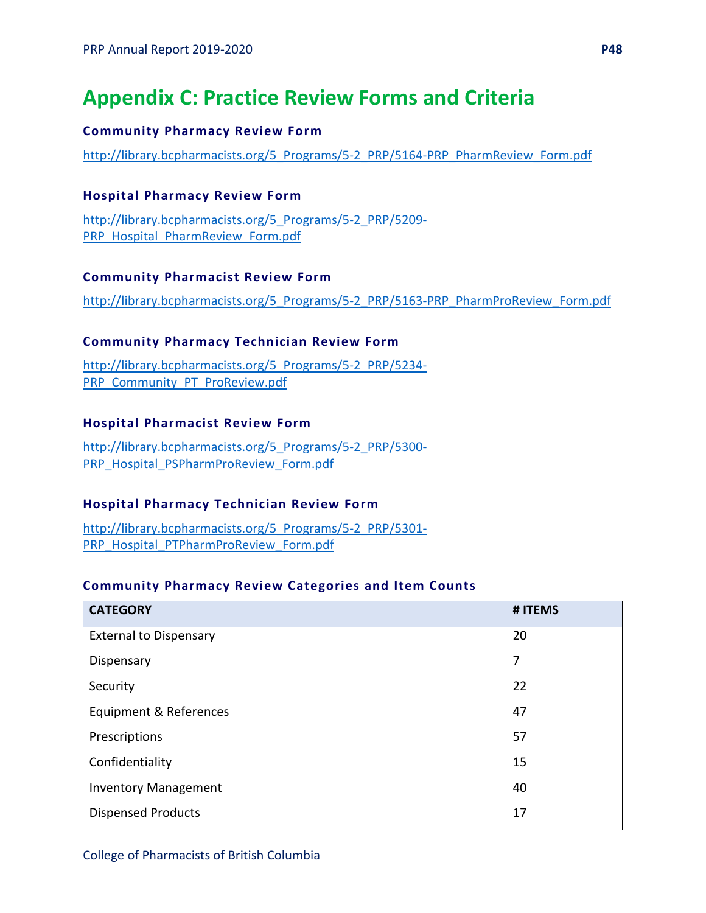## **Appendix C: Practice Review Forms and Criteria**

#### **Community Pharmacy Review Form**

[http://library.bcpharmacists.org/5\\_Programs/5-2\\_PRP/5164-PRP\\_PharmReview\\_Form.pdf](http://library.bcpharmacists.org/5_Programs/5-2_PRP/5164-PRP_PharmReview_Form.pdf)

### **Hospital Pharmacy Review Form**

[http://library.bcpharmacists.org/5\\_Programs/5-2\\_PRP/5209-](http://library.bcpharmacists.org/5_Programs/5-2_PRP/5209-PRP_Hospital_PharmReview_Form.pdf) [PRP\\_Hospital\\_PharmReview\\_Form.pdf](http://library.bcpharmacists.org/5_Programs/5-2_PRP/5209-PRP_Hospital_PharmReview_Form.pdf)

#### **Community Pharmacist Review Form**

[http://library.bcpharmacists.org/5\\_Programs/5-2\\_PRP/5163-PRP\\_PharmProReview\\_Form.pdf](http://library.bcpharmacists.org/5_Programs/5-2_PRP/5163-PRP_PharmProReview_Form.pdf)

### **Community Pharmacy Technician Review Form**

[http://library.bcpharmacists.org/5\\_Programs/5-2\\_PRP/5234-](http://library.bcpharmacists.org/5_Programs/5-2_PRP/5234-PRP_Community_PT_ProReview.pdf) [PRP\\_Community\\_PT\\_ProReview.pdf](http://library.bcpharmacists.org/5_Programs/5-2_PRP/5234-PRP_Community_PT_ProReview.pdf)

### **Hospital Pharmacist Review Form**

[http://library.bcpharmacists.org/5\\_Programs/5-2\\_PRP/5300-](http://library.bcpharmacists.org/5_Programs/5-2_PRP/5300-PRP_Hospital_PSPharmProReview_Form.pdf) [PRP\\_Hospital\\_PSPharmProReview\\_Form.pdf](http://library.bcpharmacists.org/5_Programs/5-2_PRP/5300-PRP_Hospital_PSPharmProReview_Form.pdf)

## **Hospital Pharmacy Technician Review Form**

[http://library.bcpharmacists.org/5\\_Programs/5-2\\_PRP/5301-](http://library.bcpharmacists.org/5_Programs/5-2_PRP/5301-PRP_Hospital_PTPharmProReview_Form.pdf) [PRP\\_Hospital\\_PTPharmProReview\\_Form.pdf](http://library.bcpharmacists.org/5_Programs/5-2_PRP/5301-PRP_Hospital_PTPharmProReview_Form.pdf)

#### **Community Pharmacy Review Categories and Item Counts**

| <b>CATEGORY</b>               | # ITEMS |
|-------------------------------|---------|
| <b>External to Dispensary</b> | 20      |
| Dispensary                    | 7       |
| Security                      | 22      |
| Equipment & References        | 47      |
| Prescriptions                 | 57      |
| Confidentiality               | 15      |
| <b>Inventory Management</b>   | 40      |
| <b>Dispensed Products</b>     | 17      |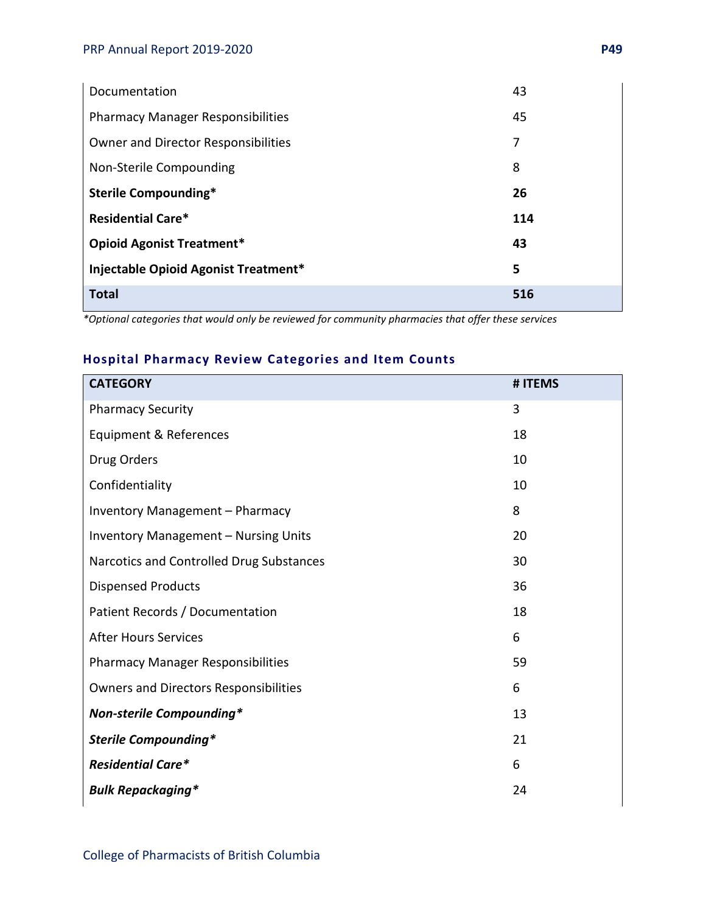| Documentation                              | 43  |
|--------------------------------------------|-----|
| <b>Pharmacy Manager Responsibilities</b>   | 45  |
| <b>Owner and Director Responsibilities</b> | 7   |
| Non-Sterile Compounding                    | 8   |
| Sterile Compounding*                       | 26  |
| <b>Residential Care*</b>                   | 114 |
| <b>Opioid Agonist Treatment*</b>           | 43  |
| Injectable Opioid Agonist Treatment*       | 5   |
| <b>Total</b>                               | 516 |

*\*Optional categories that would only be reviewed for community pharmacies that offer these services* 

## **Hospital Pharmacy Review Categories and Item Counts**

| <b>CATEGORY</b>                              | # ITEMS |
|----------------------------------------------|---------|
| <b>Pharmacy Security</b>                     | 3       |
| Equipment & References                       | 18      |
| Drug Orders                                  | 10      |
| Confidentiality                              | 10      |
| Inventory Management - Pharmacy              | 8       |
| <b>Inventory Management - Nursing Units</b>  | 20      |
| Narcotics and Controlled Drug Substances     | 30      |
| <b>Dispensed Products</b>                    | 36      |
| Patient Records / Documentation              | 18      |
| <b>After Hours Services</b>                  | 6       |
| <b>Pharmacy Manager Responsibilities</b>     | 59      |
| <b>Owners and Directors Responsibilities</b> | 6       |
| <b>Non-sterile Compounding*</b>              | 13      |
| <b>Sterile Compounding*</b>                  | 21      |
| <b>Residential Care*</b>                     | 6       |
| <b>Bulk Repackaging*</b>                     | 24      |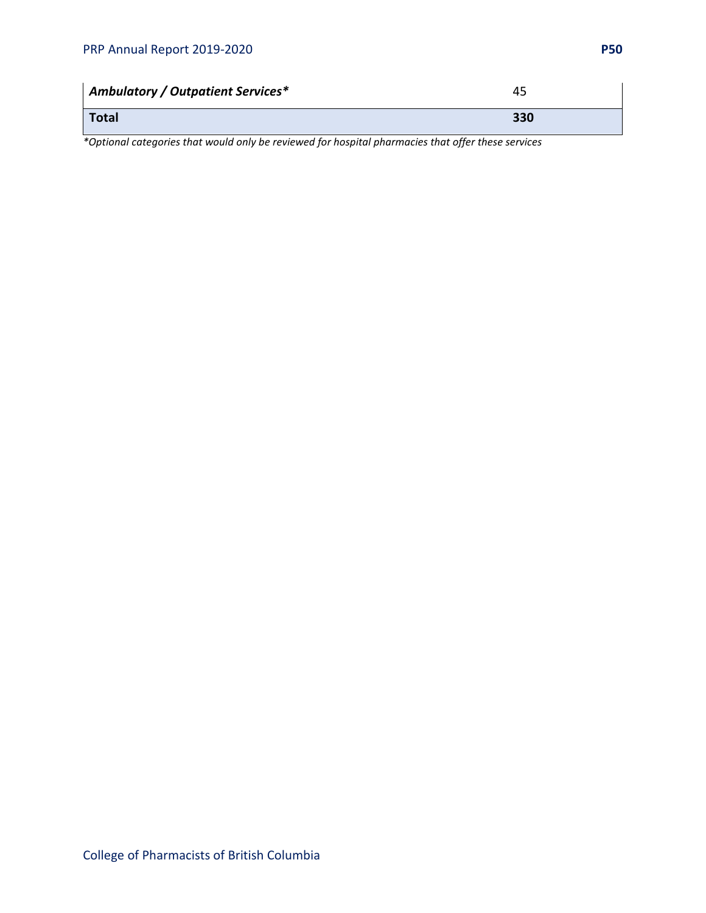| <b>Ambulatory / Outpatient Services*</b> | 45  |
|------------------------------------------|-----|
| <b>Total</b>                             | 330 |

*\*Optional categories that would only be reviewed for hospital pharmacies that offer these services*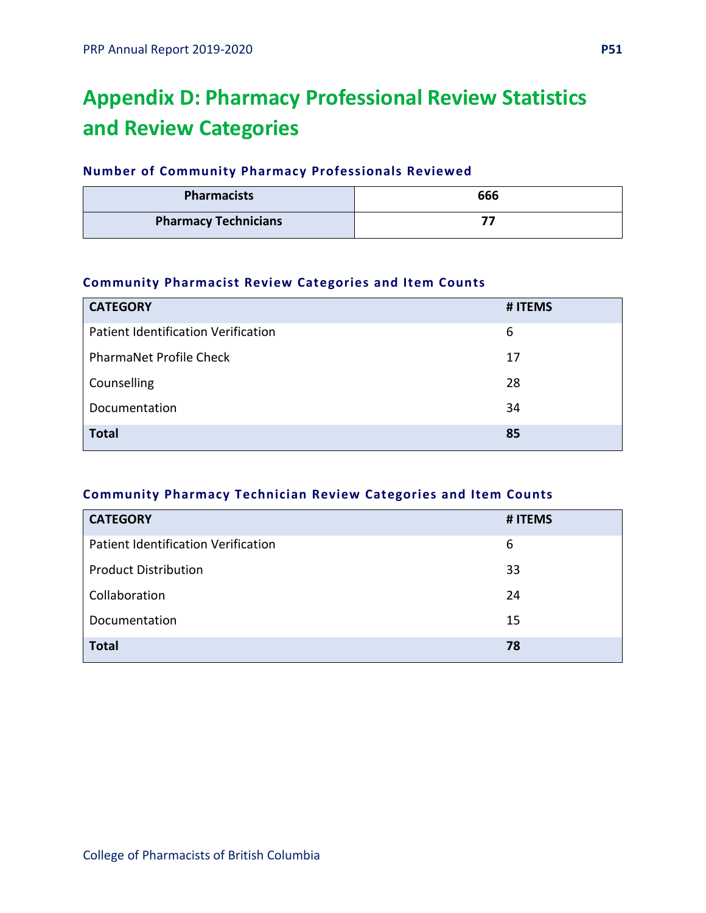## **Appendix D: Pharmacy Professional Review Statistics and Review Categories**

## **Number of Community Pharmacy Professionals Reviewed**

| <b>Pharmacists</b>          | 666 |
|-----------------------------|-----|
| <b>Pharmacy Technicians</b> |     |

## **Community Pharmacist Review Categories and Item Counts**

| <b>CATEGORY</b>                     | # ITEMS |
|-------------------------------------|---------|
| Patient Identification Verification | 6       |
| <b>PharmaNet Profile Check</b>      | 17      |
| Counselling                         | 28      |
| Documentation                       | 34      |
| <b>Total</b>                        | 85      |

## **Community Pharmacy Technician Review Categories and Item Counts**

| <b>CATEGORY</b>                            | # ITEMS |
|--------------------------------------------|---------|
| <b>Patient Identification Verification</b> | 6       |
| <b>Product Distribution</b>                | 33      |
| Collaboration                              | 24      |
| Documentation                              | 15      |
| <b>Total</b>                               | 78      |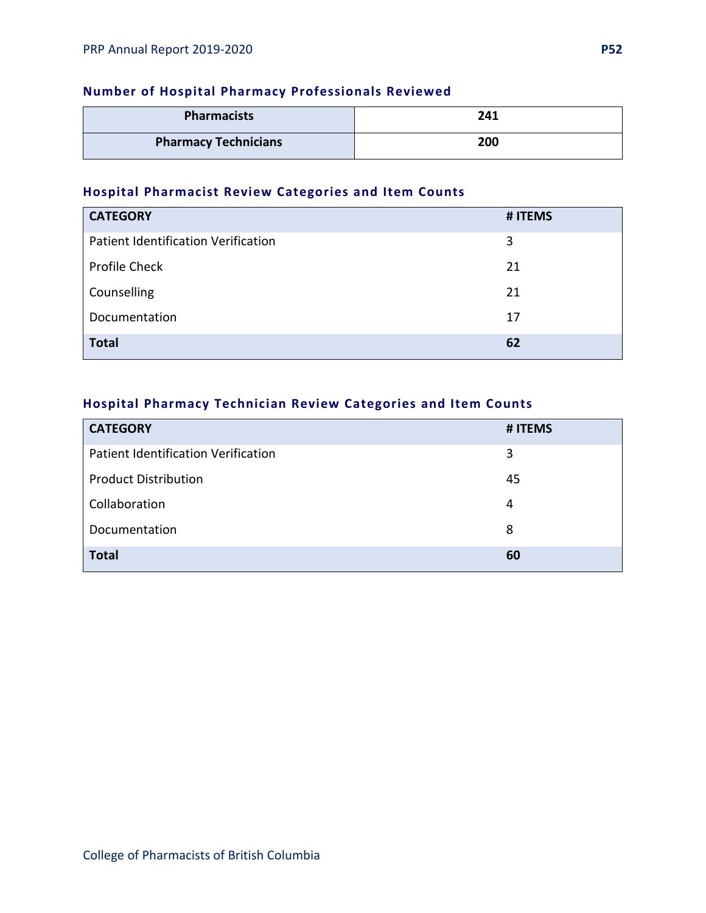## **Number of Hospital Pharmacy Professionals Reviewed**

| <b>Pharmacists</b>          | 241 |
|-----------------------------|-----|
| <b>Pharmacy Technicians</b> | 200 |

## **Hospital Pharmacist Review Categories and Item Counts**

| <b>CATEGORY</b>                            | # ITEMS |
|--------------------------------------------|---------|
| <b>Patient Identification Verification</b> | 3       |
| Profile Check                              | 21      |
| Counselling                                | 21      |
| Documentation                              | 17      |
| <b>Total</b>                               | 62      |

## **Hospital Pharmacy Technician Review Categories and Item Counts**

| <b>CATEGORY</b>                     | # ITEMS |
|-------------------------------------|---------|
| Patient Identification Verification | 3       |
| <b>Product Distribution</b>         | 45      |
| Collaboration                       | 4       |
| Documentation                       | 8       |
| <b>Total</b>                        | 60      |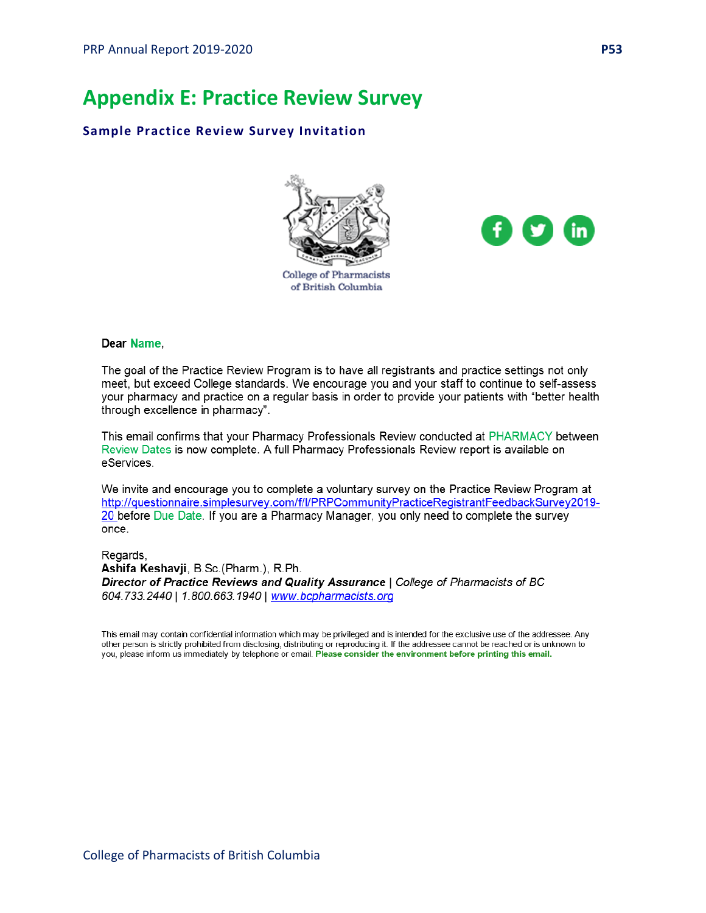## **Appendix E: Practice Review Survey**

#### **Sample Practice Review Survey Invitation**





## of British Columbia

#### Dear Name,

The goal of the Practice Review Program is to have all registrants and practice settings not only meet, but exceed College standards. We encourage you and your staff to continue to self-assess your pharmacy and practice on a regular basis in order to provide your patients with "better health through excellence in pharmacy".

This email confirms that your Pharmacy Professionals Review conducted at PHARMACY between Review Dates is now complete. A full Pharmacy Professionals Review report is available on eServices.

We invite and encourage you to complete a voluntary survey on the Practice Review Program at http://questionnaire.simplesurvey.com/f/l/PRPCommunityPracticeRegistrantFeedbackSurvey2019-20 before Due Date. If you are a Pharmacy Manager, you only need to complete the survey once.

Regards, Ashifa Keshavji, B.Sc. (Pharm.), R.Ph. Director of Practice Reviews and Quality Assurance | College of Pharmacists of BC 604.733.2440 | 1.800.663.1940 | www.bcpharmacists.org

This email may contain confidential information which may be privileged and is intended for the exclusive use of the addressee. Any other person is strictly prohibited from disclosing, distributing or reproducing it. If the addressee cannot be reached or is unknown to you, please inform us immediately by telephone or email. Please consider the environment before printing this email.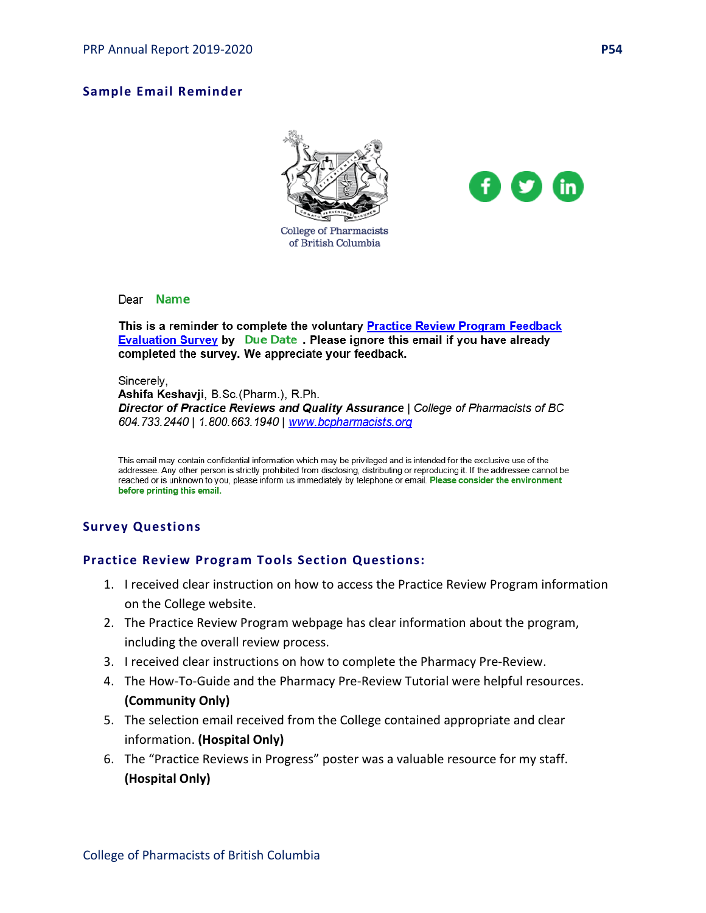### **Sample Email Reminder**





#### Dear Name

This is a reminder to complete the voluntary Practice Review Program Feedback **Evaluation Survey by Due Date** Please ignore this email if you have already completed the survey. We appreciate your feedback.

#### Sincerely,

Ashifa Keshavji, B.Sc. (Pharm.), R.Ph. Director of Practice Reviews and Quality Assurance | College of Pharmacists of BC 604.733.2440 | 1.800.663.1940 | www.bcpharmacists.org

This email may contain confidential information which may be privileged and is intended for the exclusive use of the addressee. Any other person is strictly prohibited from disclosing, distributing or reproducing it. If the addressee cannot be reached or is unknown to you, please inform us immediately by telephone or email. Please consider the environment before printing this email.

#### **Survey Questions**

#### **Practice Review Program Tools Section Questions:**

- 1. I received clear instruction on how to access the Practice Review Program information on the College website.
- 2. The Practice Review Program webpage has clear information about the program, including the overall review process.
- 3. I received clear instructions on how to complete the Pharmacy Pre-Review.
- 4. The How-To-Guide and the Pharmacy Pre-Review Tutorial were helpful resources. **(Community Only)**
- 5. The selection email received from the College contained appropriate and clear information. **(Hospital Only)**
- 6. The "Practice Reviews in Progress" poster was a valuable resource for my staff. **(Hospital Only)**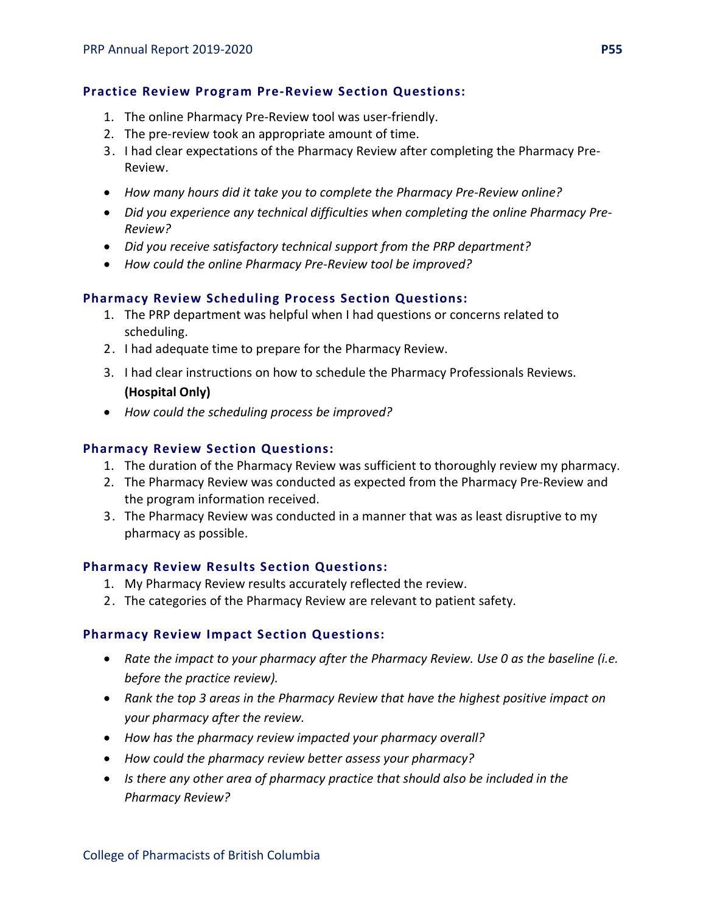### **Practice Review Program Pre-Review Section Questions:**

- 1. The online Pharmacy Pre-Review tool was user-friendly.
- 2. The pre-review took an appropriate amount of time.
- 3. I had clear expectations of the Pharmacy Review after completing the Pharmacy Pre-Review.
- *How many hours did it take you to complete the Pharmacy Pre-Review online?*
- *Did you experience any technical difficulties when completing the online Pharmacy Pre-Review?*
- *Did you receive satisfactory technical support from the PRP department?*
- *How could the online Pharmacy Pre-Review tool be improved?*

## **Pharmacy Review Scheduling Process Section Questions:**

- 1. The PRP department was helpful when I had questions or concerns related to scheduling.
- 2. I had adequate time to prepare for the Pharmacy Review.
- 3. I had clear instructions on how to schedule the Pharmacy Professionals Reviews. **(Hospital Only)**
- *How could the scheduling process be improved?*

### **Pharmacy Review Section Questions:**

- 1. The duration of the Pharmacy Review was sufficient to thoroughly review my pharmacy.
- 2. The Pharmacy Review was conducted as expected from the Pharmacy Pre-Review and the program information received.
- 3. The Pharmacy Review was conducted in a manner that was as least disruptive to my pharmacy as possible.

#### **Pharmacy Review Results Section Questions:**

- 1. My Pharmacy Review results accurately reflected the review.
- 2. The categories of the Pharmacy Review are relevant to patient safety.

## **Pharmacy Review Impact Section Questions:**

- *Rate the impact to your pharmacy after the Pharmacy Review. Use 0 as the baseline (i.e. before the practice review).*
- *Rank the top 3 areas in the Pharmacy Review that have the highest positive impact on your pharmacy after the review.*
- *How has the pharmacy review impacted your pharmacy overall?*
- *How could the pharmacy review better assess your pharmacy?*
- *Is there any other area of pharmacy practice that should also be included in the Pharmacy Review?*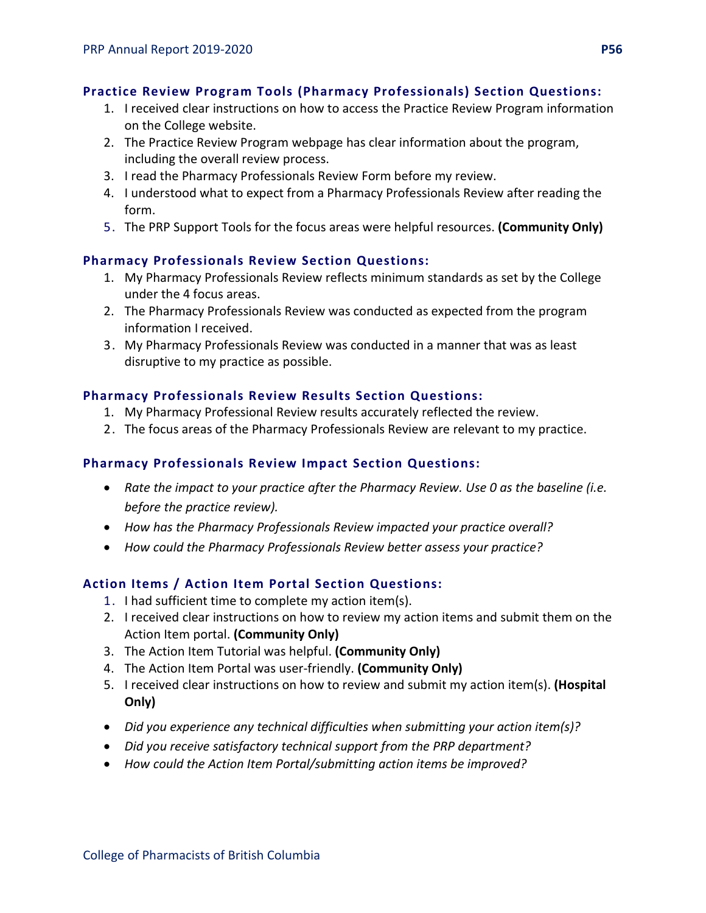## **Practice Review Program Tools (Pharmacy Professionals) Section Questions:**

- 1. I received clear instructions on how to access the Practice Review Program information on the College website.
- 2. The Practice Review Program webpage has clear information about the program, including the overall review process.
- 3. I read the Pharmacy Professionals Review Form before my review.
- 4. I understood what to expect from a Pharmacy Professionals Review after reading the form.
- 5. The PRP Support Tools for the focus areas were helpful resources. **(Community Only)**

## **Pharmacy Professionals Review Section Questions:**

- 1. My Pharmacy Professionals Review reflects minimum standards as set by the College under the 4 focus areas.
- 2. The Pharmacy Professionals Review was conducted as expected from the program information I received.
- 3. My Pharmacy Professionals Review was conducted in a manner that was as least disruptive to my practice as possible.

## **Pharmacy Professionals Review Results Section Questions:**

- 1. My Pharmacy Professional Review results accurately reflected the review.
- 2. The focus areas of the Pharmacy Professionals Review are relevant to my practice.

## **Pharmacy Professionals Review Impact Section Questions:**

- *Rate the impact to your practice after the Pharmacy Review. Use 0 as the baseline (i.e. before the practice review).*
- *How has the Pharmacy Professionals Review impacted your practice overall?*
- *How could the Pharmacy Professionals Review better assess your practice?*

## **Action Items / Action Item Portal Section Questions:**

- 1. I had sufficient time to complete my action item(s).
- 2. I received clear instructions on how to review my action items and submit them on the Action Item portal. **(Community Only)**
- 3. The Action Item Tutorial was helpful. **(Community Only)**
- 4. The Action Item Portal was user-friendly. **(Community Only)**
- 5. I received clear instructions on how to review and submit my action item(s). **(Hospital Only)**
- *Did you experience any technical difficulties when submitting your action item(s)?*
- *Did you receive satisfactory technical support from the PRP department?*
- *How could the Action Item Portal/submitting action items be improved?*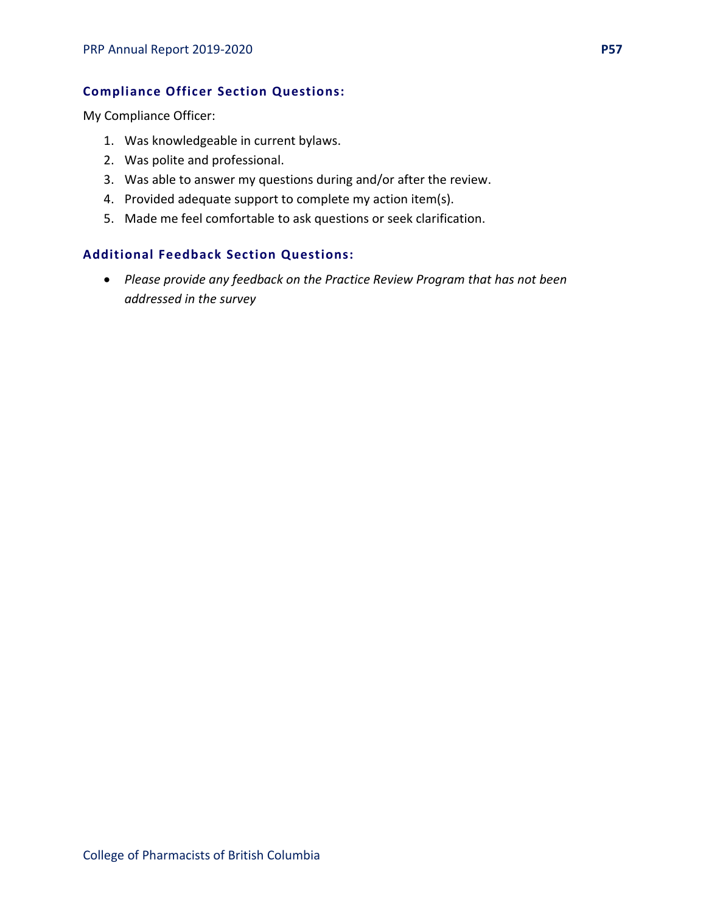## **Compliance Officer Section Questions:**

My Compliance Officer:

- 1. Was knowledgeable in current bylaws.
- 2. Was polite and professional.
- 3. Was able to answer my questions during and/or after the review.
- 4. Provided adequate support to complete my action item(s).
- 5. Made me feel comfortable to ask questions or seek clarification.

### **Additional Feedback Section Questions:**

• *Please provide any feedback on the Practice Review Program that has not been addressed in the survey*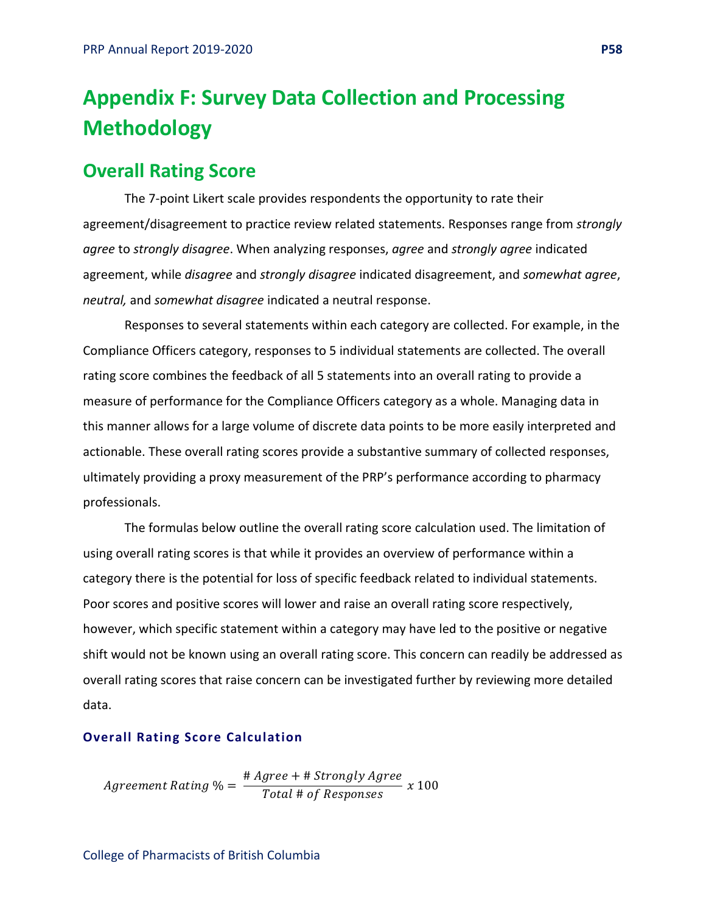## **Appendix F: Survey Data Collection and Processing Methodology**

## **Overall Rating Score**

The 7-point Likert scale provides respondents the opportunity to rate their agreement/disagreement to practice review related statements. Responses range from *strongly agree* to *strongly disagree*. When analyzing responses, *agree* and *strongly agree* indicated agreement, while *disagree* and *strongly disagree* indicated disagreement, and *somewhat agree*, *neutral,* and *somewhat disagree* indicated a neutral response.

Responses to several statements within each category are collected. For example, in the Compliance Officers category, responses to 5 individual statements are collected. The overall rating score combines the feedback of all 5 statements into an overall rating to provide a measure of performance for the Compliance Officers category as a whole. Managing data in this manner allows for a large volume of discrete data points to be more easily interpreted and actionable. These overall rating scores provide a substantive summary of collected responses, ultimately providing a proxy measurement of the PRP's performance according to pharmacy professionals.

The formulas below outline the overall rating score calculation used. The limitation of using overall rating scores is that while it provides an overview of performance within a category there is the potential for loss of specific feedback related to individual statements. Poor scores and positive scores will lower and raise an overall rating score respectively, however, which specific statement within a category may have led to the positive or negative shift would not be known using an overall rating score. This concern can readily be addressed as overall rating scores that raise concern can be investigated further by reviewing more detailed data.

#### **Overall Rating Score Calculation**

Agreement Rating  $\% = \frac{\text{#} \text{Agree} + \text{#} \text{ strongly Agree}}{\text{Total} \# \text{ of } \text{Response}} \times 100$ 

College of Pharmacists of British Columbia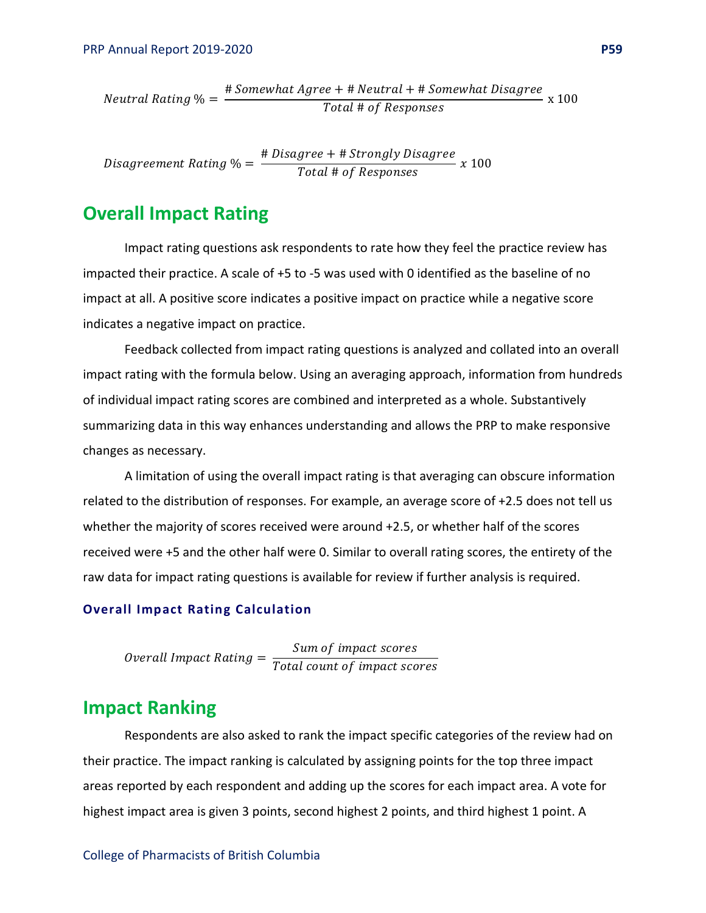$$
Neutral \; Rating \; \% = \frac{\# \; Somewhat \; Argree + \# \; Neutral + \# \; Somewhat \; Disagree}{Total \; # \; of \; Resposes} \; \ge 100
$$

Disagreement Rating  $\% = \frac{\text{\#} \text{Disagree} + \text{\#} \text{Strongly Disagree}}{\text{Total \# of Resposes}} \ x \ 100$ 

## **Overall Impact Rating**

Impact rating questions ask respondents to rate how they feel the practice review has impacted their practice. A scale of +5 to -5 was used with 0 identified as the baseline of no impact at all. A positive score indicates a positive impact on practice while a negative score indicates a negative impact on practice.

Feedback collected from impact rating questions is analyzed and collated into an overall impact rating with the formula below. Using an averaging approach, information from hundreds of individual impact rating scores are combined and interpreted as a whole. Substantively summarizing data in this way enhances understanding and allows the PRP to make responsive changes as necessary.

A limitation of using the overall impact rating is that averaging can obscure information related to the distribution of responses. For example, an average score of +2.5 does not tell us whether the majority of scores received were around +2.5, or whether half of the scores received were +5 and the other half were 0. Similar to overall rating scores, the entirety of the raw data for impact rating questions is available for review if further analysis is required.

#### **Overall Impact Rating Calculation**

*Overall Impact Rating* =  $\frac{Sum\ of\ imp}{Total\ count\ of}$ 

## **Impact Ranking**

Respondents are also asked to rank the impact specific categories of the review had on their practice. The impact ranking is calculated by assigning points for the top three impact areas reported by each respondent and adding up the scores for each impact area. A vote for highest impact area is given 3 points, second highest 2 points, and third highest 1 point. A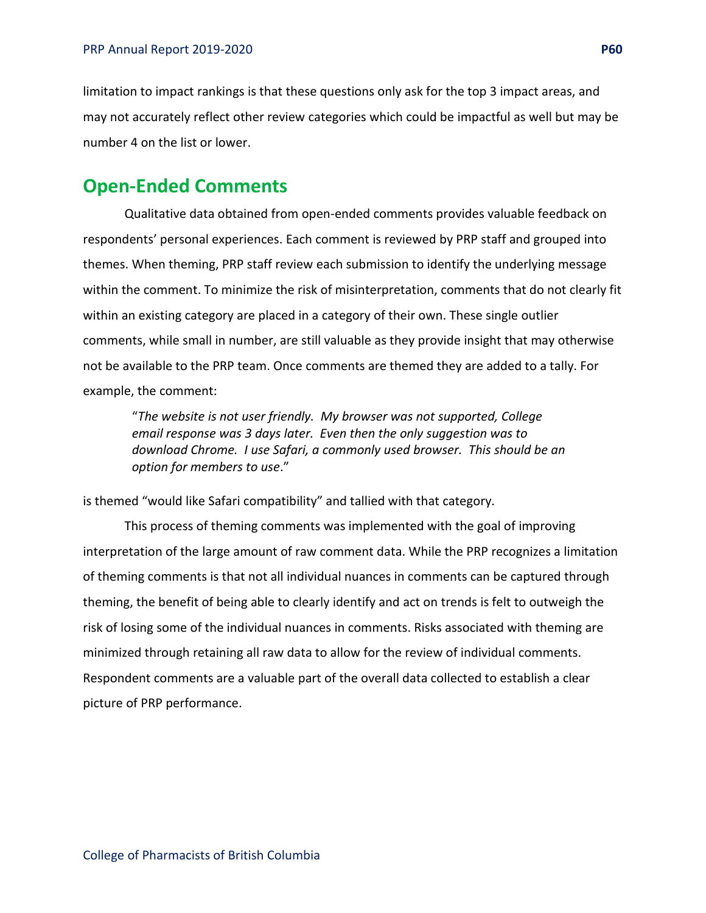limitation to impact rankings is that these questions only ask for the top 3 impact areas, and may not accurately reflect other review categories which could be impactful as well but may be number 4 on the list or lower.

## **Open-Ended Comments**

Qualitative data obtained from open-ended comments provides valuable feedback on respondents' personal experiences. Each comment is reviewed by PRP staff and grouped into themes. When theming, PRP staff review each submission to identify the underlying message within the comment. To minimize the risk of misinterpretation, comments that do not clearly fit within an existing category are placed in a category of their own. These single outlier comments, while small in number, are still valuable as they provide insight that may otherwise not be available to the PRP team. Once comments are themed they are added to a tally. For example, the comment:

"*The website is not user friendly. My browser was not supported, College email response was 3 days later. Even then the only suggestion was to download Chrome. I use Safari, a commonly used browser. This should be an option for members to use*."

is themed "would like Safari compatibility" and tallied with that category.

This process of theming comments was implemented with the goal of improving interpretation of the large amount of raw comment data. While the PRP recognizes a limitation of theming comments is that not all individual nuances in comments can be captured through theming, the benefit of being able to clearly identify and act on trends is felt to outweigh the risk of losing some of the individual nuances in comments. Risks associated with theming are minimized through retaining all raw data to allow for the review of individual comments. Respondent comments are a valuable part of the overall data collected to establish a clear picture of PRP performance.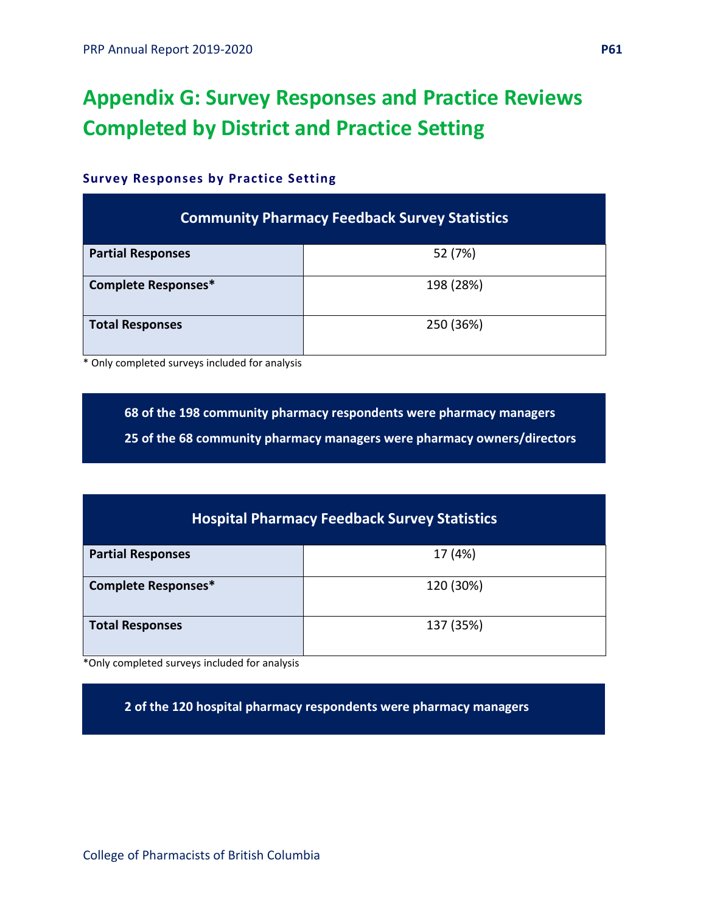## **Appendix G: Survey Responses and Practice Reviews Completed by District and Practice Setting**

## **Survey Responses by Practice Setting**

|                          | <b>Community Pharmacy Feedback Survey Statistics</b> |
|--------------------------|------------------------------------------------------|
| <b>Partial Responses</b> | 52 (7%)                                              |
| Complete Responses*      | 198 (28%)                                            |
| <b>Total Responses</b>   | 250 (36%)                                            |

\* Only completed surveys included for analysis

**68 of the 198 community pharmacy respondents were pharmacy managers**

**25 of the 68 community pharmacy managers were pharmacy owners/directors**

|                            | <b>Hospital Pharmacy Feedback Survey Statistics</b> |
|----------------------------|-----------------------------------------------------|
| <b>Partial Responses</b>   | 17 (4%)                                             |
| <b>Complete Responses*</b> | 120 (30%)                                           |
| <b>Total Responses</b>     | 137 (35%)                                           |

\*Only completed surveys included for analysis

**2 of the 120 hospital pharmacy respondents were pharmacy managers**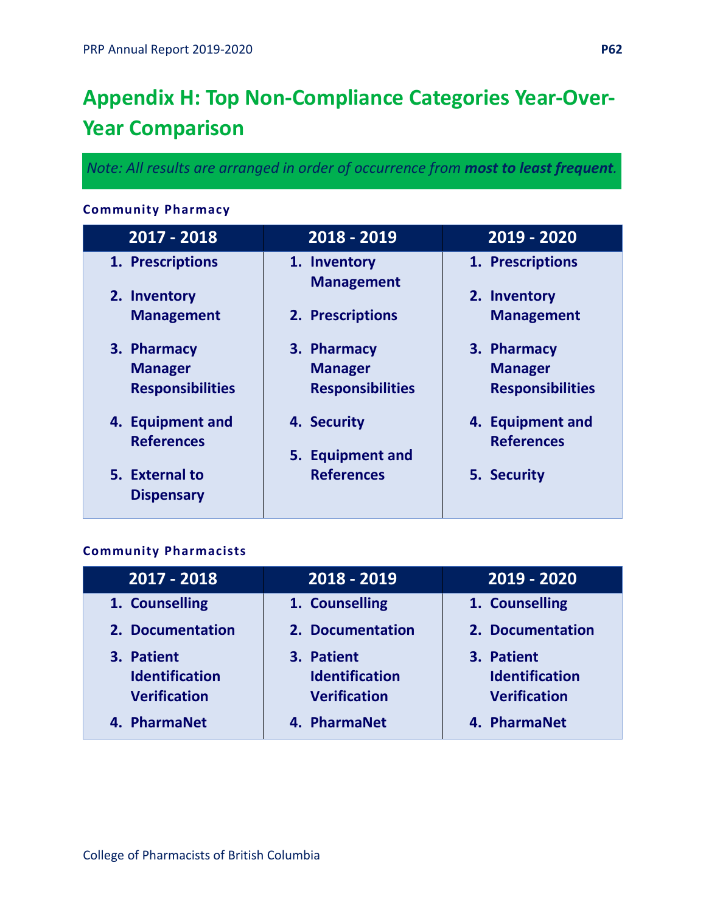## **Appendix H: Top Non-Compliance Categories Year-Over-Year Comparison**

*Note: All results are arranged in order of occurrence from most to least frequent.*

## **Community Pharmacy**

| 2017 - 2018                         | 2018 - 2019                       | 2019 - 2020             |
|-------------------------------------|-----------------------------------|-------------------------|
| 1. Prescriptions                    | 1. Inventory<br><b>Management</b> | 1. Prescriptions        |
| 2. Inventory                        |                                   | 2. Inventory            |
| <b>Management</b>                   | 2. Prescriptions                  | <b>Management</b>       |
| 3. Pharmacy                         | 3. Pharmacy                       | 3. Pharmacy             |
| <b>Manager</b>                      | <b>Manager</b>                    | <b>Manager</b>          |
| <b>Responsibilities</b>             | <b>Responsibilities</b>           | <b>Responsibilities</b> |
| 4. Equipment and                    | 4. Security                       | 4. Equipment and        |
| <b>References</b>                   | 5. Equipment and                  | <b>References</b>       |
| 5. External to<br><b>Dispensary</b> | <b>References</b>                 | 5. Security             |

## **Community Pharmacists**

| 2017 - 2018                                                | 2018 - 2019                                                | $2019 - 2020$                                              |
|------------------------------------------------------------|------------------------------------------------------------|------------------------------------------------------------|
| 1. Counselling                                             | 1. Counselling                                             | 1. Counselling                                             |
| 2. Documentation                                           | 2. Documentation                                           | 2. Documentation                                           |
| 3. Patient<br><b>Identification</b><br><b>Verification</b> | 3. Patient<br><b>Identification</b><br><b>Verification</b> | 3. Patient<br><b>Identification</b><br><b>Verification</b> |
| 4. PharmaNet                                               | 4. PharmaNet                                               | 4. PharmaNet                                               |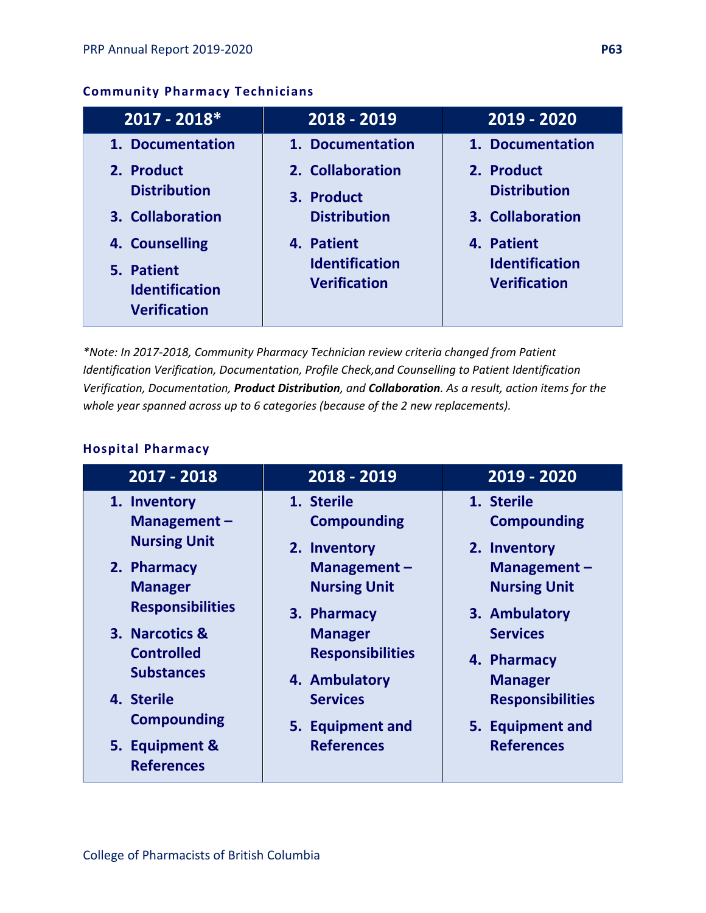## **Community Pharmacy Technicians**

| $2017 - 2018*$                                             | 2018 - 2019                                  | 2019 - 2020                                  |
|------------------------------------------------------------|----------------------------------------------|----------------------------------------------|
| 1. Documentation                                           | 1. Documentation                             | 1. Documentation                             |
| 2. Product<br><b>Distribution</b>                          | 2. Collaboration<br>3. Product               | 2. Product<br><b>Distribution</b>            |
| 3. Collaboration<br>4. Counselling                         | <b>Distribution</b><br>4. Patient            | 3. Collaboration<br>4. Patient               |
| 5. Patient<br><b>Identification</b><br><b>Verification</b> | <b>Identification</b><br><b>Verification</b> | <b>Identification</b><br><b>Verification</b> |

*\*Note: In 2017-2018, Community Pharmacy Technician review criteria changed from Patient Identification Verification, Documentation, Profile Check,and Counselling to Patient Identification Verification, Documentation, Product Distribution, and Collaboration. As a result, action items for the whole year spanned across up to 6 categories (because of the 2 new replacements).* 

## **Hospital Pharmacy**

| 2017 - 2018                               | $2018 - 2019$                      | 2019 - 2020                               |
|-------------------------------------------|------------------------------------|-------------------------------------------|
| 1. Inventory<br>Management-               | 1. Sterile<br><b>Compounding</b>   | 1. Sterile<br><b>Compounding</b>          |
| <b>Nursing Unit</b>                       | 2. Inventory                       | 2. Inventory                              |
| 2. Pharmacy                               | Management-                        | Management $-$                            |
| <b>Manager</b><br><b>Responsibilities</b> | <b>Nursing Unit</b><br>3. Pharmacy | <b>Nursing Unit</b><br>3. Ambulatory      |
| 3. Narcotics &                            | <b>Manager</b>                     | <b>Services</b>                           |
| <b>Controlled</b><br><b>Substances</b>    | <b>Responsibilities</b>            | 4. Pharmacy                               |
| 4. Sterile                                | 4. Ambulatory<br><b>Services</b>   | <b>Manager</b><br><b>Responsibilities</b> |
| <b>Compounding</b>                        | 5. Equipment and                   | 5. Equipment and                          |
| 5. Equipment &<br><b>References</b>       | <b>References</b>                  | <b>References</b>                         |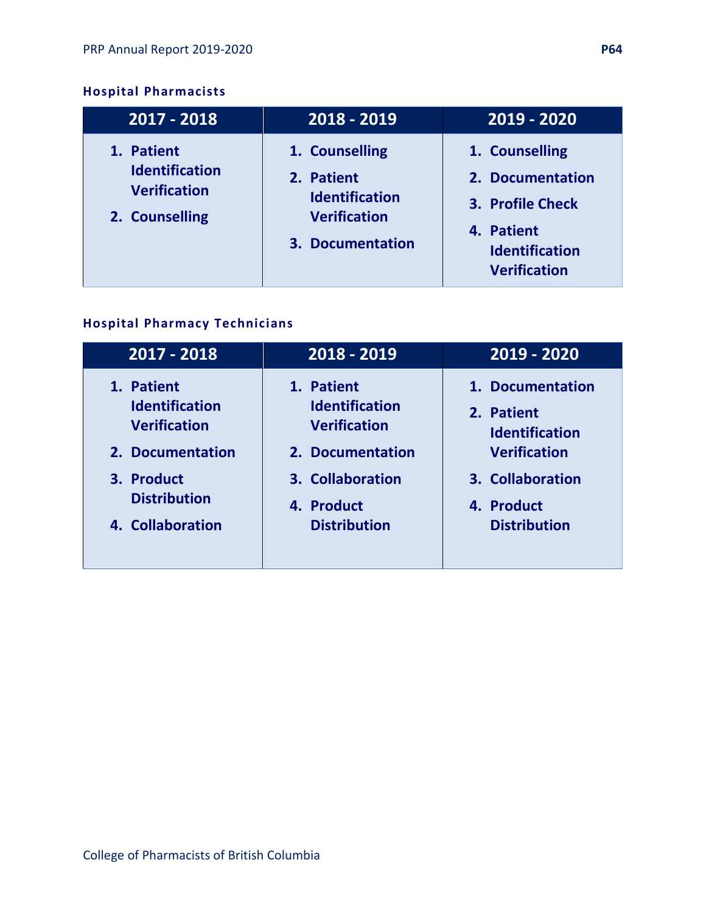## **Hospital Pharmacists**

| 2017 - 2018                                                                  | 2018 - 2019                                                                                      | 2019 - 2020                                                                                                          |
|------------------------------------------------------------------------------|--------------------------------------------------------------------------------------------------|----------------------------------------------------------------------------------------------------------------------|
| 1. Patient<br><b>Identification</b><br><b>Verification</b><br>2. Counselling | 1. Counselling<br>2. Patient<br><b>Identification</b><br><b>Verification</b><br>3. Documentation | 1. Counselling<br>2. Documentation<br>3. Profile Check<br>4. Patient<br><b>Identification</b><br><b>Verification</b> |

## **Hospital Pharmacy Technicians**

| 2017 - 2018           | 2018 - 2019           | 2019 - 2020           |
|-----------------------|-----------------------|-----------------------|
| 1. Patient            | 1. Patient            | 1. Documentation      |
| <b>Identification</b> | <b>Identification</b> | 2. Patient            |
| <b>Verification</b>   | <b>Verification</b>   | <b>Identification</b> |
| 2. Documentation      | 2. Documentation      | <b>Verification</b>   |
| 3. Product            | 3. Collaboration      | 3. Collaboration      |
| <b>Distribution</b>   | 4. Product            | 4. Product            |
| 4. Collaboration      | <b>Distribution</b>   | <b>Distribution</b>   |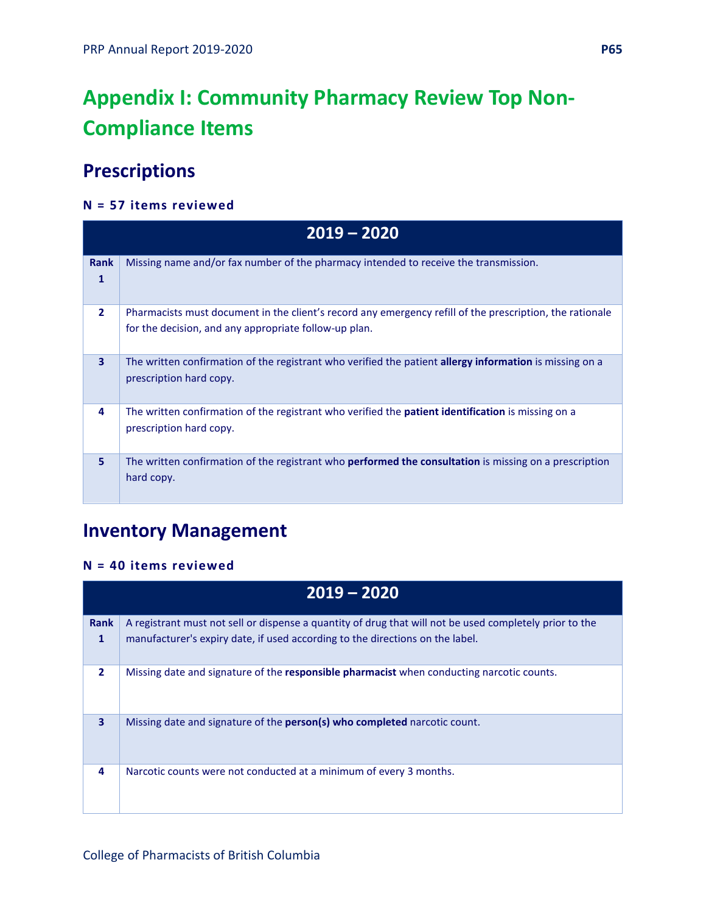## **Appendix I: Community Pharmacy Review Top Non-Compliance Items**

## **Prescriptions**

#### **N = 57 items reviewed**

|                  | $2019 - 2020$                                                                                                                                                     |
|------------------|-------------------------------------------------------------------------------------------------------------------------------------------------------------------|
| <b>Rank</b><br>1 | Missing name and/or fax number of the pharmacy intended to receive the transmission.                                                                              |
| $\overline{2}$   | Pharmacists must document in the client's record any emergency refill of the prescription, the rationale<br>for the decision, and any appropriate follow-up plan. |
| 3                | The written confirmation of the registrant who verified the patient allergy information is missing on a<br>prescription hard copy.                                |
| 4                | The written confirmation of the registrant who verified the <b>patient identification</b> is missing on a<br>prescription hard copy.                              |
| 5                | The written confirmation of the registrant who <b>performed the consultation</b> is missing on a prescription<br>hard copy.                                       |

## **Inventory Management**

#### **N = 40 items reviewed**

|                  | $2019 - 2020$                                                                                                                                                                            |
|------------------|------------------------------------------------------------------------------------------------------------------------------------------------------------------------------------------|
| <b>Rank</b><br>1 | A registrant must not sell or dispense a quantity of drug that will not be used completely prior to the<br>manufacturer's expiry date, if used according to the directions on the label. |
|                  |                                                                                                                                                                                          |
| $\overline{2}$   | Missing date and signature of the responsible pharmacist when conducting narcotic counts.                                                                                                |
| 3                | Missing date and signature of the <b>person(s) who completed</b> narcotic count.                                                                                                         |
| 4                | Narcotic counts were not conducted at a minimum of every 3 months.                                                                                                                       |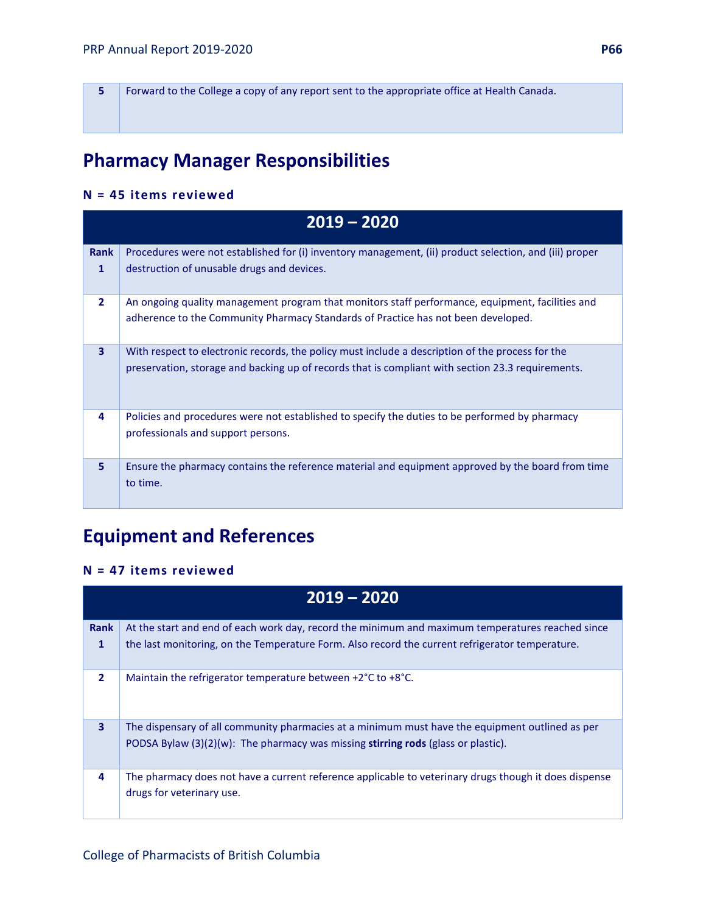**5** Forward to the College a copy of any report sent to the appropriate office at Health Canada.

## **Pharmacy Manager Responsibilities**

### **N = 45 items reviewed**

|                | $2019 - 2020$                                                                                                                                                                                         |
|----------------|-------------------------------------------------------------------------------------------------------------------------------------------------------------------------------------------------------|
| Rank           | Procedures were not established for (i) inventory management, (ii) product selection, and (iii) proper                                                                                                |
| 1              | destruction of unusable drugs and devices.                                                                                                                                                            |
| $\overline{2}$ | An ongoing quality management program that monitors staff performance, equipment, facilities and<br>adherence to the Community Pharmacy Standards of Practice has not been developed.                 |
| $\overline{3}$ | With respect to electronic records, the policy must include a description of the process for the<br>preservation, storage and backing up of records that is compliant with section 23.3 requirements. |
| 4              | Policies and procedures were not established to specify the duties to be performed by pharmacy<br>professionals and support persons.                                                                  |
| 5              | Ensure the pharmacy contains the reference material and equipment approved by the board from time<br>to time.                                                                                         |

## **Equipment and References**

#### **N = 47 items reviewed**

|                         | $2019 - 2020$                                                                                                                                                                           |
|-------------------------|-----------------------------------------------------------------------------------------------------------------------------------------------------------------------------------------|
| <b>Rank</b>             | At the start and end of each work day, record the minimum and maximum temperatures reached since                                                                                        |
| 1                       | the last monitoring, on the Temperature Form. Also record the current refrigerator temperature.                                                                                         |
| $\overline{2}$          | Maintain the refrigerator temperature between +2°C to +8°C.                                                                                                                             |
| $\overline{\mathbf{3}}$ | The dispensary of all community pharmacies at a minimum must have the equipment outlined as per<br>PODSA Bylaw $(3)(2)(w)$ : The pharmacy was missing stirring rods (glass or plastic). |
| 4                       | The pharmacy does not have a current reference applicable to veterinary drugs though it does dispense<br>drugs for veterinary use.                                                      |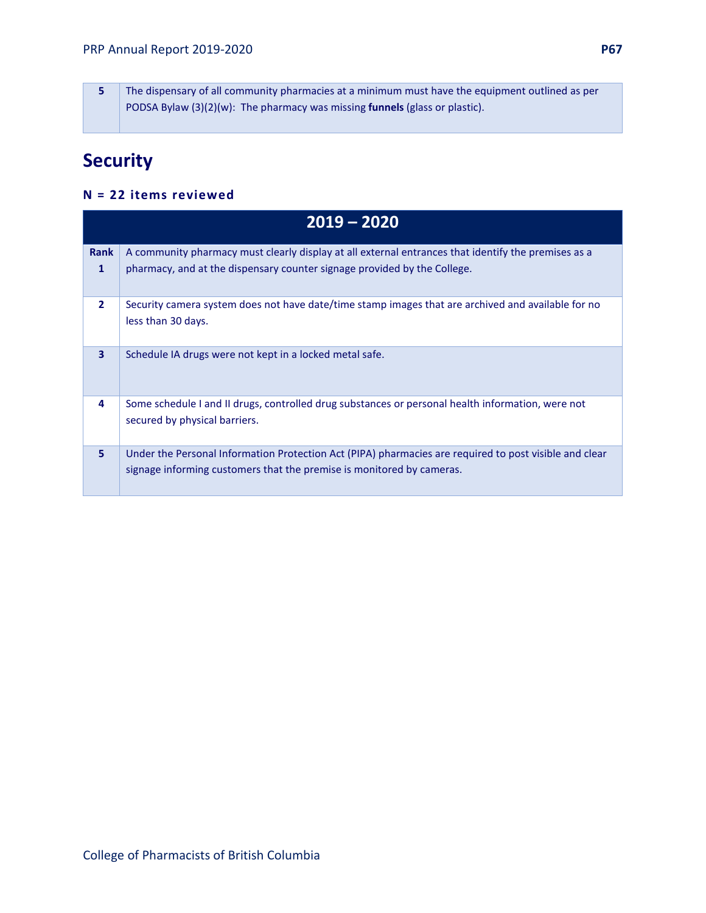**5** The dispensary of all community pharmacies at a minimum must have the equipment outlined as per PODSA Bylaw (3)(2)(w): The pharmacy was missing **funnels** (glass or plastic).

## **Security**

#### **N = 22 items reviewed**

|                | $2019 - 2020$                                                                                                                                                                   |  |
|----------------|---------------------------------------------------------------------------------------------------------------------------------------------------------------------------------|--|
| <b>Rank</b>    | A community pharmacy must clearly display at all external entrances that identify the premises as a                                                                             |  |
| 1              | pharmacy, and at the dispensary counter signage provided by the College.                                                                                                        |  |
| $\overline{2}$ | Security camera system does not have date/time stamp images that are archived and available for no<br>less than 30 days.                                                        |  |
| 3              | Schedule IA drugs were not kept in a locked metal safe.                                                                                                                         |  |
| 4              | Some schedule I and II drugs, controlled drug substances or personal health information, were not<br>secured by physical barriers.                                              |  |
| 5              | Under the Personal Information Protection Act (PIPA) pharmacies are required to post visible and clear<br>signage informing customers that the premise is monitored by cameras. |  |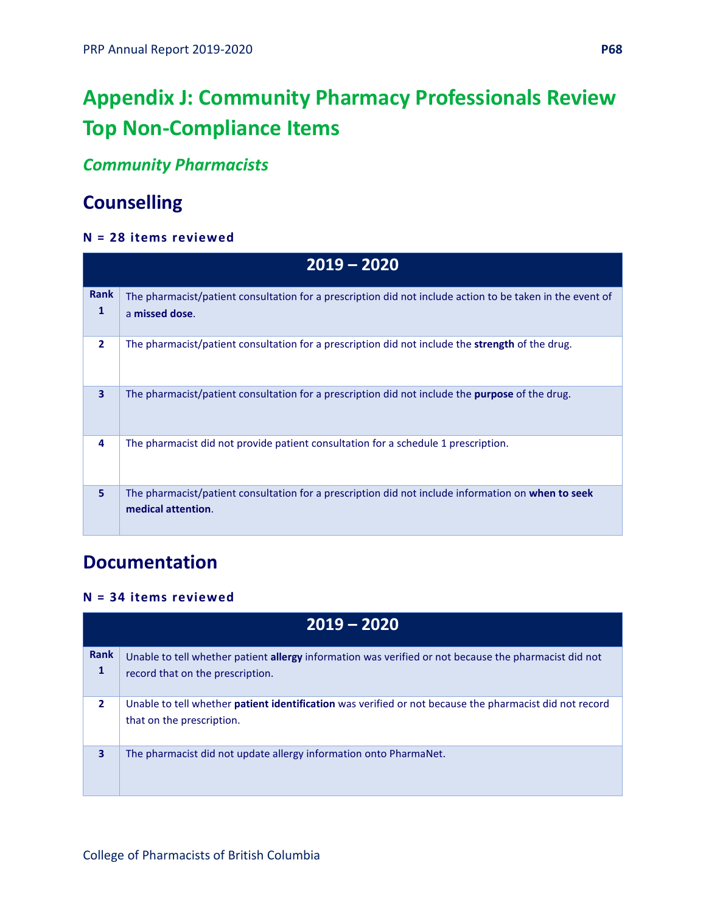# **Appendix J: Community Pharmacy Professionals Review Top Non-Compliance Items**

## *Community Pharmacists*

## **Counselling**

## **N = 28 items reviewed**

|                  | $2019 - 2020$                                                                                                               |  |
|------------------|-----------------------------------------------------------------------------------------------------------------------------|--|
| <b>Rank</b><br>1 | The pharmacist/patient consultation for a prescription did not include action to be taken in the event of<br>a missed dose. |  |
| $\overline{2}$   | The pharmacist/patient consultation for a prescription did not include the <b>strength</b> of the drug.                     |  |
| 3                | The pharmacist/patient consultation for a prescription did not include the <b>purpose</b> of the drug.                      |  |
| 4                | The pharmacist did not provide patient consultation for a schedule 1 prescription.                                          |  |
| 5                | The pharmacist/patient consultation for a prescription did not include information on when to seek<br>medical attention.    |  |

## **Documentation**

## **N = 34 items reviewed**

|                  | $2019 - 2020$                                                                                                                               |  |
|------------------|---------------------------------------------------------------------------------------------------------------------------------------------|--|
| <b>Rank</b><br>1 | Unable to tell whether patient allergy information was verified or not because the pharmacist did not<br>record that on the prescription.   |  |
| $\overline{2}$   | Unable to tell whether <b>patient identification</b> was verified or not because the pharmacist did not record<br>that on the prescription. |  |
| 3                | The pharmacist did not update allergy information onto PharmaNet.                                                                           |  |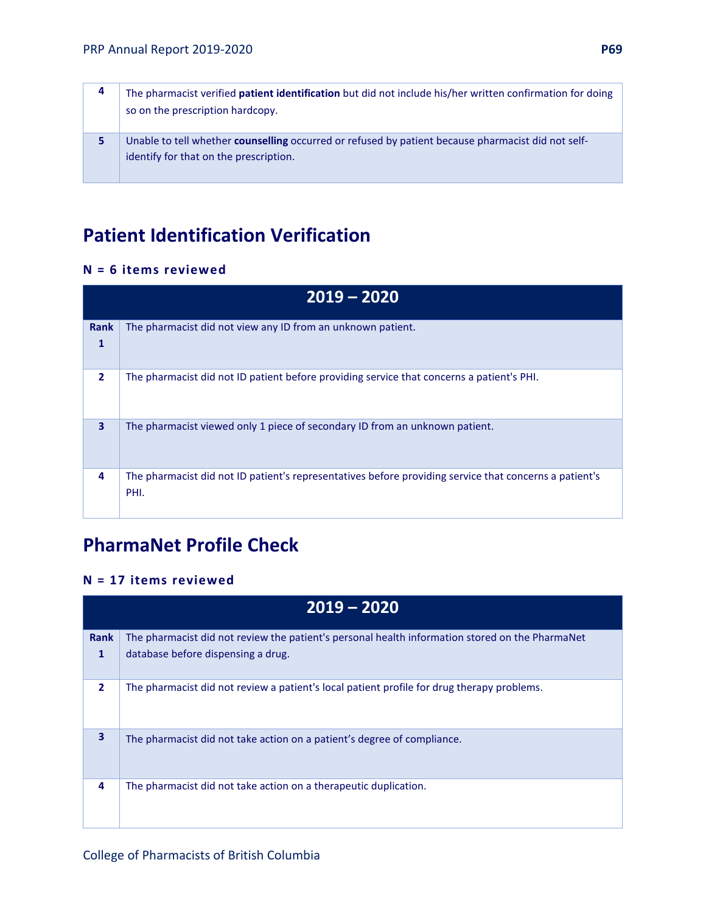| 4 | The pharmacist verified patient identification but did not include his/her written confirmation for doing<br>so on the prescription hardcopy.       |
|---|-----------------------------------------------------------------------------------------------------------------------------------------------------|
| 5 | Unable to tell whether <b>counselling</b> occurred or refused by patient because pharmacist did not self-<br>identify for that on the prescription. |

## **Patient Identification Verification**

#### **N = 6 items reviewed**

| $2019 - 2020$           |                                                                                                                |
|-------------------------|----------------------------------------------------------------------------------------------------------------|
| <b>Rank</b><br>1        | The pharmacist did not view any ID from an unknown patient.                                                    |
| $\overline{2}$          | The pharmacist did not ID patient before providing service that concerns a patient's PHI.                      |
| $\overline{\mathbf{3}}$ | The pharmacist viewed only 1 piece of secondary ID from an unknown patient.                                    |
| 4                       | The pharmacist did not ID patient's representatives before providing service that concerns a patient's<br>PHI. |

## **PharmaNet Profile Check**

#### **N = 17 items reviewed**

|                | $2019 - 2020$                                                                                   |  |
|----------------|-------------------------------------------------------------------------------------------------|--|
| <b>Rank</b>    | The pharmacist did not review the patient's personal health information stored on the PharmaNet |  |
| $\mathbf{1}$   | database before dispensing a drug.                                                              |  |
| $\overline{2}$ | The pharmacist did not review a patient's local patient profile for drug therapy problems.      |  |
| 3              | The pharmacist did not take action on a patient's degree of compliance.                         |  |
| 4              | The pharmacist did not take action on a therapeutic duplication.                                |  |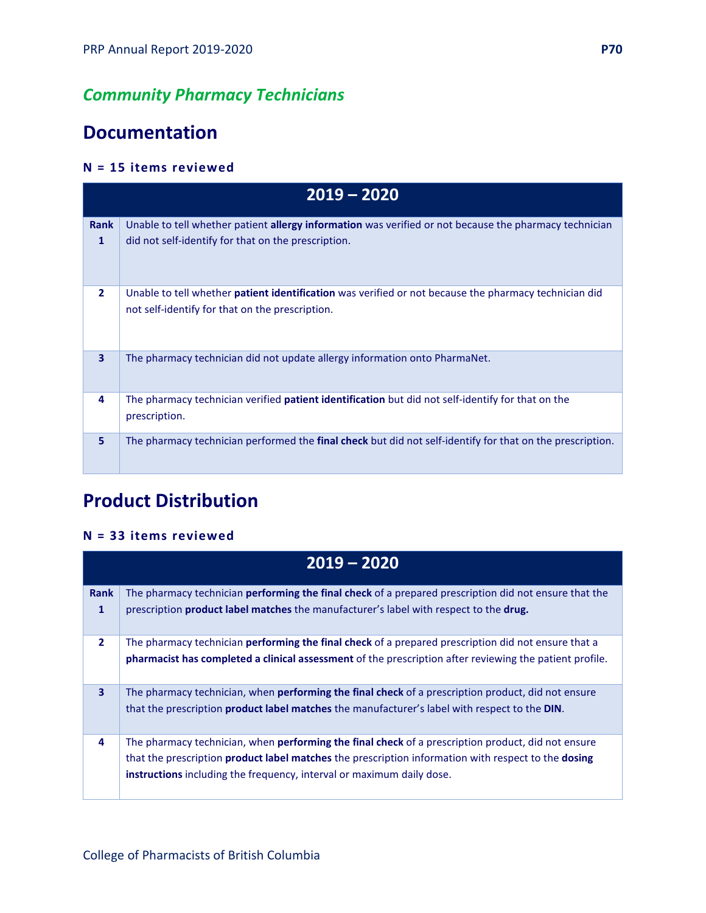## *Community Pharmacy Technicians*

## **Documentation**

## **N = 15 items reviewed**

|                | $2019 - 2020$                                                                                                                                                        |  |
|----------------|----------------------------------------------------------------------------------------------------------------------------------------------------------------------|--|
| Rank<br>1      | Unable to tell whether patient <b>allergy information</b> was verified or not because the pharmacy technician<br>did not self-identify for that on the prescription. |  |
| $\overline{2}$ | Unable to tell whether <b>patient identification</b> was verified or not because the pharmacy technician did<br>not self-identify for that on the prescription.      |  |
| 3              | The pharmacy technician did not update allergy information onto PharmaNet.                                                                                           |  |
| 4              | The pharmacy technician verified <b>patient identification</b> but did not self-identify for that on the<br>prescription.                                            |  |
| 5              | The pharmacy technician performed the final check but did not self-identify for that on the prescription.                                                            |  |

## **Product Distribution**

### **N = 33 items reviewed**

| $2019 - 2020$  |                                                                                                              |
|----------------|--------------------------------------------------------------------------------------------------------------|
| <b>Rank</b>    | The pharmacy technician <b>performing the final check</b> of a prepared prescription did not ensure that the |
| 1              | prescription <b>product label matches</b> the manufacturer's label with respect to the <b>drug.</b>          |
| $\overline{2}$ | The pharmacy technician <b>performing the final check</b> of a prepared prescription did not ensure that a   |
|                | pharmacist has completed a clinical assessment of the prescription after reviewing the patient profile.      |
| 3              | The pharmacy technician, when <b>performing the final check</b> of a prescription product, did not ensure    |
|                | that the prescription <b>product label matches</b> the manufacturer's label with respect to the <b>DIN</b> . |
| 4              | The pharmacy technician, when <b>performing the final check</b> of a prescription product, did not ensure    |
|                | that the prescription product label matches the prescription information with respect to the dosing          |
|                | instructions including the frequency, interval or maximum daily dose.                                        |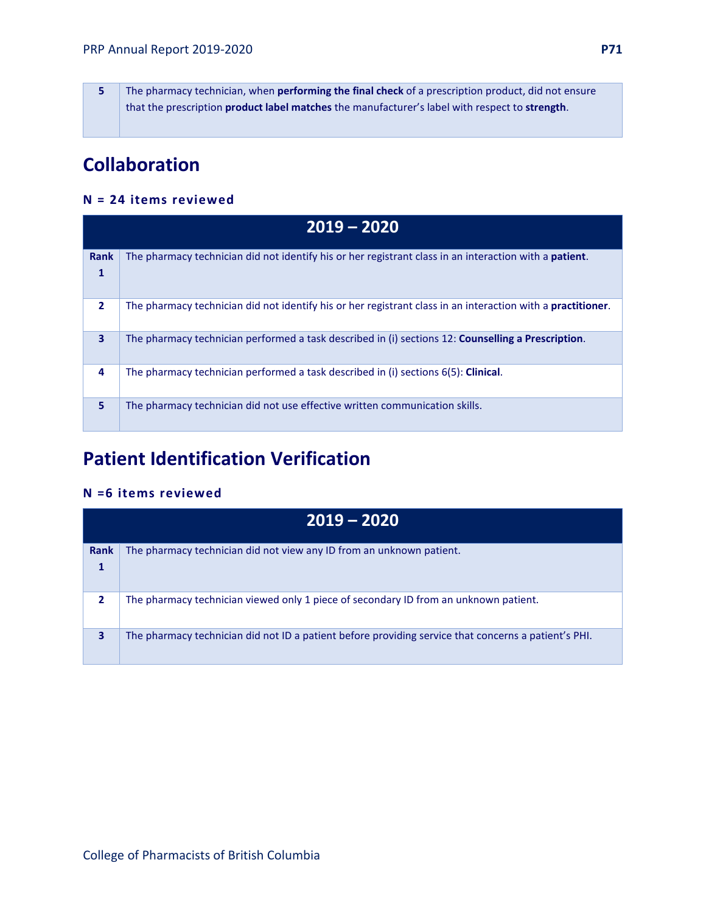**5** The pharmacy technician, when **performing the final check** of a prescription product, did not ensure that the prescription **product label matches** the manufacturer's label with respect to **strength**.

## **Collaboration**

#### **N = 24 items reviewed**

|                             | $2019 - 2020$                                                                                                  |  |
|-----------------------------|----------------------------------------------------------------------------------------------------------------|--|
| <b>Rank</b><br>$\mathbf{1}$ | The pharmacy technician did not identify his or her registrant class in an interaction with a <b>patient</b> . |  |
| $\overline{2}$              | The pharmacy technician did not identify his or her registrant class in an interaction with a practitioner.    |  |
| $\mathbf{3}$                | The pharmacy technician performed a task described in (i) sections 12: <b>Counselling a Prescription</b> .     |  |
| 4                           | The pharmacy technician performed a task described in (i) sections 6(5): <b>Clinical</b> .                     |  |
| 5                           | The pharmacy technician did not use effective written communication skills.                                    |  |

## **Patient Identification Verification**

#### **N =6 items reviewed**

|                | $2019 - 2020$                                                                                        |  |
|----------------|------------------------------------------------------------------------------------------------------|--|
| <b>Rank</b>    | The pharmacy technician did not view any ID from an unknown patient.                                 |  |
|                |                                                                                                      |  |
| $\overline{2}$ | The pharmacy technician viewed only 1 piece of secondary ID from an unknown patient.                 |  |
| 3              | The pharmacy technician did not ID a patient before providing service that concerns a patient's PHI. |  |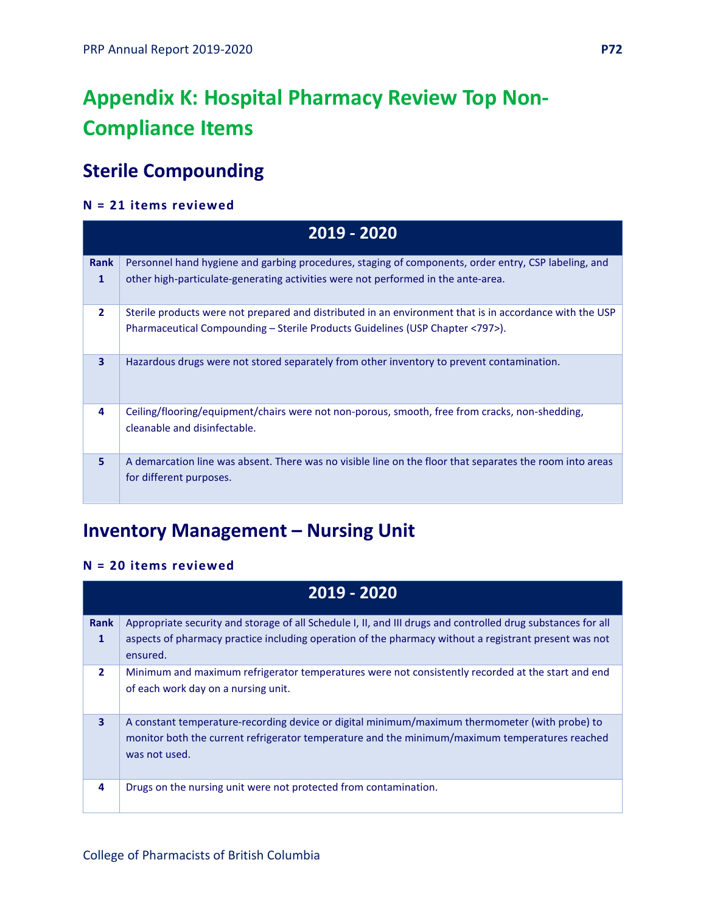## **Appendix K: Hospital Pharmacy Review Top Non-Compliance Items**

## **Sterile Compounding**

### **N = 21 items reviewed**

|                         | $2019 - 2020$                                                                                                                       |
|-------------------------|-------------------------------------------------------------------------------------------------------------------------------------|
| <b>Rank</b>             | Personnel hand hygiene and garbing procedures, staging of components, order entry, CSP labeling, and                                |
| $\mathbf{1}$            | other high-particulate-generating activities were not performed in the ante-area.                                                   |
| $\overline{2}$          | Sterile products were not prepared and distributed in an environment that is in accordance with the USP                             |
|                         | Pharmaceutical Compounding – Sterile Products Guidelines (USP Chapter <797>).                                                       |
| $\overline{\mathbf{3}}$ | Hazardous drugs were not stored separately from other inventory to prevent contamination.                                           |
| 4                       | Ceiling/flooring/equipment/chairs were not non-porous, smooth, free from cracks, non-shedding,<br>cleanable and disinfectable.      |
| 5                       | A demarcation line was absent. There was no visible line on the floor that separates the room into areas<br>for different purposes. |

## **Inventory Management – Nursing Unit**

### **N = 20 items reviewed**

|                  | 2019 - 2020                                                                                                                                                                                                           |  |
|------------------|-----------------------------------------------------------------------------------------------------------------------------------------------------------------------------------------------------------------------|--|
| <b>Rank</b><br>1 | Appropriate security and storage of all Schedule I, II, and III drugs and controlled drug substances for all<br>aspects of pharmacy practice including operation of the pharmacy without a registrant present was not |  |
|                  | ensured.                                                                                                                                                                                                              |  |
| $\overline{2}$   | Minimum and maximum refrigerator temperatures were not consistently recorded at the start and end<br>of each work day on a nursing unit.                                                                              |  |
| 3                | A constant temperature-recording device or digital minimum/maximum thermometer (with probe) to<br>monitor both the current refrigerator temperature and the minimum/maximum temperatures reached<br>was not used.     |  |
| 4                | Drugs on the nursing unit were not protected from contamination.                                                                                                                                                      |  |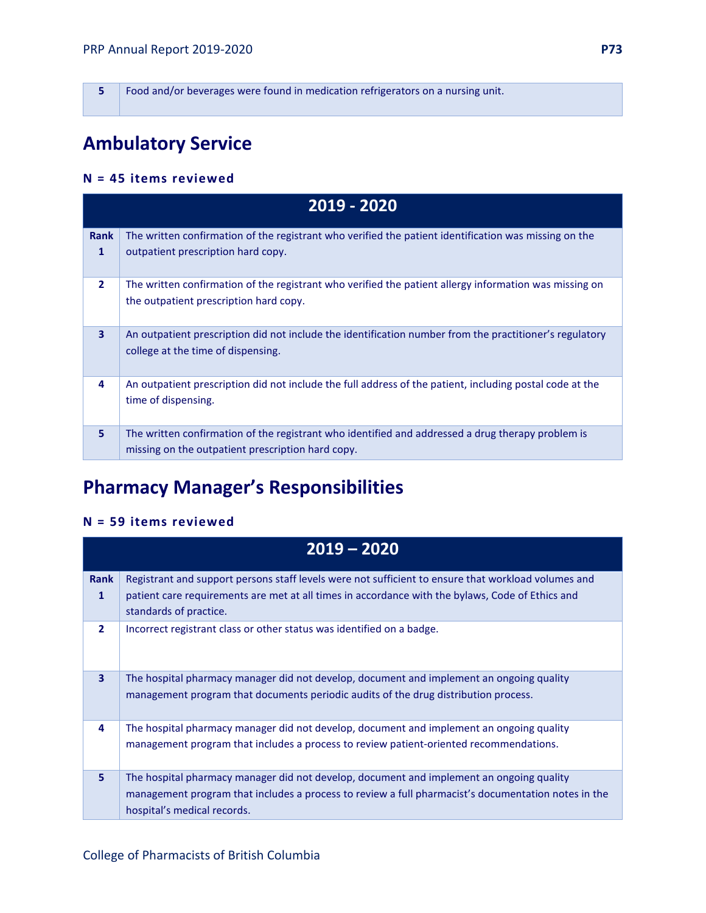**5** Food and/or beverages were found in medication refrigerators on a nursing unit.

# **Ambulatory Service**

#### **N = 45 items reviewed**

| 2019 - 2020      |                                                                                                                                                        |
|------------------|--------------------------------------------------------------------------------------------------------------------------------------------------------|
| <b>Rank</b><br>1 | The written confirmation of the registrant who verified the patient identification was missing on the<br>outpatient prescription hard copy.            |
| $\mathbf{2}$     | The written confirmation of the registrant who verified the patient allergy information was missing on<br>the outpatient prescription hard copy.       |
| 3                | An outpatient prescription did not include the identification number from the practitioner's regulatory<br>college at the time of dispensing.          |
| 4                | An outpatient prescription did not include the full address of the patient, including postal code at the<br>time of dispensing.                        |
| 5                | The written confirmation of the registrant who identified and addressed a drug therapy problem is<br>missing on the outpatient prescription hard copy. |

# **Pharmacy Manager's Responsibilities**

#### **N = 59 items reviewed**

| $2019 - 2020$  |                                                                                                                                                                                                                                |
|----------------|--------------------------------------------------------------------------------------------------------------------------------------------------------------------------------------------------------------------------------|
| <b>Rank</b>    | Registrant and support persons staff levels were not sufficient to ensure that workload volumes and                                                                                                                            |
| 1              | patient care requirements are met at all times in accordance with the bylaws, Code of Ethics and<br>standards of practice.                                                                                                     |
| $\overline{2}$ | Incorrect registrant class or other status was identified on a badge.                                                                                                                                                          |
| 3              | The hospital pharmacy manager did not develop, document and implement an ongoing quality<br>management program that documents periodic audits of the drug distribution process.                                                |
| 4              | The hospital pharmacy manager did not develop, document and implement an ongoing quality<br>management program that includes a process to review patient-oriented recommendations.                                             |
| 5              | The hospital pharmacy manager did not develop, document and implement an ongoing quality<br>management program that includes a process to review a full pharmacist's documentation notes in the<br>hospital's medical records. |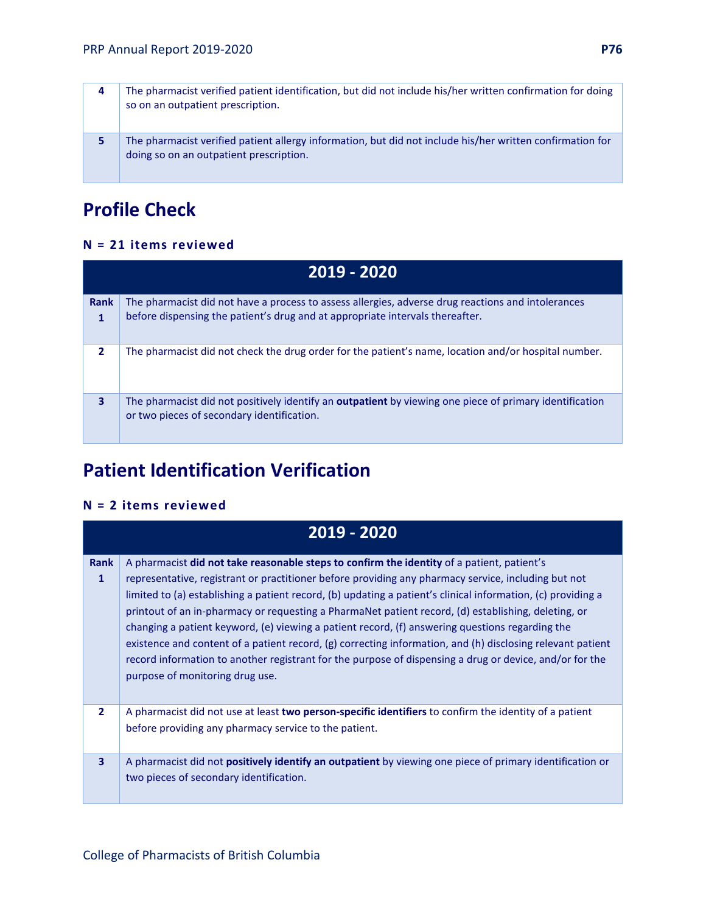| 4 | The pharmacist verified patient identification, but did not include his/her written confirmation for doing<br>so on an outpatient prescription.      |
|---|------------------------------------------------------------------------------------------------------------------------------------------------------|
| 5 | The pharmacist verified patient allergy information, but did not include his/her written confirmation for<br>doing so on an outpatient prescription. |

# **Profile Check**

#### **N = 21 items reviewed**

| 2019 - 2020              |                                                                                                                                                                                     |
|--------------------------|-------------------------------------------------------------------------------------------------------------------------------------------------------------------------------------|
| <b>Rank</b><br>1         | The pharmacist did not have a process to assess allergies, adverse drug reactions and intolerances<br>before dispensing the patient's drug and at appropriate intervals thereafter. |
| $\overline{\phantom{a}}$ | The pharmacist did not check the drug order for the patient's name, location and/or hospital number.                                                                                |
| 3                        | The pharmacist did not positively identify an <b>outpatient</b> by viewing one piece of primary identification<br>or two pieces of secondary identification.                        |

# **Patient Identification Verification**

#### **N = 2 items reviewed**

| 2019 - 2020      |                                                                                                                                                                                                                                                                                                                                                                                                                                                                                                                                                                                                                                                                                                                                                                                         |
|------------------|-----------------------------------------------------------------------------------------------------------------------------------------------------------------------------------------------------------------------------------------------------------------------------------------------------------------------------------------------------------------------------------------------------------------------------------------------------------------------------------------------------------------------------------------------------------------------------------------------------------------------------------------------------------------------------------------------------------------------------------------------------------------------------------------|
| <b>Rank</b><br>1 | A pharmacist did not take reasonable steps to confirm the identity of a patient, patient's<br>representative, registrant or practitioner before providing any pharmacy service, including but not<br>limited to (a) establishing a patient record, (b) updating a patient's clinical information, (c) providing a<br>printout of an in-pharmacy or requesting a PharmaNet patient record, (d) establishing, deleting, or<br>changing a patient keyword, (e) viewing a patient record, (f) answering questions regarding the<br>existence and content of a patient record, (g) correcting information, and (h) disclosing relevant patient<br>record information to another registrant for the purpose of dispensing a drug or device, and/or for the<br>purpose of monitoring drug use. |
| $\overline{2}$   | A pharmacist did not use at least two person-specific identifiers to confirm the identity of a patient<br>before providing any pharmacy service to the patient.                                                                                                                                                                                                                                                                                                                                                                                                                                                                                                                                                                                                                         |
| 3                | A pharmacist did not <b>positively identify an outpatient</b> by viewing one piece of primary identification or<br>two pieces of secondary identification.                                                                                                                                                                                                                                                                                                                                                                                                                                                                                                                                                                                                                              |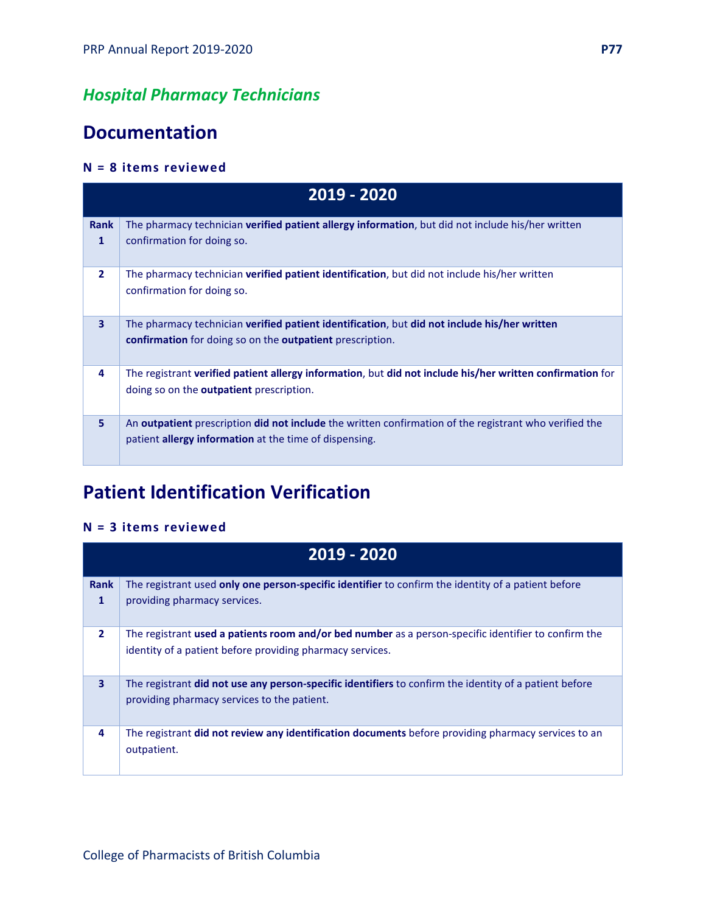## *Hospital Pharmacy Technicians*

## **Documentation**

#### **N = 8 items reviewed**

| 2019 - 2020    |                                                                                                                                                                                       |
|----------------|---------------------------------------------------------------------------------------------------------------------------------------------------------------------------------------|
| Rank<br>1      | The pharmacy technician <b>verified patient allergy information</b> , but did not include his/her written<br>confirmation for doing so.                                               |
| $\overline{2}$ | The pharmacy technician <b>verified patient identification</b> , but did not include his/her written<br>confirmation for doing so.                                                    |
| 3              | The pharmacy technician <b>verified patient identification</b> , but <b>did not include his/her written</b><br>confirmation for doing so on the outpatient prescription.              |
| 4              | The registrant verified patient allergy information, but did not include his/her written confirmation for<br>doing so on the <b>outpatient</b> prescription.                          |
| 5              | An <b>outpatient</b> prescription <b>did not include</b> the written confirmation of the registrant who verified the<br>patient <b>allergy information</b> at the time of dispensing. |

# **Patient Identification Verification**

#### **N = 3 items reviewed**

| $2019 - 2020$           |                                                                                                                                                                   |
|-------------------------|-------------------------------------------------------------------------------------------------------------------------------------------------------------------|
| <b>Rank</b><br>1        | The registrant used only one person-specific identifier to confirm the identity of a patient before<br>providing pharmacy services.                               |
| $\overline{2}$          | The registrant used a patients room and/or bed number as a person-specific identifier to confirm the<br>identity of a patient before providing pharmacy services. |
| $\overline{\mathbf{3}}$ | The registrant <b>did not use any person-specific identifiers</b> to confirm the identity of a patient before<br>providing pharmacy services to the patient.      |
| 4                       | The registrant did not review any identification documents before providing pharmacy services to an<br>outpatient.                                                |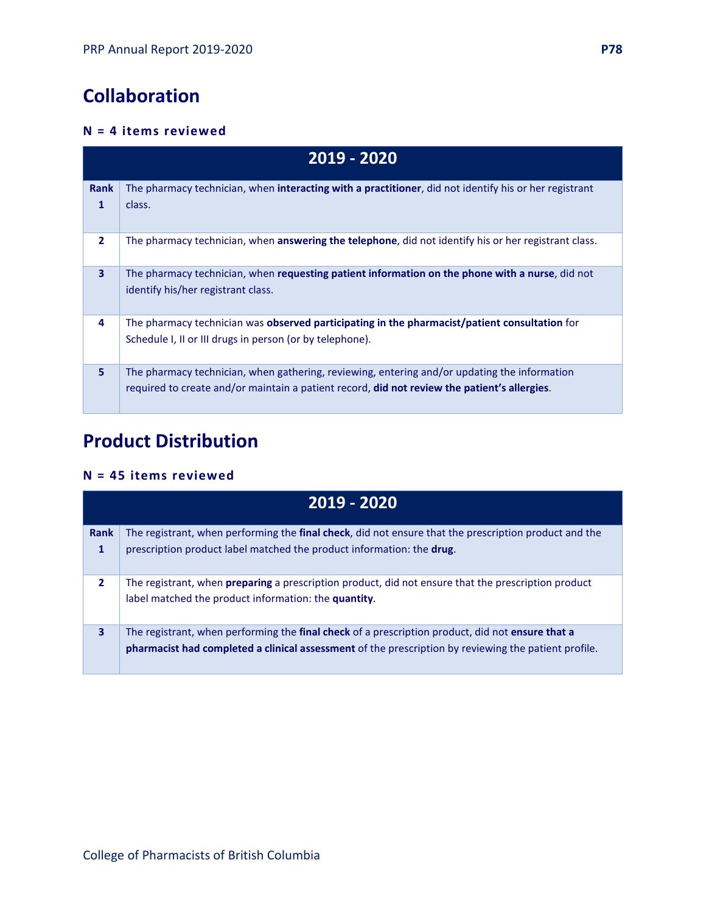# **Collaboration**

#### **N = 4 items reviewed**

| 2019 - 2020      |                                                                                                                                                                                              |
|------------------|----------------------------------------------------------------------------------------------------------------------------------------------------------------------------------------------|
| <b>Rank</b><br>1 | The pharmacy technician, when <b>interacting with a practitioner</b> , did not identify his or her registrant<br>class.                                                                      |
| $\overline{2}$   | The pharmacy technician, when <b>answering the telephone</b> , did not identify his or her registrant class.                                                                                 |
| $\overline{3}$   | The pharmacy technician, when requesting patient information on the phone with a nurse, did not<br>identify his/her registrant class.                                                        |
| 4                | The pharmacy technician was observed participating in the pharmacist/patient consultation for<br>Schedule I, II or III drugs in person (or by telephone).                                    |
| 5.               | The pharmacy technician, when gathering, reviewing, entering and/or updating the information<br>required to create and/or maintain a patient record, did not review the patient's allergies. |

# **Product Distribution**

#### **N = 45 items reviewed**

| 2019 - 2020    |                                                                                                               |
|----------------|---------------------------------------------------------------------------------------------------------------|
| Rank           | The registrant, when performing the <b>final check</b> , did not ensure that the prescription product and the |
| 1              | prescription product label matched the product information: the drug.                                         |
| $\overline{2}$ | The registrant, when <b>preparing</b> a prescription product, did not ensure that the prescription product    |
|                | label matched the product information: the quantity.                                                          |
| $\mathbf{3}$   | The registrant, when performing the final check of a prescription product, did not ensure that a              |
|                | pharmacist had completed a clinical assessment of the prescription by reviewing the patient profile.          |